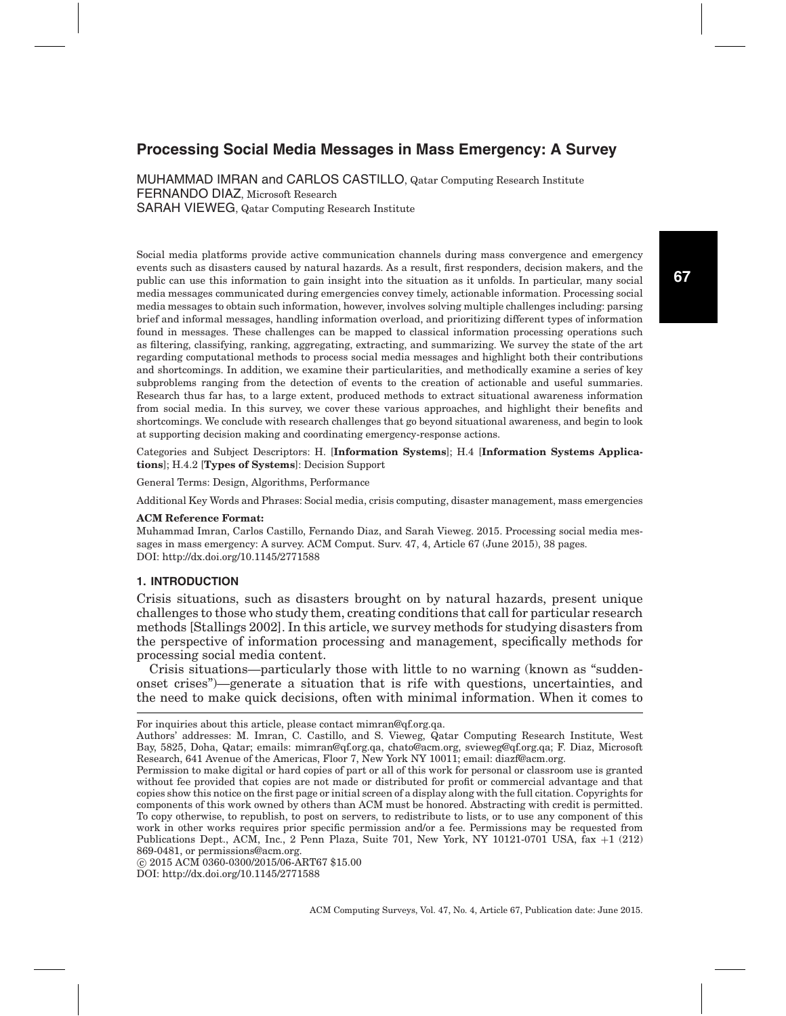# **Processing Social Media Messages in Mass Emergency: A Survey**

MUHAMMAD IMRAN and CARLOS CASTILLO, Qatar Computing Research Institute FERNANDO DIAZ, Microsoft Research SARAH VIEWEG, Qatar Computing Research Institute

Social media platforms provide active communication channels during mass convergence and emergency events such as disasters caused by natural hazards. As a result, first responders, decision makers, and the public can use this information to gain insight into the situation as it unfolds. In particular, many social media messages communicated during emergencies convey timely, actionable information. Processing social media messages to obtain such information, however, involves solving multiple challenges including: parsing brief and informal messages, handling information overload, and prioritizing different types of information found in messages. These challenges can be mapped to classical information processing operations such as filtering, classifying, ranking, aggregating, extracting, and summarizing. We survey the state of the art regarding computational methods to process social media messages and highlight both their contributions and shortcomings. In addition, we examine their particularities, and methodically examine a series of key subproblems ranging from the detection of events to the creation of actionable and useful summaries. Research thus far has, to a large extent, produced methods to extract situational awareness information from social media. In this survey, we cover these various approaches, and highlight their benefits and shortcomings. We conclude with research challenges that go beyond situational awareness, and begin to look at supporting decision making and coordinating emergency-response actions.

Categories and Subject Descriptors: H. [**Information Systems**]; H.4 [**Information Systems Applications**]; H.4.2 [**Types of Systems**]: Decision Support

General Terms: Design, Algorithms, Performance

Additional Key Words and Phrases: Social media, crisis computing, disaster management, mass emergencies

#### **ACM Reference Format:**

Muhammad Imran, Carlos Castillo, Fernando Diaz, and Sarah Vieweg. 2015. Processing social media messages in mass emergency: A survey. ACM Comput. Surv. 47, 4, Article 67 (June 2015), 38 pages. DOI:<http://dx.doi.org/10.1145/2771588>

#### **1. INTRODUCTION**

Crisis situations, such as disasters brought on by natural hazards, present unique challenges to those who study them, creating conditions that call for particular research methods [Stallings [2002\]](#page-36-0). In this article, we survey methods for studying disasters from the perspective of information processing and management, specifically methods for processing social media content.

Crisis situations—particularly those with little to no warning (known as "suddenonset crises")—generate a situation that is rife with questions, uncertainties, and the need to make quick decisions, often with minimal information. When it comes to

For inquiries about this article, please contact mimran@qf.org.qa.

-c 2015 ACM 0360-0300/2015/06-ART67 \$15.00

DOI:<http://dx.doi.org/10.1145/2771588>

Authors' addresses: M. Imran, C. Castillo, and S. Vieweg, Qatar Computing Research Institute, West Bay, 5825, Doha, Qatar; emails: mimran@qf.org.qa, chato@acm.org, svieweg@qf.org.qa; F. Diaz, Microsoft Research, 641 Avenue of the Americas, Floor 7, New York NY 10011; email: diazf@acm.org.

Permission to make digital or hard copies of part or all of this work for personal or classroom use is granted without fee provided that copies are not made or distributed for profit or commercial advantage and that copies show this notice on the first page or initial screen of a display along with the full citation. Copyrights for components of this work owned by others than ACM must be honored. Abstracting with credit is permitted. To copy otherwise, to republish, to post on servers, to redistribute to lists, or to use any component of this work in other works requires prior specific permission and/or a fee. Permissions may be requested from Publications Dept., ACM, Inc., 2 Penn Plaza, Suite 701, New York, NY 10121-0701 USA, fax +1 (212) 869-0481, or permissions@acm.org.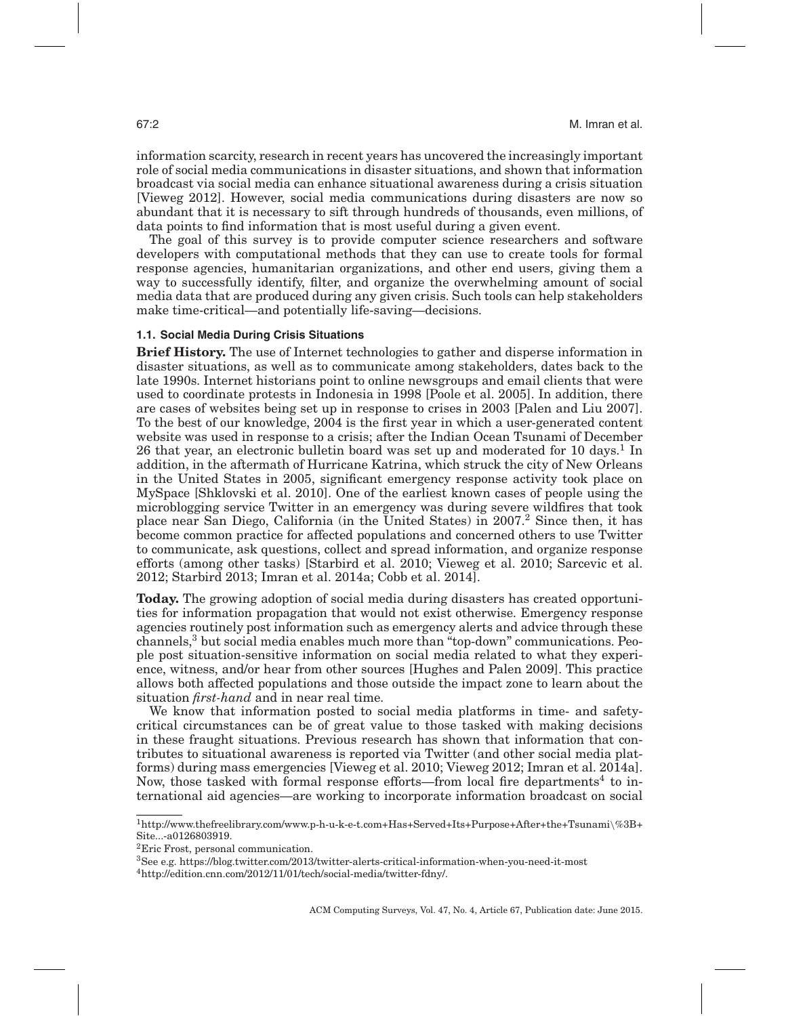information scarcity, research in recent years has uncovered the increasingly important role of social media communications in disaster situations, and shown that information broadcast via social media can enhance situational awareness during a crisis situation [Vieweg [2012\]](#page-36-1). However, social media communications during disasters are now so abundant that it is necessary to sift through hundreds of thousands, even millions, of data points to find information that is most useful during a given event.

The goal of this survey is to provide computer science researchers and software developers with computational methods that they can use to create tools for formal response agencies, humanitarian organizations, and other end users, giving them a way to successfully identify, filter, and organize the overwhelming amount of social media data that are produced during any given crisis. Such tools can help stakeholders make time-critical—and potentially life-saving—decisions.

#### **1.1. Social Media During Crisis Situations**

**Brief History.** The use of Internet technologies to gather and disperse information in disaster situations, as well as to communicate among stakeholders, dates back to the late 1990s. Internet historians point to online newsgroups and email clients that were used to coordinate protests in Indonesia in 1998 [Poole et al. [2005\]](#page-35-0). In addition, there are cases of websites being set up in response to crises in 2003 [Palen and Liu [2007\]](#page-34-0). To the best of our knowledge, 2004 is the first year in which a user-generated content website was used in response to a crisis; after the Indian Ocean Tsunami of December 26 that year, an electronic bulletin board was set up and moderated for 10 days.<sup>1</sup> In addition, in the aftermath of Hurricane Katrina, which struck the city of New Orleans in the United States in 2005, significant emergency response activity took place on MySpace [Shklovski et al. [2010\]](#page-36-2). One of the earliest known cases of people using the microblogging service Twitter in an emergency was during severe wildfires that took place near San Diego, California (in the United States) in 2007[.2](#page-1-1) Since then, it has become common practice for affected populations and concerned others to use Twitter to communicate, ask questions, collect and spread information, and organize response efforts (among other tasks) [Starbird et al. [2010;](#page-36-3) Vieweg et al. [2010;](#page-36-4) Sarcevic et al. [2012;](#page-35-1) Starbird [2013;](#page-36-5) Imran et al. [2014a;](#page-33-0) Cobb et al. [2014\]](#page-31-0).

**Today.** The growing adoption of social media during disasters has created opportunities for information propagation that would not exist otherwise. Emergency response agencies routinely post information such as emergency alerts and advice through these channels[,3](#page-1-2) but social media enables much more than "top-down" communications. People post situation-sensitive information on social media related to what they experience, witness, and/or hear from other sources [Hughes and Palen [2009\]](#page-33-1). This practice allows both affected populations and those outside the impact zone to learn about the situation *first-hand* and in near real time.

We know that information posted to social media platforms in time- and safetycritical circumstances can be of great value to those tasked with making decisions in these fraught situations. Previous research has shown that information that contributes to situational awareness is reported via Twitter (and other social media platforms) during mass emergencies [Vieweg et al. [2010;](#page-36-4) Vieweg [2012;](#page-36-1) Imran et al. [2014a\]](#page-33-0). Now, those tasked with formal response efforts—from local fire departments<sup>4</sup> to international aid agencies—are working to incorporate information broadcast on social

<span id="page-1-0"></span> $^1$ http://www.thefreelibrary.com/www.p-h-u-k-e-t.com+Has+Served+Its+Purpose+After+the+Tsunami\%3B+ [Site...-a0126803919.](http://www.thefreelibrary.com/www.p-h-u-k-e-t.com+Has+Served+Its+Purpose+After+the+Tsunami%3B+Site...-a0126803919.)

<span id="page-1-1"></span><sup>2</sup>Eric Frost, personal communication.

<span id="page-1-2"></span><sup>3</sup>See e.g.<https://blog.twitter.com/2013/twitter-alerts-critical-information-when-you-need-it-most>

<span id="page-1-3"></span>[<sup>4</sup>http://edition.cnn.com/2012/11/01/tech/social-media/twitter-fdny/.](http://edition.cnn.com/2012/11/01/tech/social-media/twitter-fdny/.)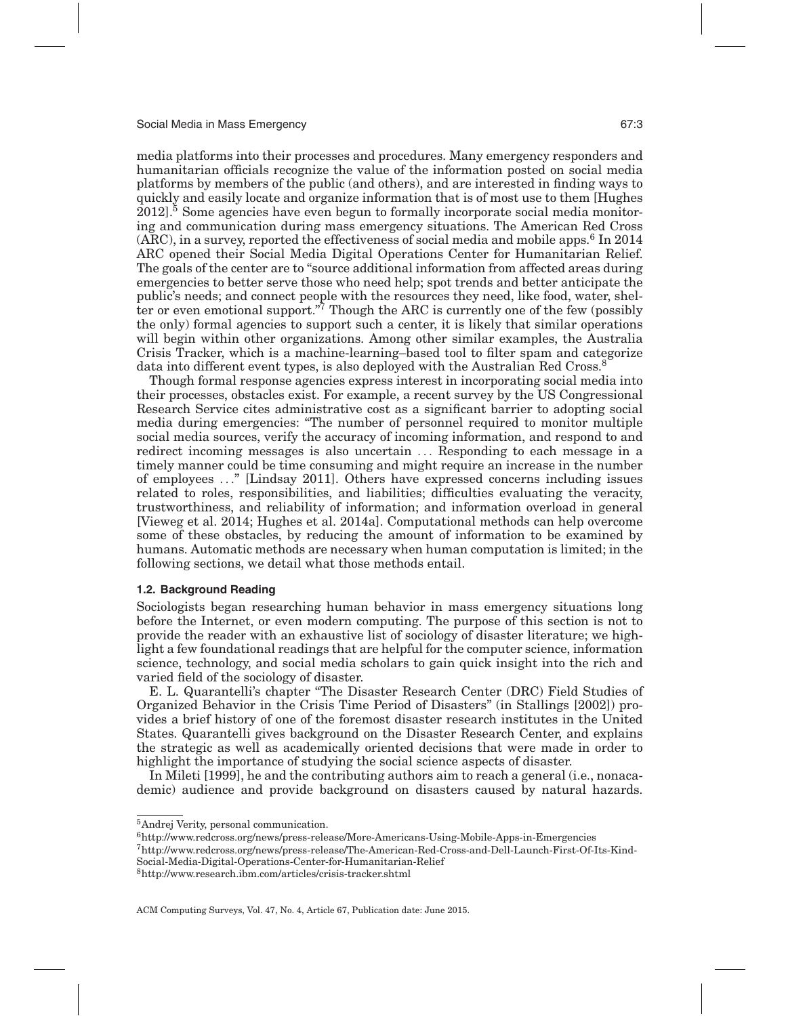media platforms into their processes and procedures. Many emergency responders and humanitarian officials recognize the value of the information posted on social media platforms by members of the public (and others), and are interested in finding ways to quickly and easily locate and organize information that is of most use to them [Hughes  $2012$ <sup>[5](#page-2-0)</sup>. Some agencies have even begun to formally incorporate social media monitoring and communication during mass emergency situations. The American Red Cross  $(ARC)$ , in a survey, reported the effectiveness of social media and mobile apps.<sup>[6](#page-2-1)</sup> In 2014 ARC opened their Social Media Digital Operations Center for Humanitarian Relief. The goals of the center are to "source additional information from affected areas during emergencies to better serve those who need help; spot trends and better anticipate the public's needs; and connect people with the resources they need, like food, water, shelter or even emotional support.["7](#page-2-2) Though the ARC is currently one of the few (possibly the only) formal agencies to support such a center, it is likely that similar operations will begin within other organizations. Among other similar examples, the Australia Crisis Tracker, which is a machine-learning–based tool to filter spam and categorize data into different event types, is also deployed with the Australian Red Cross.<sup>8</sup>

Though formal response agencies express interest in incorporating social media into their processes, obstacles exist. For example, a recent survey by the US Congressional Research Service cites administrative cost as a significant barrier to adopting social media during emergencies: "The number of personnel required to monitor multiple social media sources, verify the accuracy of incoming information, and respond to and redirect incoming messages is also uncertain ... Responding to each message in a timely manner could be time consuming and might require an increase in the number of employees ..." [Lindsay [2011\]](#page-34-1). Others have expressed concerns including issues related to roles, responsibilities, and liabilities; difficulties evaluating the veracity, trustworthiness, and reliability of information; and information overload in general [Vieweg et al. [2014;](#page-36-6) Hughes et al. [2014a\]](#page-33-2). Computational methods can help overcome some of these obstacles, by reducing the amount of information to be examined by humans. Automatic methods are necessary when human computation is limited; in the following sections, we detail what those methods entail.

#### **1.2. Background Reading**

Sociologists began researching human behavior in mass emergency situations long before the Internet, or even modern computing. The purpose of this section is not to provide the reader with an exhaustive list of sociology of disaster literature; we highlight a few foundational readings that are helpful for the computer science, information science, technology, and social media scholars to gain quick insight into the rich and varied field of the sociology of disaster.

E. L. Quarantelli's chapter "The Disaster Research Center (DRC) Field Studies of Organized Behavior in the Crisis Time Period of Disasters" (in Stallings [\[2002\]](#page-36-0)) provides a brief history of one of the foremost disaster research institutes in the United States. Quarantelli gives background on the Disaster Research Center, and explains the strategic as well as academically oriented decisions that were made in order to highlight the importance of studying the social science aspects of disaster.

In Mileti [\[1999\]](#page-34-2), he and the contributing authors aim to reach a general (i.e., nonacademic) audience and provide background on disasters caused by natural hazards.

[Social-Media-Digital-Operations-Center-for-Humanitarian-Relief](http://www.redcross.org/news/press-release/The-American-Red-Cross-and-Dell-Launch-First-Of-Its-Kind-Social-Media-Digital-Operations-Center-for-Humanitarian-Relief)

<span id="page-2-0"></span><sup>5</sup>Andrej Verity, personal communication.

<span id="page-2-1"></span>[<sup>6</sup>http://www.redcross.org/news/press-release/More-Americans-Using-Mobile-Apps-in-Emergencies](http://www.redcross.org/news/press-release/More-Americans-Using-Mobile-Apps-in-Emergencies)

<span id="page-2-2"></span>[<sup>7</sup>http://www.redcross.org/news/press-release/The-American-Red-Cross-and-Dell-Launch-First-Of-Its-Kind-](http://www.redcross.org/news/press-release/The-American-Red-Cross-and-Dell-Launch-First-Of-Its-Kind-Social-Media-Digital-Operations-Center-for-Humanitarian-Relief)

<span id="page-2-3"></span>[<sup>8</sup>http://www.research.ibm.com/articles/crisis-tracker.shtml](http://www.research.ibm.com/articles/crisis-tracker.shtml)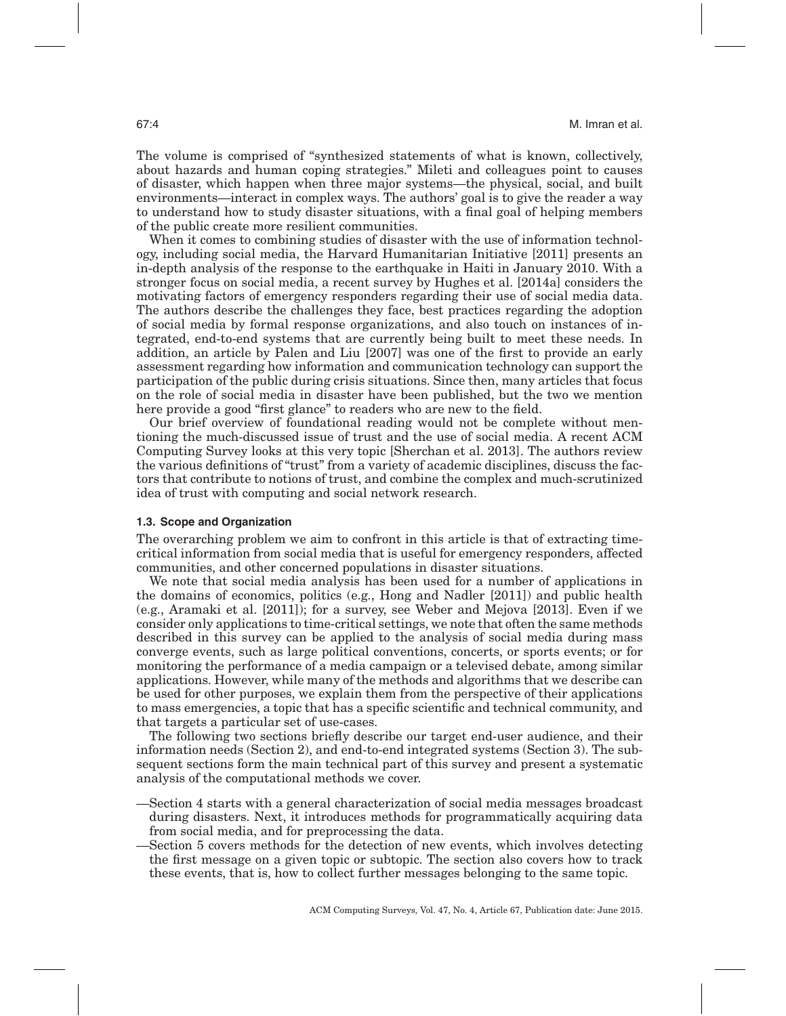The volume is comprised of "synthesized statements of what is known, collectively, about hazards and human coping strategies." Mileti and colleagues point to causes of disaster, which happen when three major systems—the physical, social, and built environments—interact in complex ways. The authors' goal is to give the reader a way to understand how to study disaster situations, with a final goal of helping members of the public create more resilient communities.

When it comes to combining studies of disaster with the use of information technology, including social media, the Harvard Humanitarian Initiative [\[2011\]](#page-32-1) presents an in-depth analysis of the response to the earthquake in Haiti in January 2010. With a stronger focus on social media, a recent survey by Hughes et al. [2014a] considers the motivating factors of emergency responders regarding their use of social media data. The authors describe the challenges they face, best practices regarding the adoption of social media by formal response organizations, and also touch on instances of integrated, end-to-end systems that are currently being built to meet these needs. In addition, an article by Palen and Liu [\[2007\]](#page-34-0) was one of the first to provide an early assessment regarding how information and communication technology can support the participation of the public during crisis situations. Since then, many articles that focus on the role of social media in disaster have been published, but the two we mention here provide a good "first glance" to readers who are new to the field.

Our brief overview of foundational reading would not be complete without mentioning the much-discussed issue of trust and the use of social media. A recent ACM Computing Survey looks at this very topic [Sherchan et al. [2013\]](#page-35-2). The authors review the various definitions of "trust" from a variety of academic disciplines, discuss the factors that contribute to notions of trust, and combine the complex and much-scrutinized idea of trust with computing and social network research.

#### **1.3. Scope and Organization**

The overarching problem we aim to confront in this article is that of extracting timecritical information from social media that is useful for emergency responders, affected communities, and other concerned populations in disaster situations.

We note that social media analysis has been used for a number of applications in the domains of economics, politics (e.g., Hong and Nadler [\[2011\]](#page-32-2)) and public health (e.g., Aramaki et al. [\[2011\]](#page-30-0)); for a survey, see Weber and Mejova [\[2013\]](#page-37-0). Even if we consider only applications to time-critical settings, we note that often the same methods described in this survey can be applied to the analysis of social media during mass converge events, such as large political conventions, concerts, or sports events; or for monitoring the performance of a media campaign or a televised debate, among similar applications. However, while many of the methods and algorithms that we describe can be used for other purposes, we explain them from the perspective of their applications to mass emergencies, a topic that has a specific scientific and technical community, and that targets a particular set of use-cases.

The following two sections briefly describe our target end-user audience, and their information needs (Section [2\)](#page-4-0), and end-to-end integrated systems (Section [3\)](#page-5-0). The subsequent sections form the main technical part of this survey and present a systematic analysis of the computational methods we cover.

- —Section [4](#page-7-0) starts with a general characterization of social media messages broadcast during disasters. Next, it introduces methods for programmatically acquiring data from social media, and for preprocessing the data.
- —Section [5](#page-13-0) covers methods for the detection of new events, which involves detecting the first message on a given topic or subtopic. The section also covers how to track these events, that is, how to collect further messages belonging to the same topic.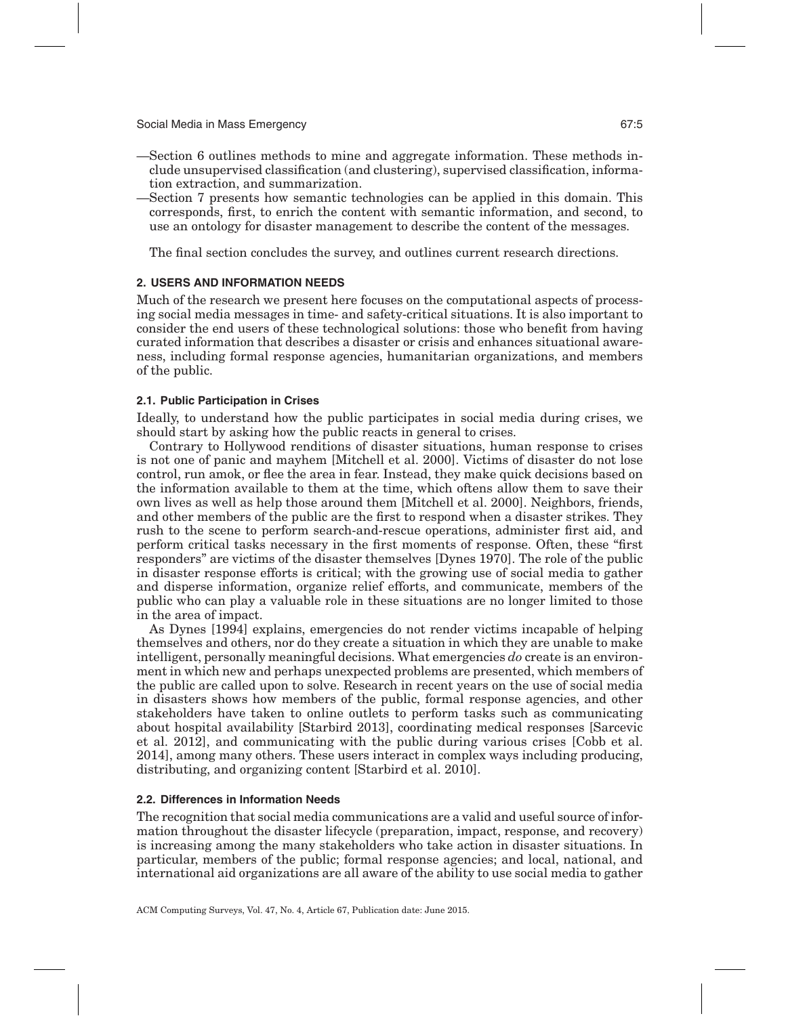- —Section [6](#page-19-0) outlines methods to mine and aggregate information. These methods include unsupervised classification (and clustering), supervised classification, information extraction, and summarization.
- —Section [7](#page-25-0) presents how semantic technologies can be applied in this domain. This corresponds, first, to enrich the content with semantic information, and second, to use an ontology for disaster management to describe the content of the messages.

<span id="page-4-0"></span>The final section concludes the survey, and outlines current research directions.

## **2. USERS AND INFORMATION NEEDS**

Much of the research we present here focuses on the computational aspects of processing social media messages in time- and safety-critical situations. It is also important to consider the end users of these technological solutions: those who benefit from having curated information that describes a disaster or crisis and enhances situational awareness, including formal response agencies, humanitarian organizations, and members of the public.

#### **2.1. Public Participation in Crises**

Ideally, to understand how the public participates in social media during crises, we should start by asking how the public reacts in general to crises.

Contrary to Hollywood renditions of disaster situations, human response to crises is not one of panic and mayhem [Mitchell et al. [2000\]](#page-34-3). Victims of disaster do not lose control, run amok, or flee the area in fear. Instead, they make quick decisions based on the information available to them at the time, which oftens allow them to save their own lives as well as help those around them [Mitchell et al. [2000\]](#page-34-3). Neighbors, friends, and other members of the public are the first to respond when a disaster strikes. They rush to the scene to perform search-and-rescue operations, administer first aid, and perform critical tasks necessary in the first moments of response. Often, these "first responders" are victims of the disaster themselves [Dynes [1970\]](#page-32-3). The role of the public in disaster response efforts is critical; with the growing use of social media to gather and disperse information, organize relief efforts, and communicate, members of the public who can play a valuable role in these situations are no longer limited to those in the area of impact.

As Dynes [\[1994\]](#page-32-4) explains, emergencies do not render victims incapable of helping themselves and others, nor do they create a situation in which they are unable to make intelligent, personally meaningful decisions. What emergencies *do* create is an environment in which new and perhaps unexpected problems are presented, which members of the public are called upon to solve. Research in recent years on the use of social media in disasters shows how members of the public, formal response agencies, and other stakeholders have taken to online outlets to perform tasks such as communicating about hospital availability [Starbird [2013\]](#page-36-5), coordinating medical responses [Sarcevic et al. [2012\]](#page-35-1), and communicating with the public during various crises [Cobb et al. [2014\]](#page-31-0), among many others. These users interact in complex ways including producing, distributing, and organizing content [Starbird et al. [2010\]](#page-36-3).

#### **2.2. Differences in Information Needs**

The recognition that social media communications are a valid and useful source of information throughout the disaster lifecycle (preparation, impact, response, and recovery) is increasing among the many stakeholders who take action in disaster situations. In particular, members of the public; formal response agencies; and local, national, and international aid organizations are all aware of the ability to use social media to gather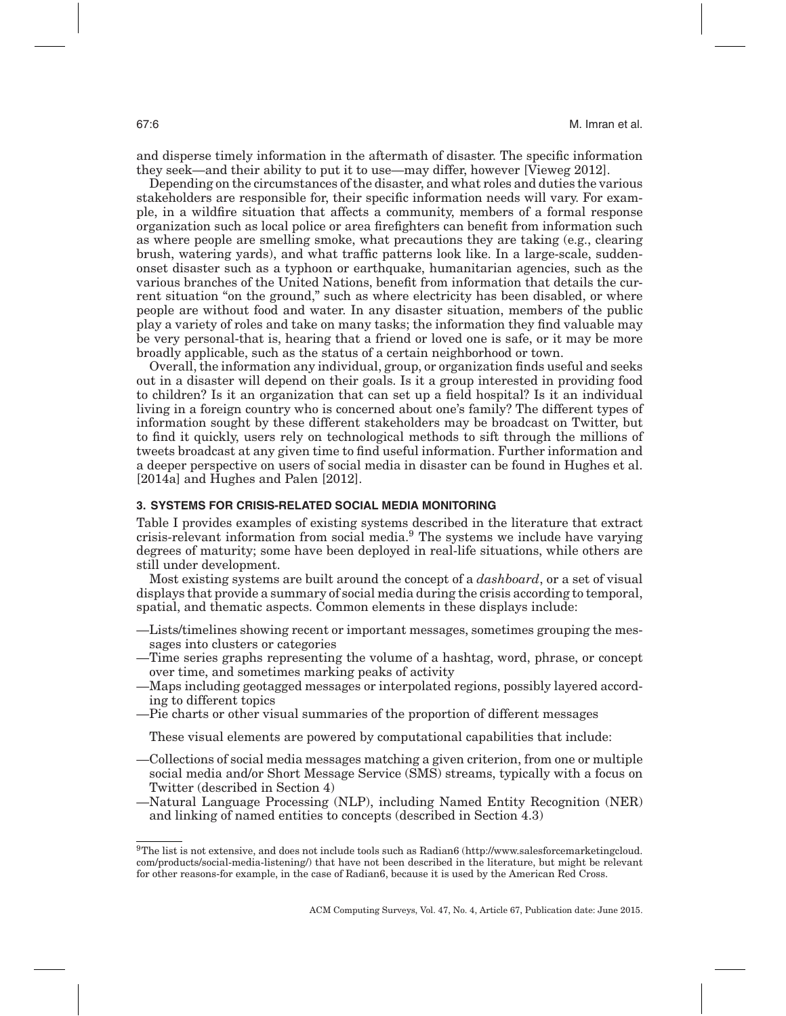and disperse timely information in the aftermath of disaster. The specific information they seek—and their ability to put it to use—may differ, however [Vieweg [2012\]](#page-36-1).

Depending on the circumstances of the disaster, and what roles and duties the various stakeholders are responsible for, their specific information needs will vary. For example, in a wildfire situation that affects a community, members of a formal response organization such as local police or area firefighters can benefit from information such as where people are smelling smoke, what precautions they are taking (e.g., clearing brush, watering yards), and what traffic patterns look like. In a large-scale, suddenonset disaster such as a typhoon or earthquake, humanitarian agencies, such as the various branches of the United Nations, benefit from information that details the current situation "on the ground," such as where electricity has been disabled, or where people are without food and water. In any disaster situation, members of the public play a variety of roles and take on many tasks; the information they find valuable may be very personal-that is, hearing that a friend or loved one is safe, or it may be more broadly applicable, such as the status of a certain neighborhood or town.

Overall, the information any individual, group, or organization finds useful and seeks out in a disaster will depend on their goals. Is it a group interested in providing food to children? Is it an organization that can set up a field hospital? Is it an individual living in a foreign country who is concerned about one's family? The different types of information sought by these different stakeholders may be broadcast on Twitter, but to find it quickly, users rely on technological methods to sift through the millions of tweets broadcast at any given time to find useful information. Further information and a deeper perspective on users of social media in disaster can be found in Hughes et al. [\[2014a\]](#page-33-2) and Hughes and Palen [\[2012\]](#page-33-3).

## **3. SYSTEMS FOR CRISIS-RELATED SOCIAL MEDIA MONITORING**

<span id="page-5-0"></span>Table [I](#page-6-0) provides examples of existing systems described in the literature that extract crisis-relevant information from social media[.9](#page-5-1) The systems we include have varying degrees of maturity; some have been deployed in real-life situations, while others are still under development.

Most existing systems are built around the concept of a *dashboard*, or a set of visual displays that provide a summary of social media during the crisis according to temporal, spatial, and thematic aspects. Common elements in these displays include:

- —Lists/timelines showing recent or important messages, sometimes grouping the messages into clusters or categories
- —Time series graphs representing the volume of a hashtag, word, phrase, or concept over time, and sometimes marking peaks of activity
- —Maps including geotagged messages or interpolated regions, possibly layered according to different topics
- —Pie charts or other visual summaries of the proportion of different messages

These visual elements are powered by computational capabilities that include:

- —Collections of social media messages matching a given criterion, from one or multiple social media and/or Short Message Service (SMS) streams, typically with a focus on Twitter (described in Section [4\)](#page-7-0)
- —Natural Language Processing (NLP), including Named Entity Recognition (NER) and linking of named entities to concepts (described in Section [4.3\)](#page-9-0)

<span id="page-5-1"></span><sup>9</sup>The list is not extensive, and does not include tools such as Radian6 [\(http://www.salesforcemarketingcloud.](http://www.salesforcemarketingcloud.com/products/social-media-listening/) [com/products/social-media-listening/\)](http://www.salesforcemarketingcloud.com/products/social-media-listening/) that have not been described in the literature, but might be relevant for other reasons-for example, in the case of Radian6, because it is used by the American Red Cross.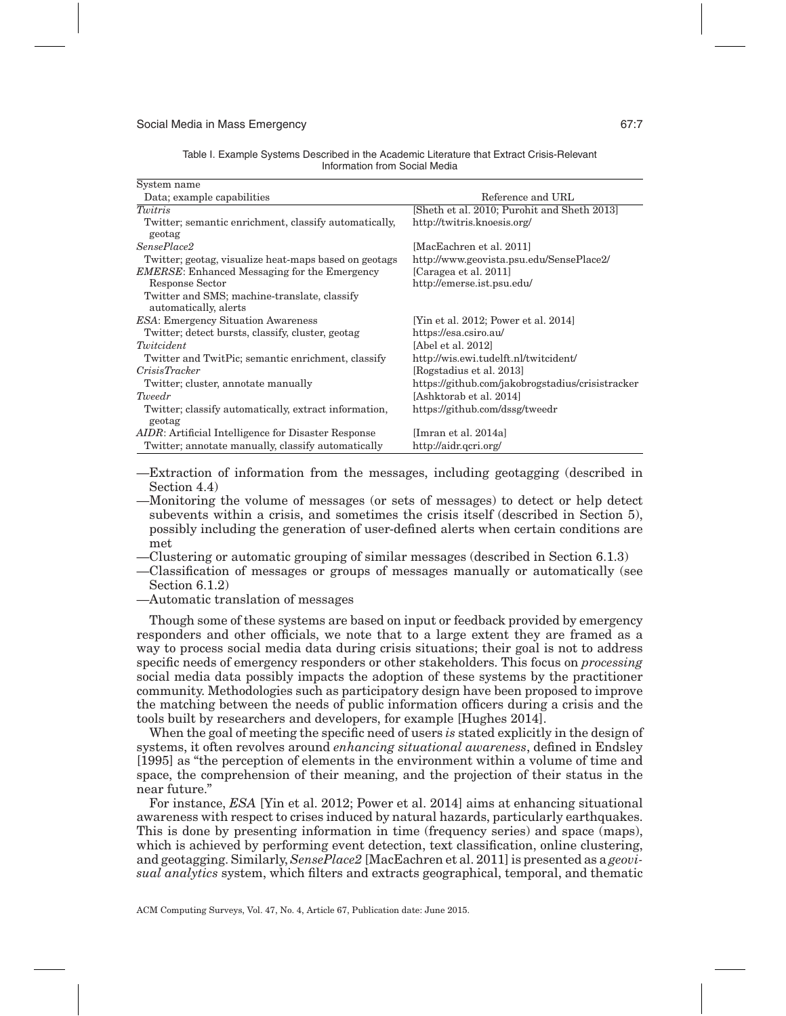|  | Table I. Example Systems Described in the Academic Literature that Extract Crisis-Relevant |  |  |  |
|--|--------------------------------------------------------------------------------------------|--|--|--|
|  | Information from Social Media                                                              |  |  |  |

<span id="page-6-0"></span>

| System name                                                           |                                                  |  |  |
|-----------------------------------------------------------------------|--------------------------------------------------|--|--|
| Data; example capabilities                                            | Reference and URL                                |  |  |
| Twitris                                                               | [Sheth et al. 2010; Purohit and Sheth 2013]      |  |  |
| Twitter; semantic enrichment, classify automatically,<br>geotag       | http://twitris.knoesis.org/                      |  |  |
| SensePlace2                                                           | [MacEachren et al. 2011]                         |  |  |
| Twitter; geotag, visualize heat-maps based on geotags                 | http://www.geovista.psu.edu/SensePlace2/         |  |  |
| <b>EMERSE:</b> Enhanced Messaging for the Emergency                   | [Caragea et al. 2011]                            |  |  |
| Response Sector                                                       | http://emerse.ist.psu.edu/                       |  |  |
| Twitter and SMS; machine-translate, classify<br>automatically, alerts |                                                  |  |  |
| <b>ESA</b> : Emergency Situation Awareness                            | [Yin et al. 2012; Power et al. 2014]             |  |  |
| Twitter; detect bursts, classify, cluster, geotag                     | https://esa.csiro.au/                            |  |  |
| Twitcident                                                            | [Abel et al. 2012]                               |  |  |
| Twitter and TwitPic; semantic enrichment, classify                    | http://wis.ewi.tudelft.nl/twitcident/            |  |  |
| <i>CrisisTracker</i>                                                  | [Rogstadius et al. 2013]                         |  |  |
| Twitter; cluster, annotate manually                                   | https://github.com/jakobrogstadius/crisistracker |  |  |
| Tweedr                                                                | [Ashktorab et al. 2014]                          |  |  |
| Twitter; classify automatically, extract information,<br>geotag       | https://github.com/dssg/tweedr                   |  |  |
| <i>AIDR</i> : Artificial Intelligence for Disaster Response           | [Imran et al. 2014a]                             |  |  |
| Twitter; annotate manually, classify automatically                    | http://aidr.qcri.org/                            |  |  |

—Extraction of information from the messages, including geotagging (described in Section [4.4\)](#page-10-0)

—Monitoring the volume of messages (or sets of messages) to detect or help detect subevents within a crisis, and sometimes the crisis itself (described in Section [5\)](#page-13-0), possibly including the generation of user-defined alerts when certain conditions are met

—Clustering or automatic grouping of similar messages (described in Section 6.1.3)

—Classification of messages or groups of messages manually or automatically (see Section 6.1.2)

—Automatic translation of messages

Though some of these systems are based on input or feedback provided by emergency responders and other officials, we note that to a large extent they are framed as a way to process social media data during crisis situations; their goal is not to address specific needs of emergency responders or other stakeholders. This focus on *processing* social media data possibly impacts the adoption of these systems by the practitioner community. Methodologies such as participatory design have been proposed to improve the matching between the needs of public information officers during a crisis and the tools built by researchers and developers, for example [Hughes [2014\]](#page-32-5).

When the goal of meeting the specific need of users *is* stated explicitly in the design of systems, it often revolves around *enhancing situational awareness*, defined in Endsley [\[1995\]](#page-32-6) as "the perception of elements in the environment within a volume of time and space, the comprehension of their meaning, and the projection of their status in the near future."

For instance, *ESA* [Yin et al. [2012;](#page-37-1) Power et al. [2014\]](#page-35-4) aims at enhancing situational awareness with respect to crises induced by natural hazards, particularly earthquakes. This is done by presenting information in time (frequency series) and space (maps), which is achieved by performing event detection, text classification, online clustering, and geotagging. Similarly, *SensePlace2* [MacEachren et al. [2011\]](#page-34-4) is presented as a *geovisual analytics* system, which filters and extracts geographical, temporal, and thematic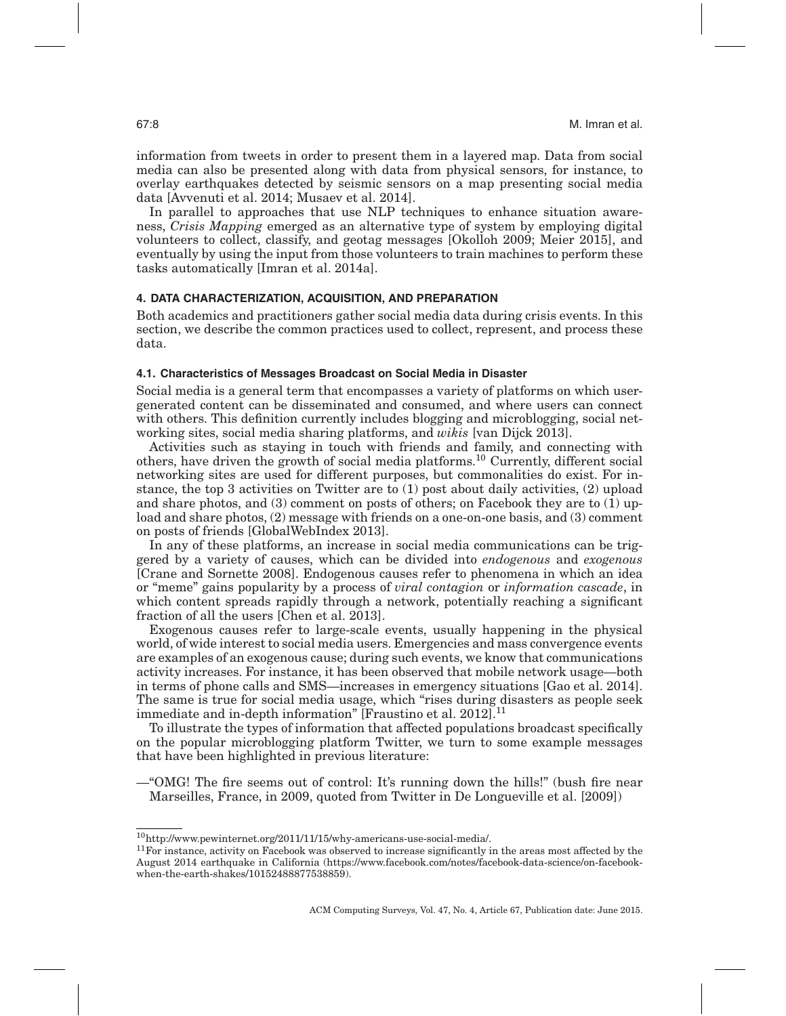information from tweets in order to present them in a layered map. Data from social media can also be presented along with data from physical sensors, for instance, to overlay earthquakes detected by seismic sensors on a map presenting social media data [Avvenuti et al. [2014;](#page-30-3) Musaev et al. [2014\]](#page-34-5).

In parallel to approaches that use NLP techniques to enhance situation awareness, *Crisis Mapping* emerged as an alternative type of system by employing digital volunteers to collect, classify, and geotag messages [Okolloh [2009;](#page-34-6) Meier [2015\]](#page-34-7), and eventually by using the input from those volunteers to train machines to perform these tasks automatically [Imran et al. [2014a\]](#page-33-0).

## **4. DATA CHARACTERIZATION, ACQUISITION, AND PREPARATION**

<span id="page-7-0"></span>Both academics and practitioners gather social media data during crisis events. In this section, we describe the common practices used to collect, represent, and process these data.

### **4.1. Characteristics of Messages Broadcast on Social Media in Disaster**

Social media is a general term that encompasses a variety of platforms on which usergenerated content can be disseminated and consumed, and where users can connect with others. This definition currently includes blogging and microblogging, social networking sites, social media sharing platforms, and *wikis* [van Dijck [2013\]](#page-36-8).

Activities such as staying in touch with friends and family, and connecting with others, have driven the growth of social media platforms.[10](#page-7-1) Currently, different social networking sites are used for different purposes, but commonalities do exist. For instance, the top 3 activities on Twitter are to (1) post about daily activities, (2) upload and share photos, and (3) comment on posts of others; on Facebook they are to (1) upload and share photos, (2) message with friends on a one-on-one basis, and (3) comment on posts of friends [GlobalWebIndex [2013\]](#page-32-7).

In any of these platforms, an increase in social media communications can be triggered by a variety of causes, which can be divided into *endogenous* and *exogenous* [Crane and Sornette [2008\]](#page-31-2). Endogenous causes refer to phenomena in which an idea or "meme" gains popularity by a process of *viral contagion* or *information cascade*, in which content spreads rapidly through a network, potentially reaching a significant fraction of all the users [Chen et al. [2013\]](#page-31-3).

Exogenous causes refer to large-scale events, usually happening in the physical world, of wide interest to social media users. Emergencies and mass convergence events are examples of an exogenous cause; during such events, we know that communications activity increases. For instance, it has been observed that mobile network usage—both in terms of phone calls and SMS—increases in emergency situations [Gao et al. [2014\]](#page-32-8). The same is true for social media usage, which "rises during disasters as people seek immediate and in-depth information" [Fraustino et al. [2012\]](#page-32-9).<sup>[11](#page-7-2)</sup>

To illustrate the types of information that affected populations broadcast specifically on the popular microblogging platform Twitter, we turn to some example messages that have been highlighted in previous literature:

—"OMG! The fire seems out of control: It's running down the hills!" (bush fire near Marseilles, France, in 2009, quoted from Twitter in De Longueville et al. [\[2009\]](#page-32-10))

<span id="page-7-1"></span> $^{10}\mathrm{http://www.pewinternet.org/2011/11/15/why-americans-use-social-media/.}$ 

<span id="page-7-2"></span> $11$ For instance, activity on Facebook was observed to increase significantly in the areas most affected by the August 2014 earthquake in California [\(https://www.facebook.com/notes/facebook-data-science/on-facebook](https://www.facebook.com/notes/facebook-data-science/on-facebook-when-the-earth-shakes/10152488877538859)[when-the-earth-shakes/10152488877538859\)](https://www.facebook.com/notes/facebook-data-science/on-facebook-when-the-earth-shakes/10152488877538859).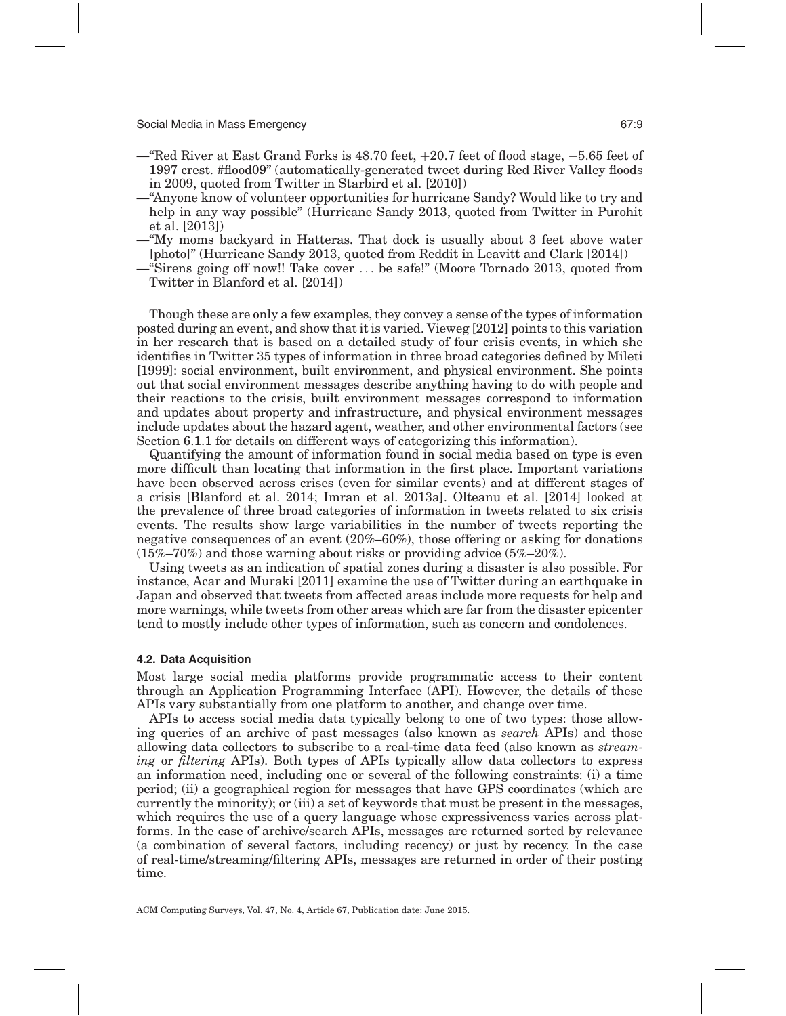- $-$ "Red River at East Grand Forks is 48.70 feet,  $+20.7$  feet of flood stage,  $-5.65$  feet of 1997 crest. #flood09" (automatically-generated tweet during Red River Valley floods in 2009, quoted from Twitter in Starbird et al. [\[2010\]](#page-36-3))
- —"Anyone know of volunteer opportunities for hurricane Sandy? Would like to try and help in any way possible" (Hurricane Sandy 2013, quoted from Twitter in Purohit et al. [\[2013\]](#page-35-6))
- —"My moms backyard in Hatteras. That dock is usually about 3 feet above water [photo]" (Hurricane Sandy 2013, quoted from Reddit in Leavitt and Clark [\[2014\]](#page-33-4))
- —"Sirens going off now!! Take cover ... be safe!" (Moore Tornado 2013, quoted from Twitter in Blanford et al. [\[2014\]](#page-31-4))

Though these are only a few examples, they convey a sense of the types of information posted during an event, and show that it is varied. Vieweg [\[2012\]](#page-36-1) points to this variation in her research that is based on a detailed study of four crisis events, in which she identifies in Twitter 35 types of information in three broad categories defined by Mileti [\[1999\]](#page-34-2): social environment, built environment, and physical environment. She points out that social environment messages describe anything having to do with people and their reactions to the crisis, built environment messages correspond to information and updates about property and infrastructure, and physical environment messages include updates about the hazard agent, weather, and other environmental factors (see Section 6.1.1 for details on different ways of categorizing this information).

Quantifying the amount of information found in social media based on type is even more difficult than locating that information in the first place. Important variations have been observed across crises (even for similar events) and at different stages of a crisis [Blanford et al. [2014;](#page-31-4) Imran et al. [2013a\]](#page-33-5). Olteanu et al. [\[2014\]](#page-34-8) looked at the prevalence of three broad categories of information in tweets related to six crisis events. The results show large variabilities in the number of tweets reporting the negative consequences of an event (20%–60%), those offering or asking for donations  $(15\% - 70\%)$  and those warning about risks or providing advice  $(5\% - 20\%)$ .

Using tweets as an indication of spatial zones during a disaster is also possible. For instance, Acar and Muraki [\[2011\]](#page-30-4) examine the use of Twitter during an earthquake in Japan and observed that tweets from affected areas include more requests for help and more warnings, while tweets from other areas which are far from the disaster epicenter tend to mostly include other types of information, such as concern and condolences.

#### **4.2. Data Acquisition**

Most large social media platforms provide programmatic access to their content through an Application Programming Interface (API). However, the details of these APIs vary substantially from one platform to another, and change over time.

APIs to access social media data typically belong to one of two types: those allowing queries of an archive of past messages (also known as *search* APIs) and those allowing data collectors to subscribe to a real-time data feed (also known as *streaming* or *filtering* APIs). Both types of APIs typically allow data collectors to express an information need, including one or several of the following constraints: (i) a time period; (ii) a geographical region for messages that have GPS coordinates (which are currently the minority); or (iii) a set of keywords that must be present in the messages, which requires the use of a query language whose expressiveness varies across platforms. In the case of archive/search APIs, messages are returned sorted by relevance (a combination of several factors, including recency) or just by recency. In the case of real-time/streaming/filtering APIs, messages are returned in order of their posting time.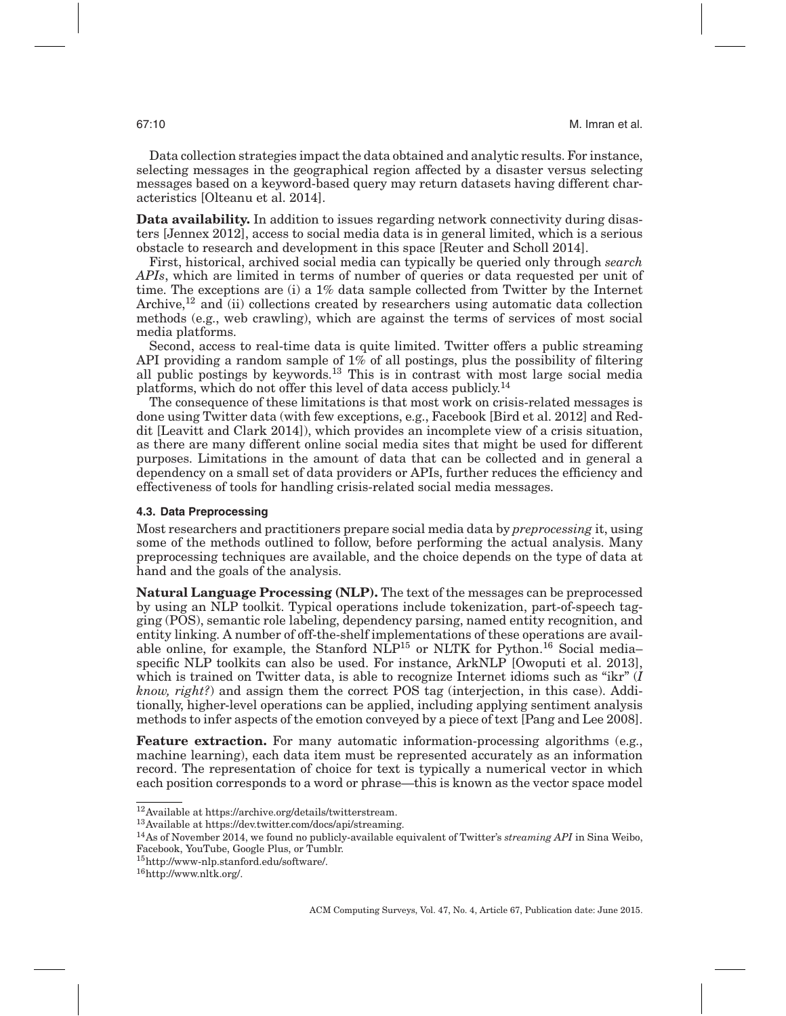Data collection strategies impact the data obtained and analytic results. For instance, selecting messages in the geographical region affected by a disaster versus selecting messages based on a keyword-based query may return datasets having different characteristics [Olteanu et al. [2014\]](#page-34-8).

**Data availability.** In addition to issues regarding network connectivity during disasters [Jennex [2012\]](#page-33-6), access to social media data is in general limited, which is a serious obstacle to research and development in this space [Reuter and Scholl [2014\]](#page-35-7).

First, historical, archived social media can typically be queried only through *search APIs*, which are limited in terms of number of queries or data requested per unit of time. The exceptions are (i) a 1% data sample collected from Twitter by the Internet Archive,<sup>[12](#page-9-1)</sup> and (ii) collections created by researchers using automatic data collection methods (e.g., web crawling), which are against the terms of services of most social media platforms.

Second, access to real-time data is quite limited. Twitter offers a public streaming API providing a random sample of 1% of all postings, plus the possibility of filtering all public postings by keywords[.13](#page-9-2) This is in contrast with most large social media platforms, which do not offer this level of data access publicly[.14](#page-9-3)

The consequence of these limitations is that most work on crisis-related messages is done using Twitter data (with few exceptions, e.g., Facebook [Bird et al. [2012\]](#page-31-5) and Reddit [Leavitt and Clark [2014\]](#page-33-4)), which provides an incomplete view of a crisis situation, as there are many different online social media sites that might be used for different purposes. Limitations in the amount of data that can be collected and in general a dependency on a small set of data providers or APIs, further reduces the efficiency and effectiveness of tools for handling crisis-related social media messages.

## **4.3. Data Preprocessing**

<span id="page-9-0"></span>Most researchers and practitioners prepare social media data by *preprocessing* it, using some of the methods outlined to follow, before performing the actual analysis. Many preprocessing techniques are available, and the choice depends on the type of data at hand and the goals of the analysis.

**Natural Language Processing (NLP).** The text of the messages can be preprocessed by using an NLP toolkit. Typical operations include tokenization, part-of-speech tagging (POS), semantic role labeling, dependency parsing, named entity recognition, and entity linking. A number of off-the-shelf implementations of these operations are available online, for example, the Stanford  $N\tilde{L}P^{15}$  or NLTK for Python.<sup>[16](#page-9-5)</sup> Social media– specific NLP toolkits can also be used. For instance, ArkNLP [Owoputi et al. [2013\]](#page-34-9), which is trained on Twitter data, is able to recognize Internet idioms such as "ikr" (*I know, right?*) and assign them the correct POS tag (interjection, in this case). Additionally, higher-level operations can be applied, including applying sentiment analysis methods to infer aspects of the emotion conveyed by a piece of text [Pang and Lee [2008\]](#page-35-8).

**Feature extraction.** For many automatic information-processing algorithms (e.g., machine learning), each data item must be represented accurately as an information record. The representation of choice for text is typically a numerical vector in which each position corresponds to a word or phrase—this is known as the vector space model

<span id="page-9-1"></span> $^{12}\mathrm{Available}$  at<https://archive.org/details/twitterstream.>

<span id="page-9-2"></span><sup>13</sup>Available at<https://dev.twitter.com/docs/api/streaming.>

<span id="page-9-3"></span><sup>14</sup>As of November 2014, we found no publicly-available equivalent of Twitter's *streaming API* in Sina Weibo, Facebook, YouTube, Google Plus, or Tumblr.

<span id="page-9-4"></span><sup>1</sup>[5http://www-nlp.stanford.edu/software/.](http://www-nlp.stanford.edu/software/.)

<span id="page-9-5"></span><sup>1</sup>[6http://www.nltk.org/.](http://www.nltk.org/.)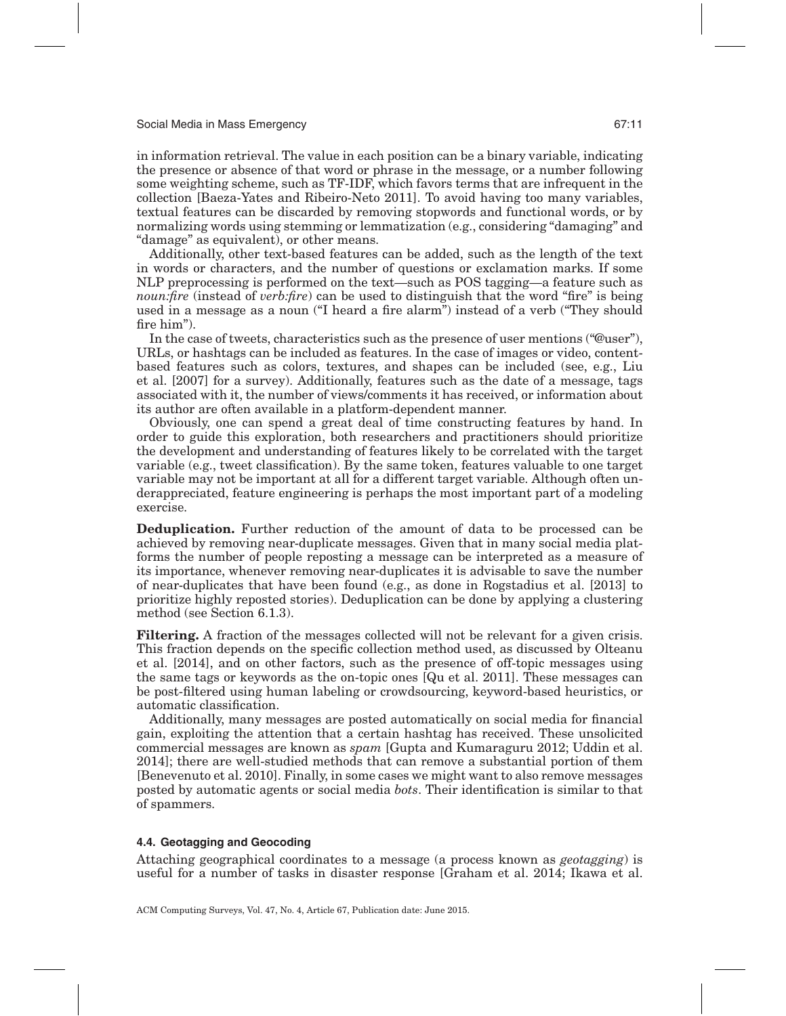#### Social Media in Mass Emergency 67:11 and the state of the state of the state of the state of the state of the state of the state of the state of the state of the state of the state of the state of the state of the state of

in information retrieval. The value in each position can be a binary variable, indicating the presence or absence of that word or phrase in the message, or a number following some weighting scheme, such as TF-IDF, which favors terms that are infrequent in the collection [Baeza-Yates and Ribeiro-Neto [2011\]](#page-30-5). To avoid having too many variables, textual features can be discarded by removing stopwords and functional words, or by normalizing words using stemming or lemmatization (e.g., considering "damaging" and "damage" as equivalent), or other means.

Additionally, other text-based features can be added, such as the length of the text in words or characters, and the number of questions or exclamation marks. If some NLP preprocessing is performed on the text—such as POS tagging—a feature such as *noun:fire* (instead of *verb:fire*) can be used to distinguish that the word "fire" is being used in a message as a noun ("I heard a fire alarm") instead of a verb ("They should fire him").

In the case of tweets, characteristics such as the presence of user mentions ("@user"), URLs, or hashtags can be included as features. In the case of images or video, contentbased features such as colors, textures, and shapes can be included (see, e.g., Liu et al. [\[2007\]](#page-34-10) for a survey). Additionally, features such as the date of a message, tags associated with it, the number of views/comments it has received, or information about its author are often available in a platform-dependent manner.

Obviously, one can spend a great deal of time constructing features by hand. In order to guide this exploration, both researchers and practitioners should prioritize the development and understanding of features likely to be correlated with the target variable (e.g., tweet classification). By the same token, features valuable to one target variable may not be important at all for a different target variable. Although often underappreciated, feature engineering is perhaps the most important part of a modeling exercise.

**Deduplication.** Further reduction of the amount of data to be processed can be achieved by removing near-duplicate messages. Given that in many social media platforms the number of people reposting a message can be interpreted as a measure of its importance, whenever removing near-duplicates it is advisable to save the number of near-duplicates that have been found (e.g., as done in Rogstadius et al. [\[2013\]](#page-35-5) to prioritize highly reposted stories). Deduplication can be done by applying a clustering method (see Section 6.1.3).

**Filtering.** A fraction of the messages collected will not be relevant for a given crisis. This fraction depends on the specific collection method used, as discussed by Olteanu et al. [\[2014\]](#page-34-8), and on other factors, such as the presence of off-topic messages using the same tags or keywords as the on-topic ones [Qu et al. [2011\]](#page-35-9). These messages can be post-filtered using human labeling or crowdsourcing, keyword-based heuristics, or automatic classification.

Additionally, many messages are posted automatically on social media for financial gain, exploiting the attention that a certain hashtag has received. These unsolicited commercial messages are known as *spam* [Gupta and Kumaraguru [2012;](#page-32-11) Uddin et al. [2014\]](#page-36-9); there are well-studied methods that can remove a substantial portion of them [Benevenuto et al. [2010\]](#page-31-6). Finally, in some cases we might want to also remove messages posted by automatic agents or social media *bots*. Their identification is similar to that of spammers.

## **4.4. Geotagging and Geocoding**

<span id="page-10-0"></span>Attaching geographical coordinates to a message (a process known as *geotagging*) is useful for a number of tasks in disaster response [Graham et al. [2014;](#page-32-12) Ikawa et al.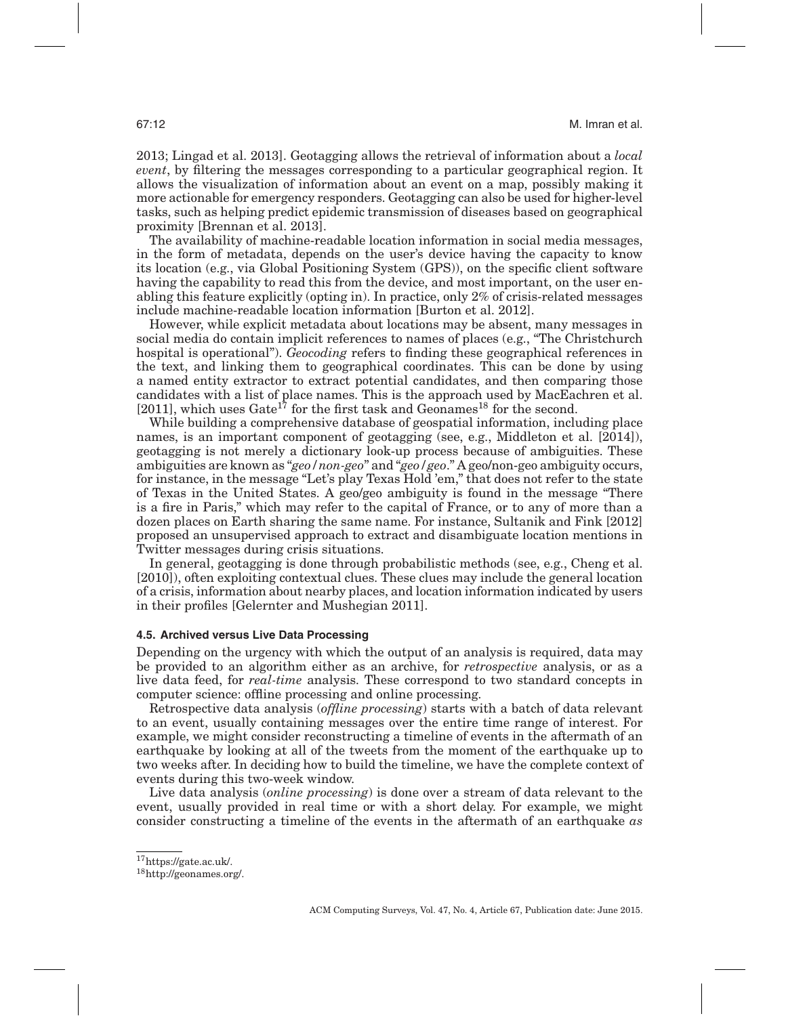[2013;](#page-33-7) Lingad et al. [2013\]](#page-34-11). Geotagging allows the retrieval of information about a *local event*, by filtering the messages corresponding to a particular geographical region. It allows the visualization of information about an event on a map, possibly making it more actionable for emergency responders. Geotagging can also be used for higher-level tasks, such as helping predict epidemic transmission of diseases based on geographical proximity [Brennan et al. [2013\]](#page-31-7).

The availability of machine-readable location information in social media messages, in the form of metadata, depends on the user's device having the capacity to know its location (e.g., via Global Positioning System (GPS)), on the specific client software having the capability to read this from the device, and most important, on the user enabling this feature explicitly (opting in). In practice, only 2% of crisis-related messages include machine-readable location information [Burton et al. [2012\]](#page-31-8).

However, while explicit metadata about locations may be absent, many messages in social media do contain implicit references to names of places (e.g., "The Christchurch hospital is operational"). *Geocoding* refers to finding these geographical references in the text, and linking them to geographical coordinates. This can be done by using a named entity extractor to extract potential candidates, and then comparing those candidates with a list of place names. This is the approach used by MacEachren et al. [\[2011\]](#page-34-4), which uses Gate<sup>17</sup> for the first task and Geonames<sup>18</sup> for the second.

While building a comprehensive database of geospatial information, including place names, is an important component of geotagging (see, e.g., Middleton et al. [\[2014\]](#page-34-12)), geotagging is not merely a dictionary look-up process because of ambiguities. These ambiguities are known as "*geo/non-geo*" and "*geo/geo*." A geo/non-geo ambiguity occurs, for instance, in the message "Let's play Texas Hold 'em," that does not refer to the state of Texas in the United States. A geo/geo ambiguity is found in the message "There is a fire in Paris," which may refer to the capital of France, or to any of more than a dozen places on Earth sharing the same name. For instance, Sultanik and Fink [\[2012\]](#page-36-10) proposed an unsupervised approach to extract and disambiguate location mentions in Twitter messages during crisis situations.

In general, geotagging is done through probabilistic methods (see, e.g., Cheng et al. [\[2010\]](#page-31-9)), often exploiting contextual clues. These clues may include the general location of a crisis, information about nearby places, and location information indicated by users in their profiles [Gelernter and Mushegian [2011\]](#page-32-13).

## **4.5. Archived versus Live Data Processing**

<span id="page-11-2"></span>Depending on the urgency with which the output of an analysis is required, data may be provided to an algorithm either as an archive, for *retrospective* analysis, or as a live data feed, for *real-time* analysis. These correspond to two standard concepts in computer science: offline processing and online processing.

Retrospective data analysis (*offline processing*) starts with a batch of data relevant to an event, usually containing messages over the entire time range of interest. For example, we might consider reconstructing a timeline of events in the aftermath of an earthquake by looking at all of the tweets from the moment of the earthquake up to two weeks after. In deciding how to build the timeline, we have the complete context of events during this two-week window.

Live data analysis (*online processing*) is done over a stream of data relevant to the event, usually provided in real time or with a short delay. For example, we might consider constructing a timeline of the events in the aftermath of an earthquake *as*

<span id="page-11-0"></span> $^{17}{\rm https://gate.ac.uk/}.$ 

<span id="page-11-1"></span><sup>1</sup>[8http://geonames.org/.](http://geonames.org/.)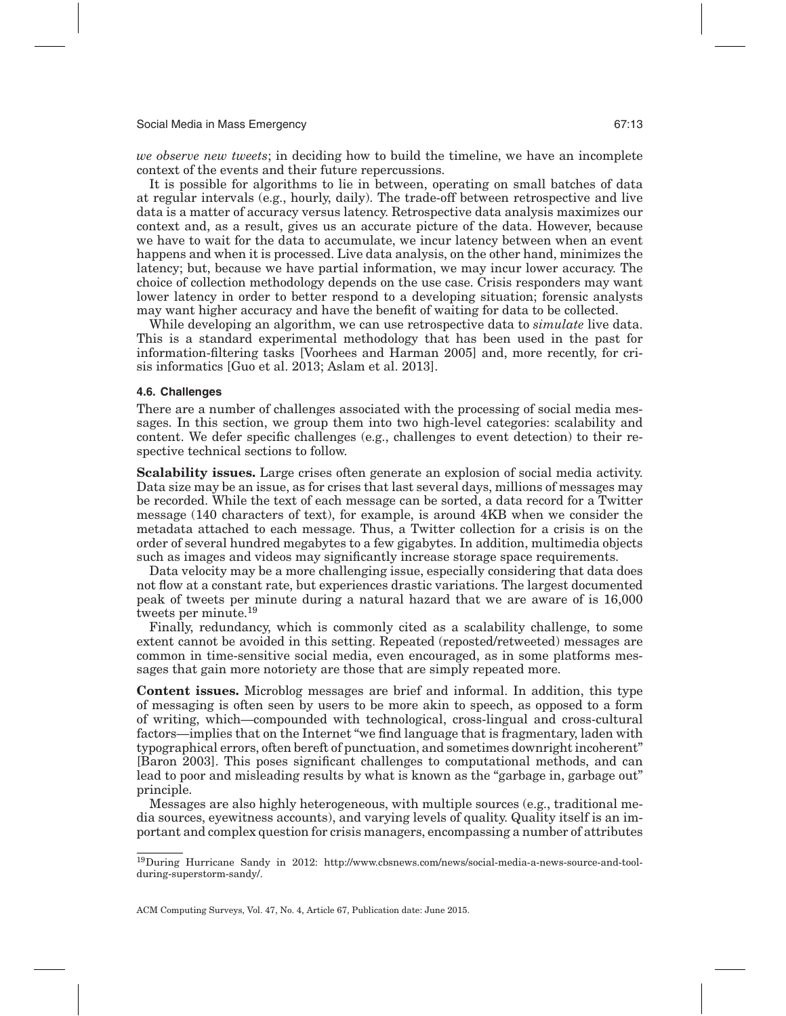*we observe new tweets*; in deciding how to build the timeline, we have an incomplete context of the events and their future repercussions.

It is possible for algorithms to lie in between, operating on small batches of data at regular intervals (e.g., hourly, daily). The trade-off between retrospective and live data is a matter of accuracy versus latency. Retrospective data analysis maximizes our context and, as a result, gives us an accurate picture of the data. However, because we have to wait for the data to accumulate, we incur latency between when an event happens and when it is processed. Live data analysis, on the other hand, minimizes the latency; but, because we have partial information, we may incur lower accuracy. The choice of collection methodology depends on the use case. Crisis responders may want lower latency in order to better respond to a developing situation; forensic analysts may want higher accuracy and have the benefit of waiting for data to be collected.

While developing an algorithm, we can use retrospective data to *simulate* live data. This is a standard experimental methodology that has been used in the past for information-filtering tasks [Voorhees and Harman [2005\]](#page-37-2) and, more recently, for crisis informatics [Guo et al. [2013;](#page-32-14) Aslam et al. [2013\]](#page-30-6).

#### **4.6. Challenges**

<span id="page-12-1"></span>There are a number of challenges associated with the processing of social media messages. In this section, we group them into two high-level categories: scalability and content. We defer specific challenges (e.g., challenges to event detection) to their respective technical sections to follow.

**Scalability issues.** Large crises often generate an explosion of social media activity. Data size may be an issue, as for crises that last several days, millions of messages may be recorded. While the text of each message can be sorted, a data record for a Twitter message (140 characters of text), for example, is around 4KB when we consider the metadata attached to each message. Thus, a Twitter collection for a crisis is on the order of several hundred megabytes to a few gigabytes. In addition, multimedia objects such as images and videos may significantly increase storage space requirements.

Data velocity may be a more challenging issue, especially considering that data does not flow at a constant rate, but experiences drastic variations. The largest documented peak of tweets per minute during a natural hazard that we are aware of is 16,000 tweets per minute.[19](#page-12-0)

Finally, redundancy, which is commonly cited as a scalability challenge, to some extent cannot be avoided in this setting. Repeated (reposted/retweeted) messages are common in time-sensitive social media, even encouraged, as in some platforms messages that gain more notoriety are those that are simply repeated more.

**Content issues.** Microblog messages are brief and informal. In addition, this type of messaging is often seen by users to be more akin to speech, as opposed to a form of writing, which—compounded with technological, cross-lingual and cross-cultural factors—implies that on the Internet "we find language that is fragmentary, laden with typographical errors, often bereft of punctuation, and sometimes downright incoherent" [Baron [2003\]](#page-30-7). This poses significant challenges to computational methods, and can lead to poor and misleading results by what is known as the "garbage in, garbage out" principle.

Messages are also highly heterogeneous, with multiple sources (e.g., traditional media sources, eyewitness accounts), and varying levels of quality. Quality itself is an important and complex question for crisis managers, encompassing a number of attributes

<span id="page-12-0"></span><sup>19</sup>During Hurricane Sandy in 2012: [http://www.cbsnews.com/news/social-media-a-news-source-and-tool](http://www.cbsnews.com/news/social-media-a-news-source-and-tool-during-superstorm-sandy/)[during-superstorm-sandy/.](http://www.cbsnews.com/news/social-media-a-news-source-and-tool-during-superstorm-sandy/)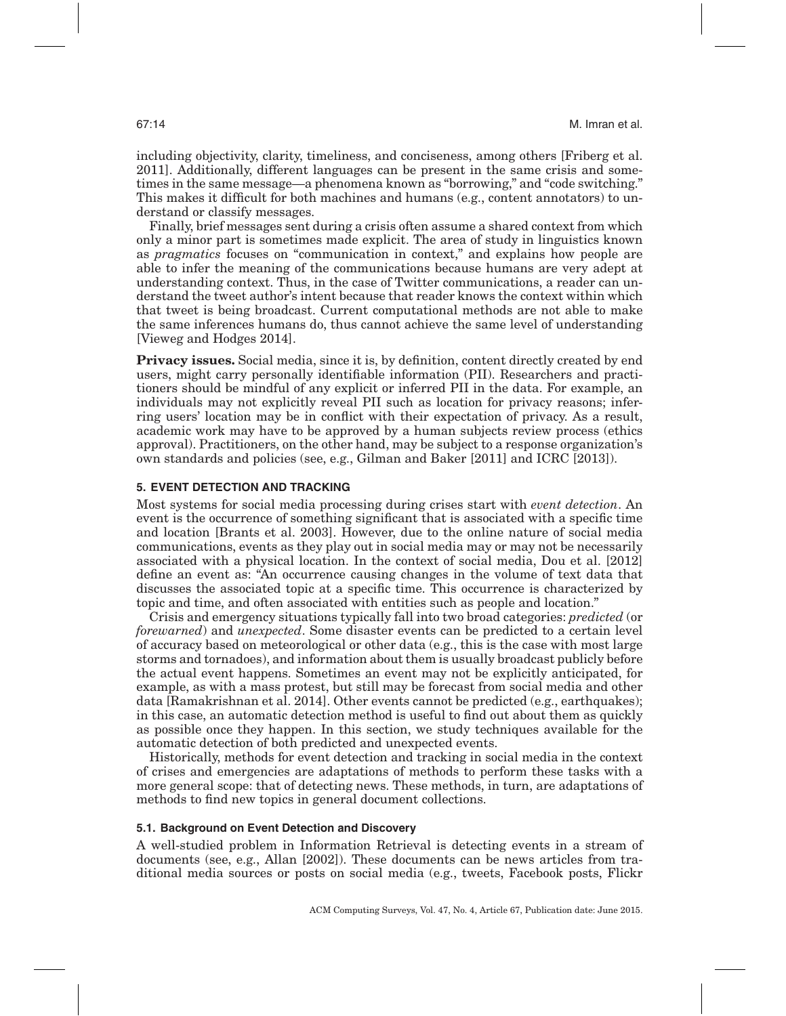including objectivity, clarity, timeliness, and conciseness, among others [Friberg et al. [2011\]](#page-32-15). Additionally, different languages can be present in the same crisis and sometimes in the same message—a phenomena known as "borrowing," and "code switching." This makes it difficult for both machines and humans (e.g., content annotators) to understand or classify messages.

Finally, brief messages sent during a crisis often assume a shared context from which only a minor part is sometimes made explicit. The area of study in linguistics known as *pragmatics* focuses on "communication in context," and explains how people are able to infer the meaning of the communications because humans are very adept at understanding context. Thus, in the case of Twitter communications, a reader can understand the tweet author's intent because that reader knows the context within which that tweet is being broadcast. Current computational methods are not able to make the same inferences humans do, thus cannot achieve the same level of understanding [Vieweg and Hodges [2014\]](#page-36-11).

**Privacy issues.** Social media, since it is, by definition, content directly created by end users, might carry personally identifiable information (PII). Researchers and practitioners should be mindful of any explicit or inferred PII in the data. For example, an individuals may not explicitly reveal PII such as location for privacy reasons; inferring users' location may be in conflict with their expectation of privacy. As a result, academic work may have to be approved by a human subjects review process (ethics approval). Practitioners, on the other hand, may be subject to a response organization's own standards and policies (see, e.g., Gilman and Baker [\[2011\]](#page-32-16) and ICRC [\[2013\]](#page-33-8)).

## **5. EVENT DETECTION AND TRACKING**

<span id="page-13-0"></span>Most systems for social media processing during crises start with *event detection*. An event is the occurrence of something significant that is associated with a specific time and location [Brants et al. [2003\]](#page-31-10). However, due to the online nature of social media communications, events as they play out in social media may or may not be necessarily associated with a physical location. In the context of social media, Dou et al. [\[2012\]](#page-32-17) define an event as: "An occurrence causing changes in the volume of text data that discusses the associated topic at a specific time. This occurrence is characterized by topic and time, and often associated with entities such as people and location."

Crisis and emergency situations typically fall into two broad categories: *predicted* (or *forewarned*) and *unexpected*. Some disaster events can be predicted to a certain level of accuracy based on meteorological or other data (e.g., this is the case with most large storms and tornadoes), and information about them is usually broadcast publicly before the actual event happens. Sometimes an event may not be explicitly anticipated, for example, as with a mass protest, but still may be forecast from social media and other data [Ramakrishnan et al. [2014\]](#page-35-10). Other events cannot be predicted (e.g., earthquakes); in this case, an automatic detection method is useful to find out about them as quickly as possible once they happen. In this section, we study techniques available for the automatic detection of both predicted and unexpected events.

Historically, methods for event detection and tracking in social media in the context of crises and emergencies are adaptations of methods to perform these tasks with a more general scope: that of detecting news. These methods, in turn, are adaptations of methods to find new topics in general document collections.

## **5.1. Background on Event Detection and Discovery**

A well-studied problem in Information Retrieval is detecting events in a stream of documents (see, e.g., Allan [\[2002\]](#page-30-8)). These documents can be news articles from traditional media sources or posts on social media (e.g., tweets, Facebook posts, Flickr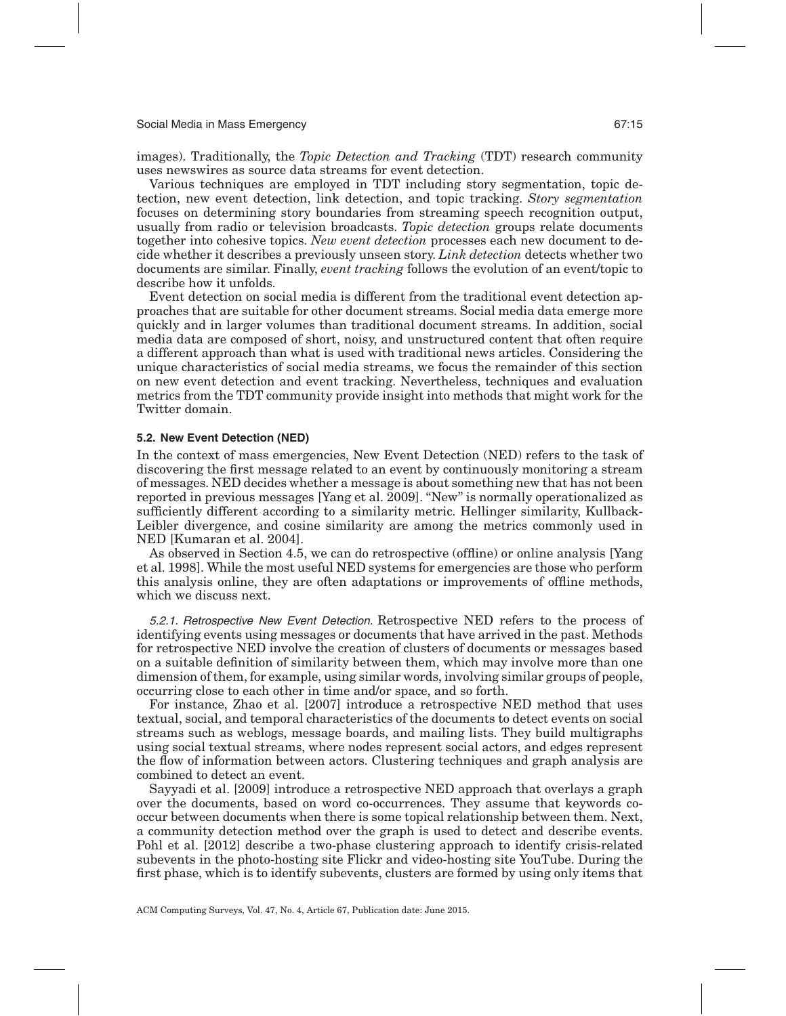images). Traditionally, the *Topic Detection and Tracking* (TDT) research community uses newswires as source data streams for event detection.

Various techniques are employed in TDT including story segmentation, topic detection, new event detection, link detection, and topic tracking. *Story segmentation* focuses on determining story boundaries from streaming speech recognition output, usually from radio or television broadcasts. *Topic detection* groups relate documents together into cohesive topics. *New event detection* processes each new document to decide whether it describes a previously unseen story. *Link detection* detects whether two documents are similar. Finally, *event tracking* follows the evolution of an event/topic to describe how it unfolds.

Event detection on social media is different from the traditional event detection approaches that are suitable for other document streams. Social media data emerge more quickly and in larger volumes than traditional document streams. In addition, social media data are composed of short, noisy, and unstructured content that often require a different approach than what is used with traditional news articles. Considering the unique characteristics of social media streams, we focus the remainder of this section on new event detection and event tracking. Nevertheless, techniques and evaluation metrics from the TDT community provide insight into methods that might work for the Twitter domain.

#### **5.2. New Event Detection (NED)**

In the context of mass emergencies, New Event Detection (NED) refers to the task of discovering the first message related to an event by continuously monitoring a stream of messages. NED decides whether a message is about something new that has not been reported in previous messages [Yang et al. [2009\]](#page-37-3). "New" is normally operationalized as sufficiently different according to a similarity metric. Hellinger similarity, Kullback-Leibler divergence, and cosine similarity are among the metrics commonly used in NED [Kumaran et al. [2004\]](#page-33-9).

As observed in Section [4.5,](#page-11-2) we can do retrospective (offline) or online analysis [Yang et al. [1998\]](#page-37-4). While the most useful NED systems for emergencies are those who perform this analysis online, they are often adaptations or improvements of offline methods, which we discuss next.

5.2.1. Retrospective New Event Detection. Retrospective NED refers to the process of identifying events using messages or documents that have arrived in the past. Methods for retrospective NED involve the creation of clusters of documents or messages based on a suitable definition of similarity between them, which may involve more than one dimension of them, for example, using similar words, involving similar groups of people, occurring close to each other in time and/or space, and so forth.

For instance, Zhao et al. [\[2007\]](#page-37-5) introduce a retrospective NED method that uses textual, social, and temporal characteristics of the documents to detect events on social streams such as weblogs, message boards, and mailing lists. They build multigraphs using social textual streams, where nodes represent social actors, and edges represent the flow of information between actors. Clustering techniques and graph analysis are combined to detect an event.

Sayyadi et al. [\[2009\]](#page-35-11) introduce a retrospective NED approach that overlays a graph over the documents, based on word co-occurrences. They assume that keywords cooccur between documents when there is some topical relationship between them. Next, a community detection method over the graph is used to detect and describe events. Pohl et al. [\[2012\]](#page-35-12) describe a two-phase clustering approach to identify crisis-related subevents in the photo-hosting site Flickr and video-hosting site YouTube. During the first phase, which is to identify subevents, clusters are formed by using only items that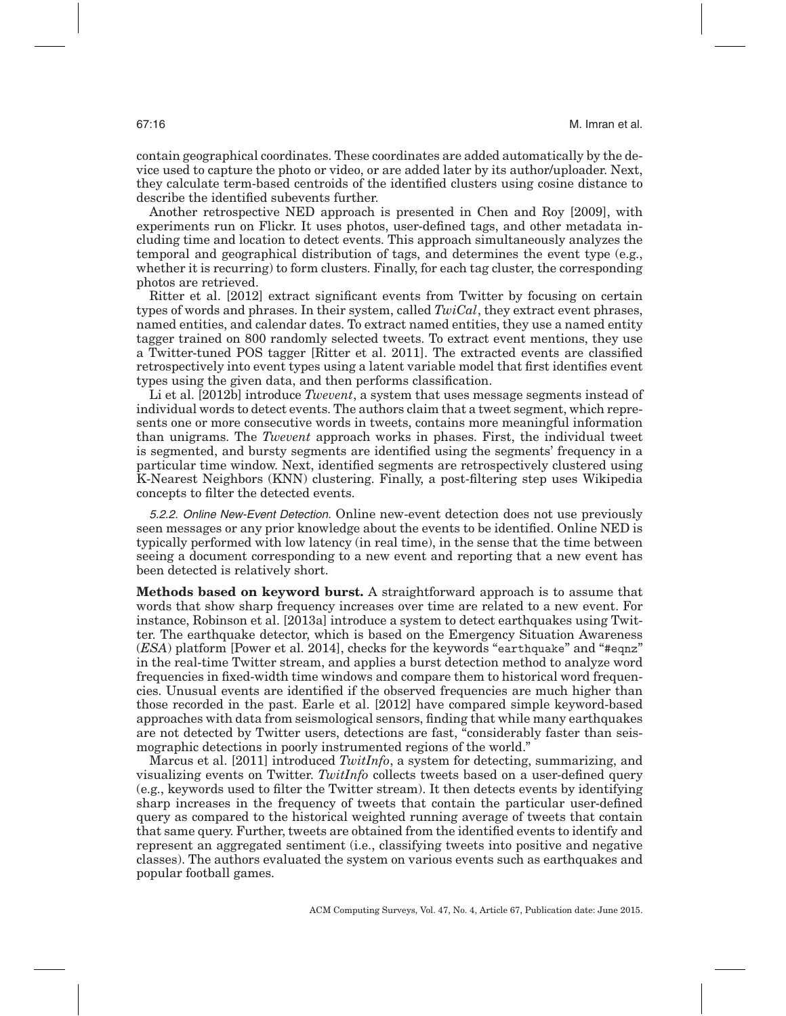contain geographical coordinates. These coordinates are added automatically by the device used to capture the photo or video, or are added later by its author/uploader. Next, they calculate term-based centroids of the identified clusters using cosine distance to describe the identified subevents further.

Another retrospective NED approach is presented in Chen and Roy [\[2009\]](#page-31-11), with experiments run on Flickr. It uses photos, user-defined tags, and other metadata including time and location to detect events. This approach simultaneously analyzes the temporal and geographical distribution of tags, and determines the event type (e.g., whether it is recurring) to form clusters. Finally, for each tag cluster, the corresponding photos are retrieved.

Ritter et al. [\[2012\]](#page-35-13) extract significant events from Twitter by focusing on certain types of words and phrases. In their system, called *TwiCal*, they extract event phrases, named entities, and calendar dates. To extract named entities, they use a named entity tagger trained on 800 randomly selected tweets. To extract event mentions, they use a Twitter-tuned POS tagger [Ritter et al. [2011\]](#page-35-14). The extracted events are classified retrospectively into event types using a latent variable model that first identifies event types using the given data, and then performs classification.

Li et al. [\[2012b\]](#page-33-10) introduce *Twevent*, a system that uses message segments instead of individual words to detect events. The authors claim that a tweet segment, which represents one or more consecutive words in tweets, contains more meaningful information than unigrams. The *Twevent* approach works in phases. First, the individual tweet is segmented, and bursty segments are identified using the segments' frequency in a particular time window. Next, identified segments are retrospectively clustered using K-Nearest Neighbors (KNN) clustering. Finally, a post-filtering step uses Wikipedia concepts to filter the detected events.

5.2.2. Online New-Event Detection. Online new-event detection does not use previously seen messages or any prior knowledge about the events to be identified. Online NED is typically performed with low latency (in real time), in the sense that the time between seeing a document corresponding to a new event and reporting that a new event has been detected is relatively short.

**Methods based on keyword burst.** A straightforward approach is to assume that words that show sharp frequency increases over time are related to a new event. For instance, Robinson et al. [\[2013a\]](#page-35-15) introduce a system to detect earthquakes using Twitter. The earthquake detector, which is based on the Emergency Situation Awareness (*ESA*) platform [Power et al. [2014\]](#page-35-4), checks for the keywords "earthquake" and "#eqnz" in the real-time Twitter stream, and applies a burst detection method to analyze word frequencies in fixed-width time windows and compare them to historical word frequencies. Unusual events are identified if the observed frequencies are much higher than those recorded in the past. Earle et al. [\[2012\]](#page-32-18) have compared simple keyword-based approaches with data from seismological sensors, finding that while many earthquakes are not detected by Twitter users, detections are fast, "considerably faster than seismographic detections in poorly instrumented regions of the world."

Marcus et al. [\[2011\]](#page-34-13) introduced *TwitInfo*, a system for detecting, summarizing, and visualizing events on Twitter. *TwitInfo* collects tweets based on a user-defined query (e.g., keywords used to filter the Twitter stream). It then detects events by identifying sharp increases in the frequency of tweets that contain the particular user-defined query as compared to the historical weighted running average of tweets that contain that same query. Further, tweets are obtained from the identified events to identify and represent an aggregated sentiment (i.e., classifying tweets into positive and negative classes). The authors evaluated the system on various events such as earthquakes and popular football games.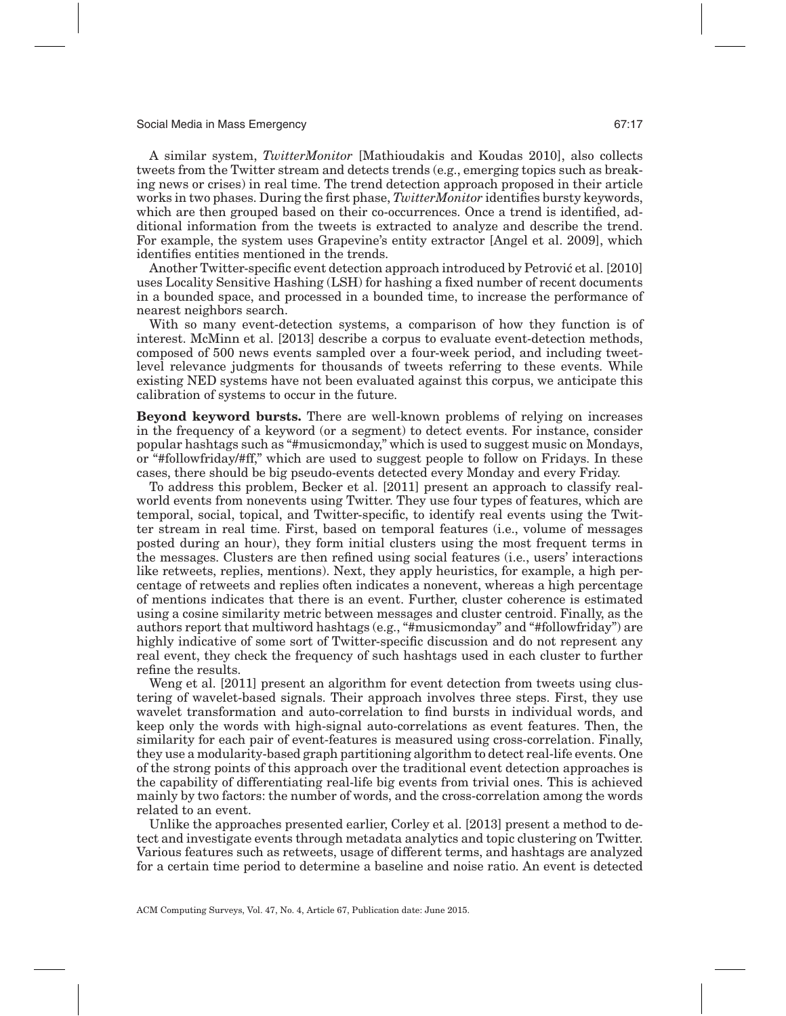#### Social Media in Mass Emergency 67:17

A similar system, *TwitterMonitor* [Mathioudakis and Koudas [2010\]](#page-34-14), also collects tweets from the Twitter stream and detects trends (e.g., emerging topics such as breaking news or crises) in real time. The trend detection approach proposed in their article works in two phases. During the first phase, *TwitterMonitor* identifies bursty keywords, which are then grouped based on their co-occurrences. Once a trend is identified, additional information from the tweets is extracted to analyze and describe the trend. For example, the system uses Grapevine's entity extractor [Angel et al. [2009\]](#page-30-9), which

identifies entities mentioned in the trends. Another Twitter-specific event detection approach introduced by Petrovic et al. [\[2010\]](#page-35-16) ´ uses Locality Sensitive Hashing (LSH) for hashing a fixed number of recent documents in a bounded space, and processed in a bounded time, to increase the performance of nearest neighbors search.

With so many event-detection systems, a comparison of how they function is of interest. McMinn et al. [\[2013\]](#page-34-15) describe a corpus to evaluate event-detection methods, composed of 500 news events sampled over a four-week period, and including tweetlevel relevance judgments for thousands of tweets referring to these events. While existing NED systems have not been evaluated against this corpus, we anticipate this calibration of systems to occur in the future.

**Beyond keyword bursts.** There are well-known problems of relying on increases in the frequency of a keyword (or a segment) to detect events. For instance, consider popular hashtags such as "#musicmonday," which is used to suggest music on Mondays, or "#followfriday/#ff," which are used to suggest people to follow on Fridays. In these cases, there should be big pseudo-events detected every Monday and every Friday.

To address this problem, Becker et al. [\[2011\]](#page-30-10) present an approach to classify realworld events from nonevents using Twitter. They use four types of features, which are temporal, social, topical, and Twitter-specific, to identify real events using the Twitter stream in real time. First, based on temporal features (i.e., volume of messages posted during an hour), they form initial clusters using the most frequent terms in the messages. Clusters are then refined using social features (i.e., users' interactions like retweets, replies, mentions). Next, they apply heuristics, for example, a high percentage of retweets and replies often indicates a nonevent, whereas a high percentage of mentions indicates that there is an event. Further, cluster coherence is estimated using a cosine similarity metric between messages and cluster centroid. Finally, as the authors report that multiword hashtags (e.g., "#musicmonday" and "#followfriday") are highly indicative of some sort of Twitter-specific discussion and do not represent any real event, they check the frequency of such hashtags used in each cluster to further refine the results.

Weng et al. [\[2011\]](#page-37-6) present an algorithm for event detection from tweets using clustering of wavelet-based signals. Their approach involves three steps. First, they use wavelet transformation and auto-correlation to find bursts in individual words, and keep only the words with high-signal auto-correlations as event features. Then, the similarity for each pair of event-features is measured using cross-correlation. Finally, they use a modularity-based graph partitioning algorithm to detect real-life events. One of the strong points of this approach over the traditional event detection approaches is the capability of differentiating real-life big events from trivial ones. This is achieved mainly by two factors: the number of words, and the cross-correlation among the words related to an event.

Unlike the approaches presented earlier, Corley et al. [\[2013\]](#page-31-12) present a method to detect and investigate events through metadata analytics and topic clustering on Twitter. Various features such as retweets, usage of different terms, and hashtags are analyzed for a certain time period to determine a baseline and noise ratio. An event is detected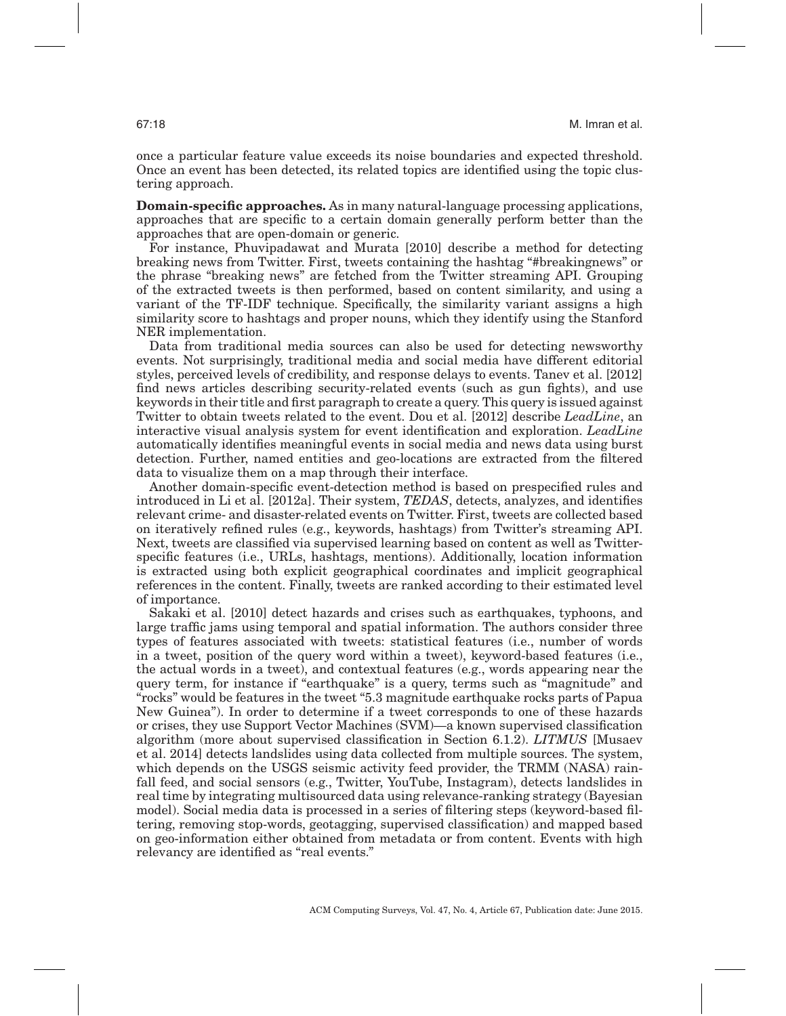once a particular feature value exceeds its noise boundaries and expected threshold. Once an event has been detected, its related topics are identified using the topic clustering approach.

**Domain-specific approaches.** As in many natural-language processing applications, approaches that are specific to a certain domain generally perform better than the approaches that are open-domain or generic.

For instance, Phuvipadawat and Murata [\[2010\]](#page-35-17) describe a method for detecting breaking news from Twitter. First, tweets containing the hashtag "#breakingnews" or the phrase "breaking news" are fetched from the Twitter streaming API. Grouping of the extracted tweets is then performed, based on content similarity, and using a variant of the TF-IDF technique. Specifically, the similarity variant assigns a high similarity score to hashtags and proper nouns, which they identify using the Stanford NER implementation.

Data from traditional media sources can also be used for detecting newsworthy events. Not surprisingly, traditional media and social media have different editorial styles, perceived levels of credibility, and response delays to events. Tanev et al. [\[2012\]](#page-36-12) find news articles describing security-related events (such as gun fights), and use keywords in their title and first paragraph to create a query. This query is issued against Twitter to obtain tweets related to the event. Dou et al. [\[2012\]](#page-32-17) describe *LeadLine*, an interactive visual analysis system for event identification and exploration. *LeadLine* automatically identifies meaningful events in social media and news data using burst detection. Further, named entities and geo-locations are extracted from the filtered data to visualize them on a map through their interface.

Another domain-specific event-detection method is based on prespecified rules and introduced in Li et al. [\[2012a\]](#page-33-11). Their system, *TEDAS*, detects, analyzes, and identifies relevant crime- and disaster-related events on Twitter. First, tweets are collected based on iteratively refined rules (e.g., keywords, hashtags) from Twitter's streaming API. Next, tweets are classified via supervised learning based on content as well as Twitterspecific features (i.e., URLs, hashtags, mentions). Additionally, location information is extracted using both explicit geographical coordinates and implicit geographical references in the content. Finally, tweets are ranked according to their estimated level of importance.

Sakaki et al. [\[2010\]](#page-35-18) detect hazards and crises such as earthquakes, typhoons, and large traffic jams using temporal and spatial information. The authors consider three types of features associated with tweets: statistical features (i.e., number of words in a tweet, position of the query word within a tweet), keyword-based features (i.e., the actual words in a tweet), and contextual features (e.g., words appearing near the query term, for instance if "earthquake" is a query, terms such as "magnitude" and "rocks" would be features in the tweet "5.3 magnitude earthquake rocks parts of Papua New Guinea"). In order to determine if a tweet corresponds to one of these hazards or crises, they use Support Vector Machines (SVM)—a known supervised classification algorithm (more about supervised classification in Section 6.1.2). *LITMUS* [Musaev et al. [2014\]](#page-34-5) detects landslides using data collected from multiple sources. The system, which depends on the USGS seismic activity feed provider, the TRMM (NASA) rainfall feed, and social sensors (e.g., Twitter, YouTube, Instagram), detects landslides in real time by integrating multisourced data using relevance-ranking strategy (Bayesian model). Social media data is processed in a series of filtering steps (keyword-based filtering, removing stop-words, geotagging, supervised classification) and mapped based on geo-information either obtained from metadata or from content. Events with high relevancy are identified as "real events."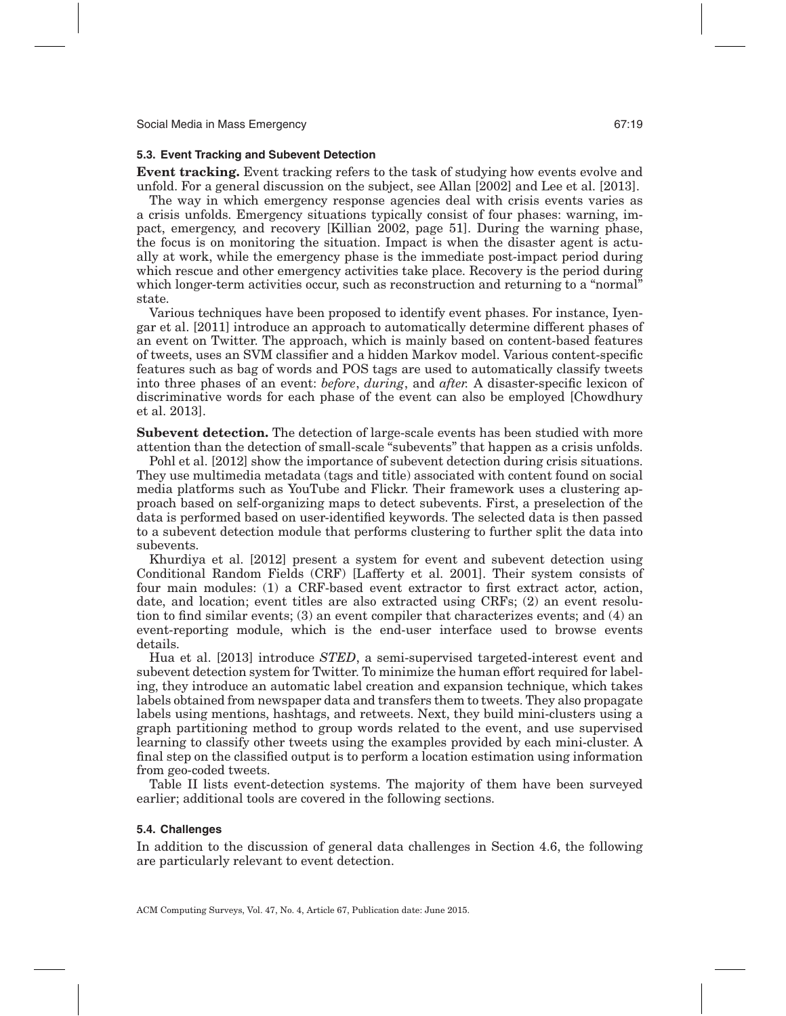#### **5.3. Event Tracking and Subevent Detection**

**Event tracking.** Event tracking refers to the task of studying how events evolve and unfold. For a general discussion on the subject, see Allan [\[2002\]](#page-30-8) and Lee et al. [\[2013\]](#page-33-12).

The way in which emergency response agencies deal with crisis events varies as a crisis unfolds. Emergency situations typically consist of four phases: warning, impact, emergency, and recovery [Killian [2002,](#page-33-13) page 51]. During the warning phase, the focus is on monitoring the situation. Impact is when the disaster agent is actually at work, while the emergency phase is the immediate post-impact period during which rescue and other emergency activities take place. Recovery is the period during which longer-term activities occur, such as reconstruction and returning to a "normal" state.

Various techniques have been proposed to identify event phases. For instance, Iyengar et al. [\[2011\]](#page-33-14) introduce an approach to automatically determine different phases of an event on Twitter. The approach, which is mainly based on content-based features of tweets, uses an SVM classifier and a hidden Markov model. Various content-specific features such as bag of words and POS tags are used to automatically classify tweets into three phases of an event: *before*, *during*, and *after.* A disaster-specific lexicon of discriminative words for each phase of the event can also be employed [Chowdhury et al. [2013\]](#page-31-13).

**Subevent detection.** The detection of large-scale events has been studied with more attention than the detection of small-scale "subevents" that happen as a crisis unfolds.

Pohl et al. [\[2012\]](#page-35-12) show the importance of subevent detection during crisis situations. They use multimedia metadata (tags and title) associated with content found on social media platforms such as YouTube and Flickr. Their framework uses a clustering approach based on self-organizing maps to detect subevents. First, a preselection of the data is performed based on user-identified keywords. The selected data is then passed to a subevent detection module that performs clustering to further split the data into subevents.

Khurdiya et al. [\[2012\]](#page-33-15) present a system for event and subevent detection using Conditional Random Fields (CRF) [Lafferty et al. [2001\]](#page-33-16). Their system consists of four main modules: (1) a CRF-based event extractor to first extract actor, action, date, and location; event titles are also extracted using CRFs; (2) an event resolution to find similar events; (3) an event compiler that characterizes events; and (4) an event-reporting module, which is the end-user interface used to browse events details.

Hua et al. [\[2013\]](#page-32-19) introduce *STED*, a semi-supervised targeted-interest event and subevent detection system for Twitter. To minimize the human effort required for labeling, they introduce an automatic label creation and expansion technique, which takes labels obtained from newspaper data and transfers them to tweets. They also propagate labels using mentions, hashtags, and retweets. Next, they build mini-clusters using a graph partitioning method to group words related to the event, and use supervised learning to classify other tweets using the examples provided by each mini-cluster. A final step on the classified output is to perform a location estimation using information from geo-coded tweets.

Table [II](#page-19-1) lists event-detection systems. The majority of them have been surveyed earlier; additional tools are covered in the following sections.

## **5.4. Challenges**

In addition to the discussion of general data challenges in Section [4.6,](#page-12-1) the following are particularly relevant to event detection.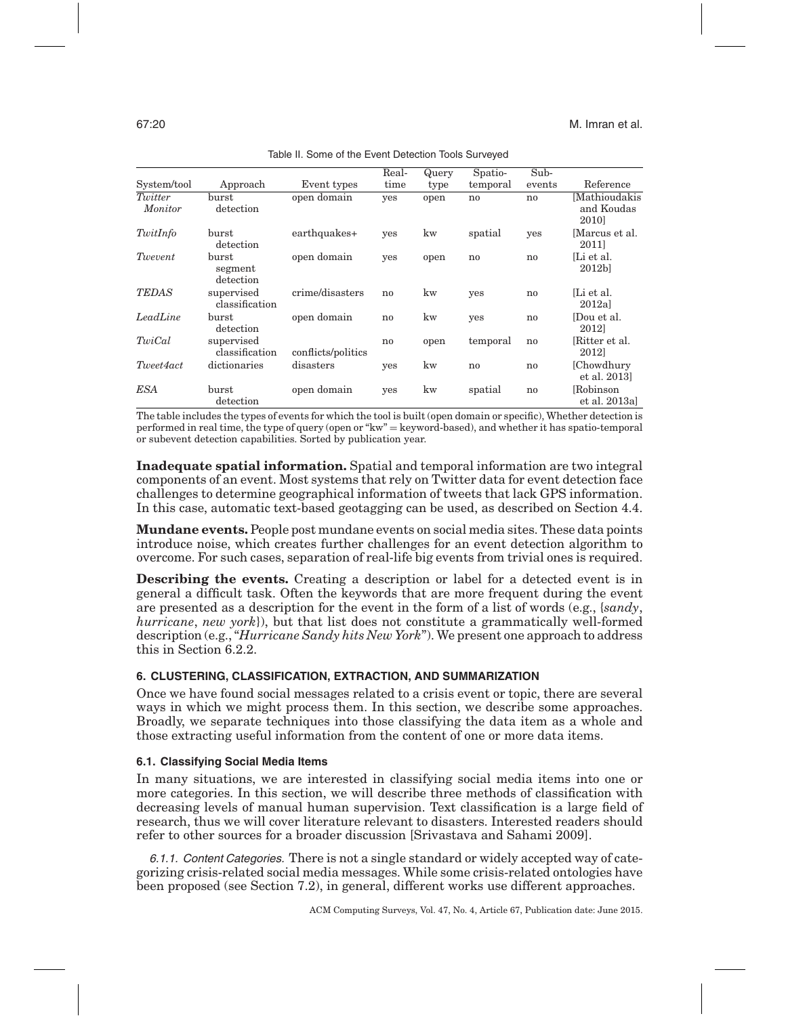<span id="page-19-1"></span>

|                    |                                           |                    | Real- | Query | Spatio-  | Sub-   |                                           |
|--------------------|-------------------------------------------|--------------------|-------|-------|----------|--------|-------------------------------------------|
| System/tool        | Approach                                  | Event types        | time  | type  | temporal | events | Reference                                 |
| Twitter<br>Monitor | $_{\text{burst}}$<br>detection            | open domain        | yes   | open  | no       | no     | <b>Mathioudakis</b><br>and Koudas<br>2010 |
| TwitInfo           | burst<br>detection                        | earthquakes+       | yes   | kw    | spatial  | yes    | [Marcus et al.<br>2011                    |
| Twevent            | $_{\text{burst}}$<br>segment<br>detection | open domain        | yes   | open  | no       | no     | Li et al.<br>2012 <sub>b</sub>            |
| <b>TEDAS</b>       | supervised<br>classification              | crime/disasters    | no    | kw    | yes      | no     | [Li et al.<br>2012a                       |
| LeadLine           | burst<br>detection                        | open domain        | no    | kw    | yes      | no     | [Dou et al.<br>2012]                      |
| TwiCal             | supervised<br>classification              | conflicts/politics | no    | open  | temporal | no     | [Ritter et al.<br>2012]                   |
| Tweet4act          | dictionaries                              | disasters          | yes   | kw    | no       | no     | [Chowdhury<br>et al. 2013]                |
| ESA                | burst<br>detection                        | open domain        | yes   | kw    | spatial  | no     | Robinson<br>et al. 2013al                 |

Table II. Some of the Event Detection Tools Surveyed

The table includes the types of events for which the tool is built (open domain or specific), Whether detection is performed in real time, the type of query (open or "kw" = keyword-based), and whether it has spatio-temporal or subevent detection capabilities. Sorted by publication year.

**Inadequate spatial information.** Spatial and temporal information are two integral components of an event. Most systems that rely on Twitter data for event detection face challenges to determine geographical information of tweets that lack GPS information. In this case, automatic text-based geotagging can be used, as described on Section [4.4.](#page-10-0)

**Mundane events.** People post mundane events on social media sites. These data points introduce noise, which creates further challenges for an event detection algorithm to overcome. For such cases, separation of real-life big events from trivial ones is required.

**Describing the events.** Creating a description or label for a detected event is in general a difficult task. Often the keywords that are more frequent during the event are presented as a description for the event in the form of a list of words (e.g., {*sandy*, *hurricane*, *new york*}), but that list does not constitute a grammatically well-formed description (e.g., "*Hurricane Sandy hits New York*"). We present one approach to address this in Section 6.2.2.

# **6. CLUSTERING, CLASSIFICATION, EXTRACTION, AND SUMMARIZATION**

<span id="page-19-0"></span>Once we have found social messages related to a crisis event or topic, there are several ways in which we might process them. In this section, we describe some approaches. Broadly, we separate techniques into those classifying the data item as a whole and those extracting useful information from the content of one or more data items.

# **6.1. Classifying Social Media Items**

In many situations, we are interested in classifying social media items into one or more categories. In this section, we will describe three methods of classification with decreasing levels of manual human supervision. Text classification is a large field of research, thus we will cover literature relevant to disasters. Interested readers should refer to other sources for a broader discussion [Srivastava and Sahami [2009\]](#page-36-13).

6.1.1. Content Categories. There is not a single standard or widely accepted way of categorizing crisis-related social media messages. While some crisis-related ontologies have been proposed (see Section [7.2\)](#page-27-0), in general, different works use different approaches.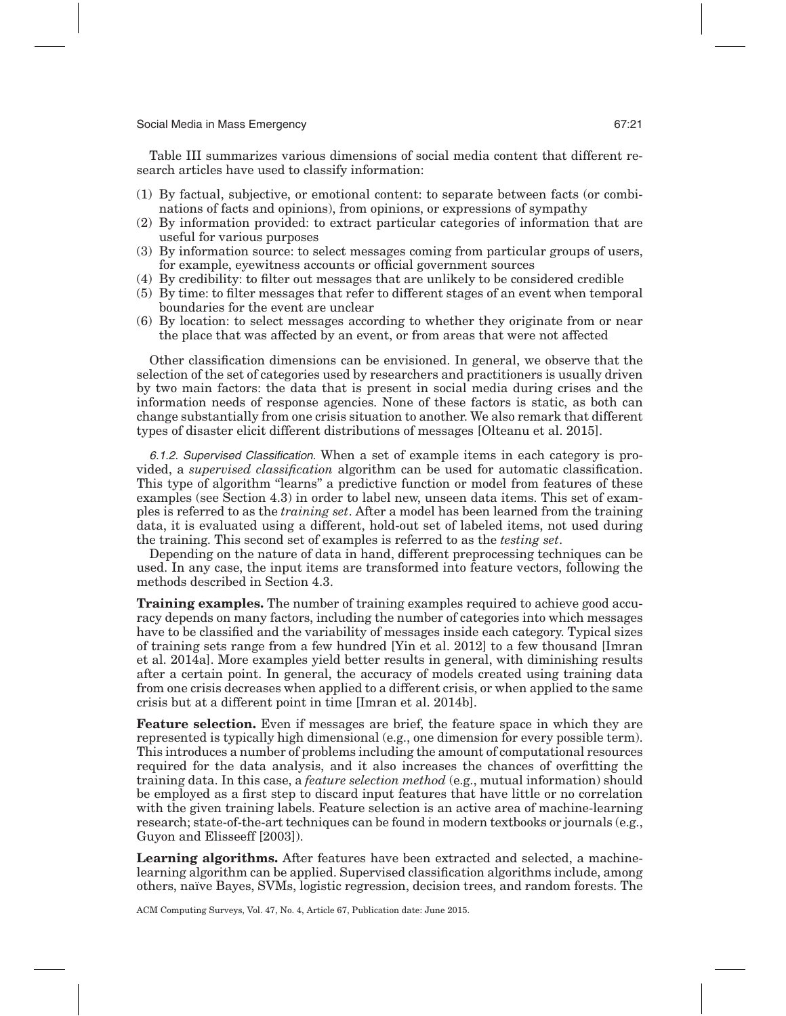Social Media in Mass Emergency 67:21 and 50 and 50 and 67:21 67:21

Table [III](#page-21-0) summarizes various dimensions of social media content that different research articles have used to classify information:

- (1) By factual, subjective, or emotional content: to separate between facts (or combinations of facts and opinions), from opinions, or expressions of sympathy
- (2) By information provided: to extract particular categories of information that are useful for various purposes
- (3) By information source: to select messages coming from particular groups of users, for example, eyewitness accounts or official government sources
- (4) By credibility: to filter out messages that are unlikely to be considered credible
- (5) By time: to filter messages that refer to different stages of an event when temporal boundaries for the event are unclear
- (6) By location: to select messages according to whether they originate from or near the place that was affected by an event, or from areas that were not affected

Other classification dimensions can be envisioned. In general, we observe that the selection of the set of categories used by researchers and practitioners is usually driven by two main factors: the data that is present in social media during crises and the information needs of response agencies. None of these factors is static, as both can change substantially from one crisis situation to another. We also remark that different types of disaster elicit different distributions of messages [Olteanu et al. [2015\]](#page-34-16).

6.1.2. Supervised Classification. When a set of example items in each category is provided, a *supervised classification* algorithm can be used for automatic classification. This type of algorithm "learns" a predictive function or model from features of these examples (see Section [4.3\)](#page-9-0) in order to label new, unseen data items. This set of examples is referred to as the *training set*. After a model has been learned from the training data, it is evaluated using a different, hold-out set of labeled items, not used during the training. This second set of examples is referred to as the *testing set*.

Depending on the nature of data in hand, different preprocessing techniques can be used. In any case, the input items are transformed into feature vectors, following the methods described in Section [4.3.](#page-9-0)

**Training examples.** The number of training examples required to achieve good accuracy depends on many factors, including the number of categories into which messages have to be classified and the variability of messages inside each category. Typical sizes of training sets range from a few hundred [Yin et al. [2012\]](#page-37-1) to a few thousand [Imran et al. [2014a\]](#page-33-0). More examples yield better results in general, with diminishing results after a certain point. In general, the accuracy of models created using training data from one crisis decreases when applied to a different crisis, or when applied to the same crisis but at a different point in time [Imran et al. [2014b\]](#page-33-17).

**Feature selection.** Even if messages are brief, the feature space in which they are represented is typically high dimensional (e.g., one dimension for every possible term). This introduces a number of problems including the amount of computational resources required for the data analysis, and it also increases the chances of overfitting the training data. In this case, a *feature selection method* (e.g., mutual information) should be employed as a first step to discard input features that have little or no correlation with the given training labels. Feature selection is an active area of machine-learning research; state-of-the-art techniques can be found in modern textbooks or journals (e.g., Guyon and Elisseeff [\[2003\]](#page-32-20)).

**Learning algorithms.** After features have been extracted and selected, a machinelearning algorithm can be applied. Supervised classification algorithms include, among others, na¨ıve Bayes, SVMs, logistic regression, decision trees, and random forests. The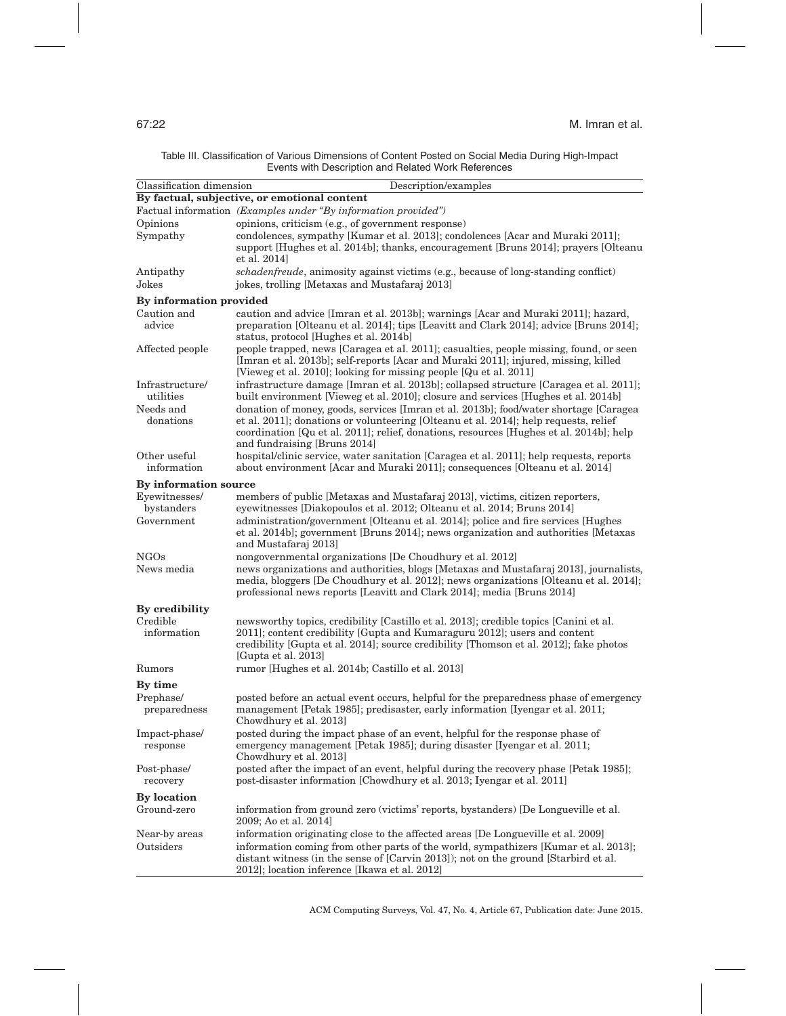Table III. Classification of Various Dimensions of Content Posted on Social Media During High-Impact Events with Description and Related Work References

<span id="page-21-0"></span>

| Classification dimension     | Description/examples                                                                                                                                                         |  |  |  |
|------------------------------|------------------------------------------------------------------------------------------------------------------------------------------------------------------------------|--|--|--|
|                              | By factual, subjective, or emotional content                                                                                                                                 |  |  |  |
|                              | Factual information (Examples under "By information provided")                                                                                                               |  |  |  |
| Opinions                     | opinions, criticism (e.g., of government response)                                                                                                                           |  |  |  |
| Sympathy                     | condolences, sympathy [Kumar et al. 2013]; condolences [Acar and Muraki 2011];                                                                                               |  |  |  |
|                              | support [Hughes et al. 2014b]; thanks, encouragement [Bruns 2014]; prayers [Olteanu<br>et al. 2014]                                                                          |  |  |  |
| Antipathy                    | schaden freude, animosity against victims (e.g., because of long-standing conflict)                                                                                          |  |  |  |
| Jokes                        | jokes, trolling [Metaxas and Mustafaraj 2013]                                                                                                                                |  |  |  |
| By information provided      |                                                                                                                                                                              |  |  |  |
| Caution and                  | caution and advice [Imran et al. 2013b]; warnings [Acar and Muraki 2011]; hazard,                                                                                            |  |  |  |
| advice                       | preparation [Olteanu et al. 2014]; tips [Leavitt and Clark 2014]; advice [Bruns 2014];<br>status, protocol [Hughes et al. 2014b]                                             |  |  |  |
| Affected people              | people trapped, news [Caragea et al. 2011]; casualties, people missing, found, or seen                                                                                       |  |  |  |
|                              | [Imran et al. 2013b]; self-reports [Acar and Muraki 2011]; injured, missing, killed<br>[Vieweg et al. 2010]; looking for missing people [Qu et al. 2011]                     |  |  |  |
| Infrastructure/<br>utilities | infrastructure damage [Imran et al. 2013b]; collapsed structure [Caragea et al. 2011];<br>built environment [Vieweg et al. 2010]; closure and services [Hughes et al. 2014b] |  |  |  |
| Needs and                    | donation of money, goods, services [Imran et al. 2013b]; food/water shortage [Caragea                                                                                        |  |  |  |
| donations                    | et al. 2011; donations or volunteering [Olteanu et al. 2014]; help requests, relief                                                                                          |  |  |  |
|                              | coordination [Qu et al. 2011]; relief, donations, resources [Hughes et al. 2014b]; help<br>and fundraising [Bruns 2014]                                                      |  |  |  |
| Other useful                 | hospital/clinic service, water sanitation [Caragea et al. 2011]; help requests, reports                                                                                      |  |  |  |
| information                  | about environment [Acar and Muraki 2011]; consequences [Olteanu et al. 2014]                                                                                                 |  |  |  |
| By information source        |                                                                                                                                                                              |  |  |  |
| Eyewitnesses/<br>bystanders  | members of public [Metaxas and Mustafaraj 2013], victims, citizen reporters,<br>eyewitnesses [Diakopoulos et al. 2012; Olteanu et al. 2014; Bruns 2014]                      |  |  |  |
| Government                   | administration/government [Olteanu et al. 2014]; police and fire services [Hughes                                                                                            |  |  |  |
|                              | et al. 2014b]; government [Bruns 2014]; news organization and authorities [Metaxas<br>and Mustafaraj 2013]                                                                   |  |  |  |
| NGO <sub>s</sub>             | nongovernmental organizations [De Choudhury et al. 2012]                                                                                                                     |  |  |  |
| News media                   | news organizations and authorities, blogs [Metaxas and Mustafaraj 2013], journalists,                                                                                        |  |  |  |
|                              | media, bloggers [De Choudhury et al. 2012]; news organizations [Olteanu et al. 2014];<br>professional news reports [Leavitt and Clark 2014]; media [Bruns 2014]              |  |  |  |
| By credibility               |                                                                                                                                                                              |  |  |  |
| Credible                     | newsworthy topics, credibility [Castillo et al. 2013]; credible topics [Canini et al.                                                                                        |  |  |  |
| information                  | 2011); content credibility [Gupta and Kumaraguru 2012]; users and content                                                                                                    |  |  |  |
|                              | credibility [Gupta et al. 2014]; source credibility [Thomson et al. 2012]; fake photos                                                                                       |  |  |  |
| Rumors                       | [Gupta et al. 2013]<br>rumor [Hughes et al. 2014b; Castillo et al. 2013]                                                                                                     |  |  |  |
|                              |                                                                                                                                                                              |  |  |  |
| By time                      |                                                                                                                                                                              |  |  |  |
| Prephase/<br>preparedness    | posted before an actual event occurs, helpful for the preparedness phase of emergency<br>management [Petak 1985]; predisaster, early information [Iyengar et al. 2011;       |  |  |  |
|                              | Chowdhury et al. 2013]                                                                                                                                                       |  |  |  |
| Impact-phase/                | posted during the impact phase of an event, helpful for the response phase of                                                                                                |  |  |  |
| response                     | emergency management [Petak 1985]; during disaster [Iyengar et al. 2011;                                                                                                     |  |  |  |
|                              | Chowdhury et al. 2013]                                                                                                                                                       |  |  |  |
| Post-phase/                  | posted after the impact of an event, helpful during the recovery phase [Petak 1985];                                                                                         |  |  |  |
| recovery                     | post-disaster information [Chowdhury et al. 2013; Iyengar et al. 2011]                                                                                                       |  |  |  |
| By location                  |                                                                                                                                                                              |  |  |  |
| Ground-zero                  | information from ground zero (victims' reports, bystanders) [De Longueville et al.<br>2009; Ao et al. 2014]                                                                  |  |  |  |
| Near-by areas                | information originating close to the affected areas [De Longueville et al. 2009]                                                                                             |  |  |  |
| Outsiders                    | information coming from other parts of the world, sympathizers [Kumar et al. 2013];                                                                                          |  |  |  |
|                              | distant witness (in the sense of [Carvin 2013]); not on the ground [Starbird et al.<br>2012]; location inference [Ikawa et al. 2012]                                         |  |  |  |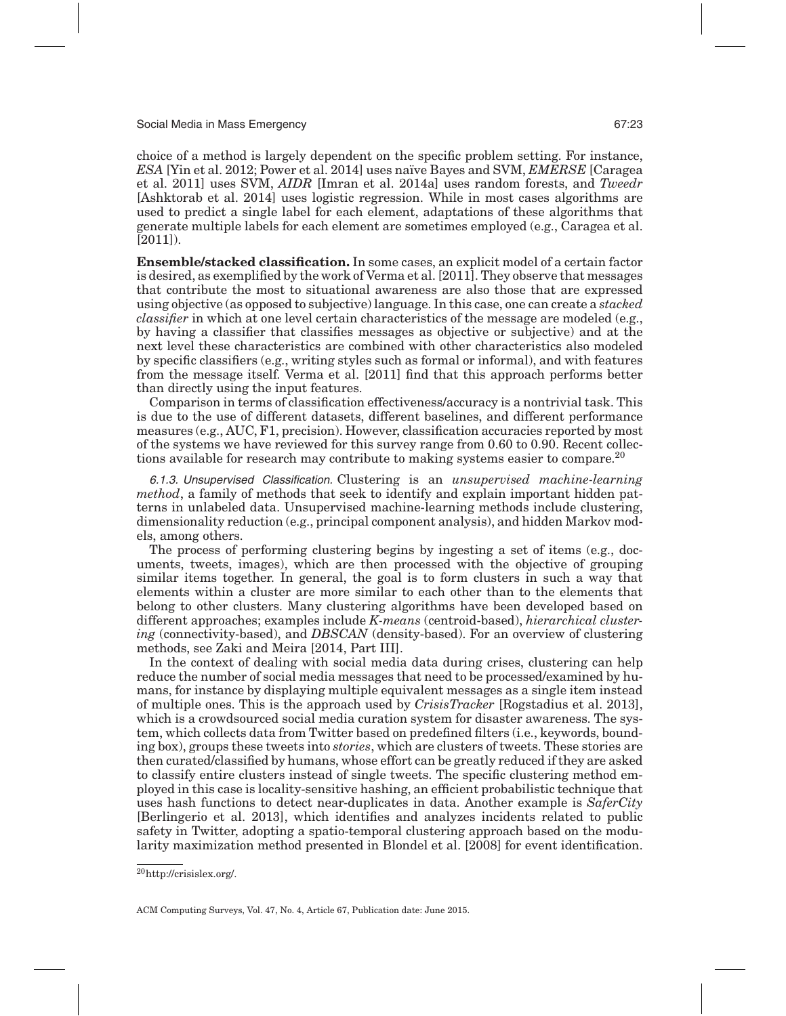choice of a method is largely dependent on the specific problem setting. For instance, *ESA* [Yin et al. [2012;](#page-37-1) Power et al. [2014\]](#page-35-4) uses na¨ıve Bayes and SVM, *EMERSE* [Caragea et al. [2011\]](#page-31-1) uses SVM, *AIDR* [Imran et al. [2014a\]](#page-33-0) uses random forests, and *Tweedr* [Ashktorab et al. [2014\]](#page-30-2) uses logistic regression. While in most cases algorithms are used to predict a single label for each element, adaptations of these algorithms that generate multiple labels for each element are sometimes employed (e.g., Caragea et al. [\[2011\]](#page-31-1)).

**Ensemble/stacked classification.** In some cases, an explicit model of a certain factor is desired, as exemplified by the work of Verma et al. [\[2011\]](#page-36-16). They observe that messages that contribute the most to situational awareness are also those that are expressed using objective (as opposed to subjective) language. In this case, one can create a *stacked classifier* in which at one level certain characteristics of the message are modeled (e.g., by having a classifier that classifies messages as objective or subjective) and at the next level these characteristics are combined with other characteristics also modeled by specific classifiers (e.g., writing styles such as formal or informal), and with features from the message itself. Verma et al. [\[2011\]](#page-36-16) find that this approach performs better than directly using the input features.

Comparison in terms of classification effectiveness/accuracy is a nontrivial task. This is due to the use of different datasets, different baselines, and different performance measures (e.g., AUC, F1, precision). However, classification accuracies reported by most of the systems we have reviewed for this survey range from 0.60 to 0.90. Recent collec-tions available for research may contribute to making systems easier to compare.<sup>[20](#page-22-0)</sup>

6.1.3. Unsupervised Classification. Clustering is an *unsupervised machine-learning method*, a family of methods that seek to identify and explain important hidden patterns in unlabeled data. Unsupervised machine-learning methods include clustering, dimensionality reduction (e.g., principal component analysis), and hidden Markov models, among others.

The process of performing clustering begins by ingesting a set of items (e.g., documents, tweets, images), which are then processed with the objective of grouping similar items together. In general, the goal is to form clusters in such a way that elements within a cluster are more similar to each other than to the elements that belong to other clusters. Many clustering algorithms have been developed based on different approaches; examples include *K-means* (centroid-based), *hierarchical clustering* (connectivity-based), and *DBSCAN* (density-based). For an overview of clustering methods, see Zaki and Meira [2014, Part III].

In the context of dealing with social media data during crises, clustering can help reduce the number of social media messages that need to be processed/examined by humans, for instance by displaying multiple equivalent messages as a single item instead of multiple ones. This is the approach used by *CrisisTracker* [Rogstadius et al. [2013\]](#page-35-5), which is a crowdsourced social media curation system for disaster awareness. The system, which collects data from Twitter based on predefined filters (i.e., keywords, bounding box), groups these tweets into *stories*, which are clusters of tweets. These stories are then curated/classified by humans, whose effort can be greatly reduced if they are asked to classify entire clusters instead of single tweets. The specific clustering method employed in this case is locality-sensitive hashing, an efficient probabilistic technique that uses hash functions to detect near-duplicates in data. Another example is *SaferCity* [Berlingerio et al. [2013\]](#page-31-19), which identifies and analyzes incidents related to public safety in Twitter, adopting a spatio-temporal clustering approach based on the modularity maximization method presented in Blondel et al. [\[2008\]](#page-31-20) for event identification.

<span id="page-22-0"></span><sup>2</sup>[0http://crisislex.org/.](http://crisislex.org/.)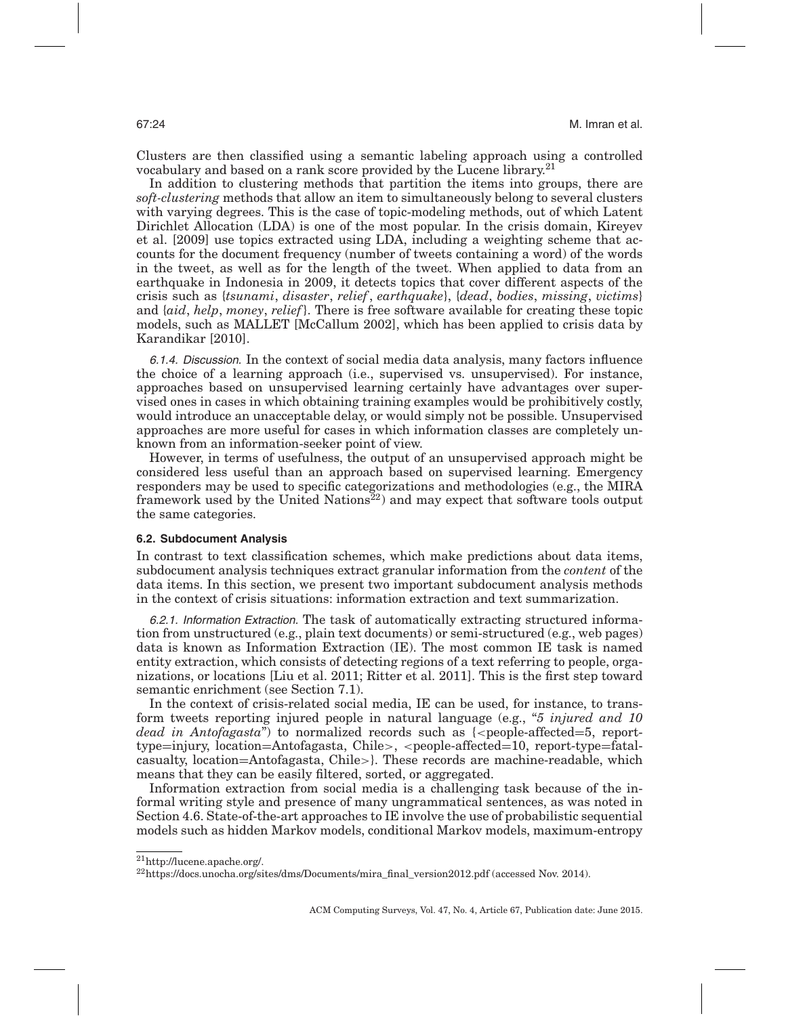Clusters are then classified using a semantic labeling approach using a controlled vocabulary and based on a rank score provided by the Lucene library.<sup>21</sup>

In addition to clustering methods that partition the items into groups, there are *soft-clustering* methods that allow an item to simultaneously belong to several clusters with varying degrees. This is the case of topic-modeling methods, out of which Latent Dirichlet Allocation (LDA) is one of the most popular. In the crisis domain, Kireyev et al. [\[2009\]](#page-33-22) use topics extracted using LDA, including a weighting scheme that accounts for the document frequency (number of tweets containing a word) of the words in the tweet, as well as for the length of the tweet. When applied to data from an earthquake in Indonesia in 2009, it detects topics that cover different aspects of the crisis such as {*tsunami*, *disaster*, *relief*, *earthquake*}, {*dead*, *bodies*, *missing*, *victims*} and {*aid*, *help*, *money*, *relief*}. There is free software available for creating these topic models, such as MALLET [McCallum [2002\]](#page-34-18), which has been applied to crisis data by Karandikar [\[2010\]](#page-33-23).

6.1.4. Discussion. In the context of social media data analysis, many factors influence the choice of a learning approach (i.e., supervised vs. unsupervised). For instance, approaches based on unsupervised learning certainly have advantages over supervised ones in cases in which obtaining training examples would be prohibitively costly, would introduce an unacceptable delay, or would simply not be possible. Unsupervised approaches are more useful for cases in which information classes are completely unknown from an information-seeker point of view.

However, in terms of usefulness, the output of an unsupervised approach might be considered less useful than an approach based on supervised learning. Emergency responders may be used to specific categorizations and methodologies (e.g., the MIRA framework used by the United Nations<sup>22</sup>) and may expect that software tools output the same categories.

#### **6.2. Subdocument Analysis**

In contrast to text classification schemes, which make predictions about data items, subdocument analysis techniques extract granular information from the *content* of the data items. In this section, we present two important subdocument analysis methods in the context of crisis situations: information extraction and text summarization.

6.2.1. Information Extraction. The task of automatically extracting structured information from unstructured (e.g., plain text documents) or semi-structured (e.g., web pages) data is known as Information Extraction (IE). The most common IE task is named entity extraction, which consists of detecting regions of a text referring to people, organizations, or locations [Liu et al. [2011;](#page-34-19) Ritter et al. [2011\]](#page-35-14). This is the first step toward semantic enrichment (see Section [7.1\)](#page-26-0).

In the context of crisis-related social media, IE can be used, for instance, to transform tweets reporting injured people in natural language (e.g., "*5 injured and 10 dead in Antofagasta*") to normalized records such as  $\{\text{$ type=injury, location=Antofagasta, Chile>, <people-affected=10, report-type=fatalcasualty, location=Antofagasta, Chile>}. These records are machine-readable, which means that they can be easily filtered, sorted, or aggregated.

Information extraction from social media is a challenging task because of the informal writing style and presence of many ungrammatical sentences, as was noted in Section [4.6.](#page-12-1) State-of-the-art approaches to IE involve the use of probabilistic sequential models such as hidden Markov models, conditional Markov models, maximum-entropy

<span id="page-23-0"></span> $^{21}{\rm http://lucene.apache.org/}.$ 

<span id="page-23-1"></span> $^{22}\rm{https://docs.unocha.org/sites/dms/Documents/mira\_final\_version2012.pdf}$  (accessed Nov. 2014).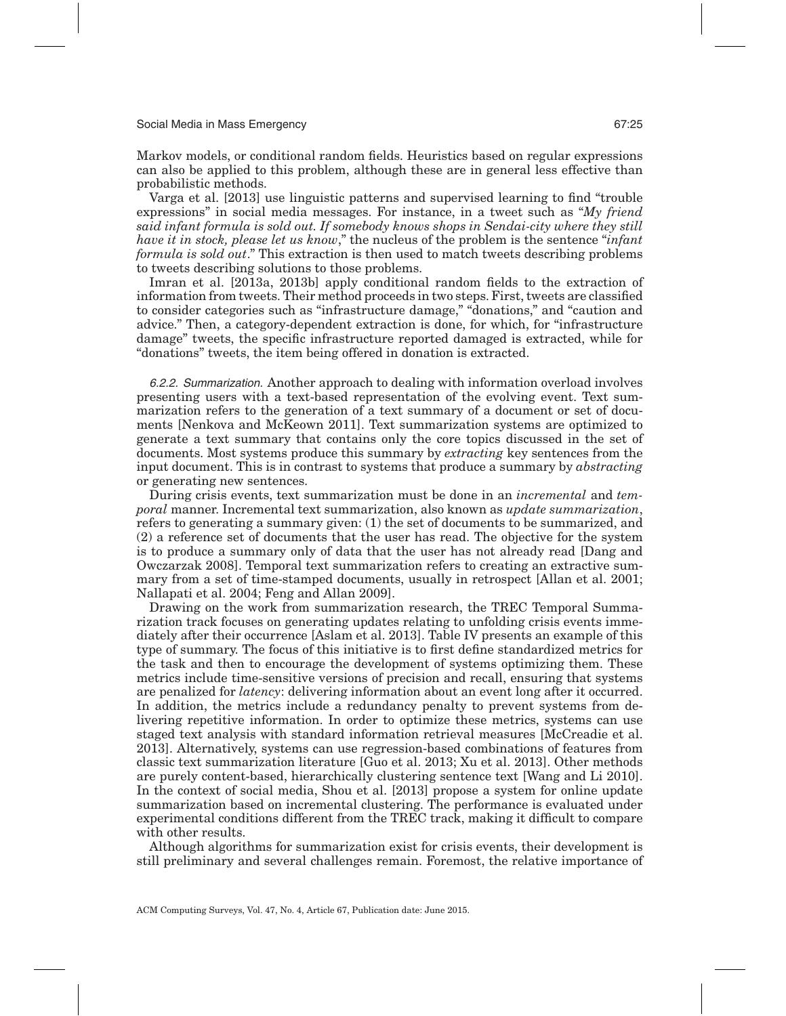#### Social Media in Mass Emergency 67:25

Markov models, or conditional random fields. Heuristics based on regular expressions can also be applied to this problem, although these are in general less effective than probabilistic methods.

Varga et al. [\[2013\]](#page-36-17) use linguistic patterns and supervised learning to find "trouble expressions" in social media messages. For instance, in a tweet such as "*My friend said infant formula is sold out. If somebody knows shops in Sendai-city where they still have it in stock, please let us know*," the nucleus of the problem is the sentence "*infant formula is sold out*." This extraction is then used to match tweets describing problems to tweets describing solutions to those problems.

Imran et al. [\[2013a,](#page-33-5) [2013b\]](#page-33-20) apply conditional random fields to the extraction of information from tweets. Their method proceeds in two steps. First, tweets are classified to consider categories such as "infrastructure damage," "donations," and "caution and advice." Then, a category-dependent extraction is done, for which, for "infrastructure damage" tweets, the specific infrastructure reported damaged is extracted, while for "donations" tweets, the item being offered in donation is extracted.

6.2.2. Summarization. Another approach to dealing with information overload involves presenting users with a text-based representation of the evolving event. Text summarization refers to the generation of a text summary of a document or set of documents [Nenkova and McKeown [2011\]](#page-34-20). Text summarization systems are optimized to generate a text summary that contains only the core topics discussed in the set of documents. Most systems produce this summary by *extracting* key sentences from the input document. This is in contrast to systems that produce a summary by *abstracting* or generating new sentences.

During crisis events, text summarization must be done in an *incremental* and *temporal* manner. Incremental text summarization, also known as *update summarization*, refers to generating a summary given: (1) the set of documents to be summarized, and (2) a reference set of documents that the user has read. The objective for the system is to produce a summary only of data that the user has not already read [Dang and Owczarzak [2008\]](#page-31-21). Temporal text summarization refers to creating an extractive summary from a set of time-stamped documents, usually in retrospect [Allan et al. [2001;](#page-30-12) Nallapati et al. [2004;](#page-34-21) Feng and Allan [2009\]](#page-32-24).

Drawing on the work from summarization research, the TREC Temporal Summarization track focuses on generating updates relating to unfolding crisis events immediately after their occurrence [Aslam et al. [2013\]](#page-30-6). Table [IV](#page-25-1) presents an example of this type of summary. The focus of this initiative is to first define standardized metrics for the task and then to encourage the development of systems optimizing them. These metrics include time-sensitive versions of precision and recall, ensuring that systems are penalized for *latency*: delivering information about an event long after it occurred. In addition, the metrics include a redundancy penalty to prevent systems from delivering repetitive information. In order to optimize these metrics, systems can use staged text analysis with standard information retrieval measures [McCreadie et al. [2013\]](#page-34-22). Alternatively, systems can use regression-based combinations of features from classic text summarization literature [Guo et al. [2013;](#page-32-14) Xu et al. [2013\]](#page-37-7). Other methods are purely content-based, hierarchically clustering sentence text [Wang and Li [2010\]](#page-37-8). In the context of social media, Shou et al. [\[2013\]](#page-36-18) propose a system for online update summarization based on incremental clustering. The performance is evaluated under experimental conditions different from the TREC track, making it difficult to compare with other results.

Although algorithms for summarization exist for crisis events, their development is still preliminary and several challenges remain. Foremost, the relative importance of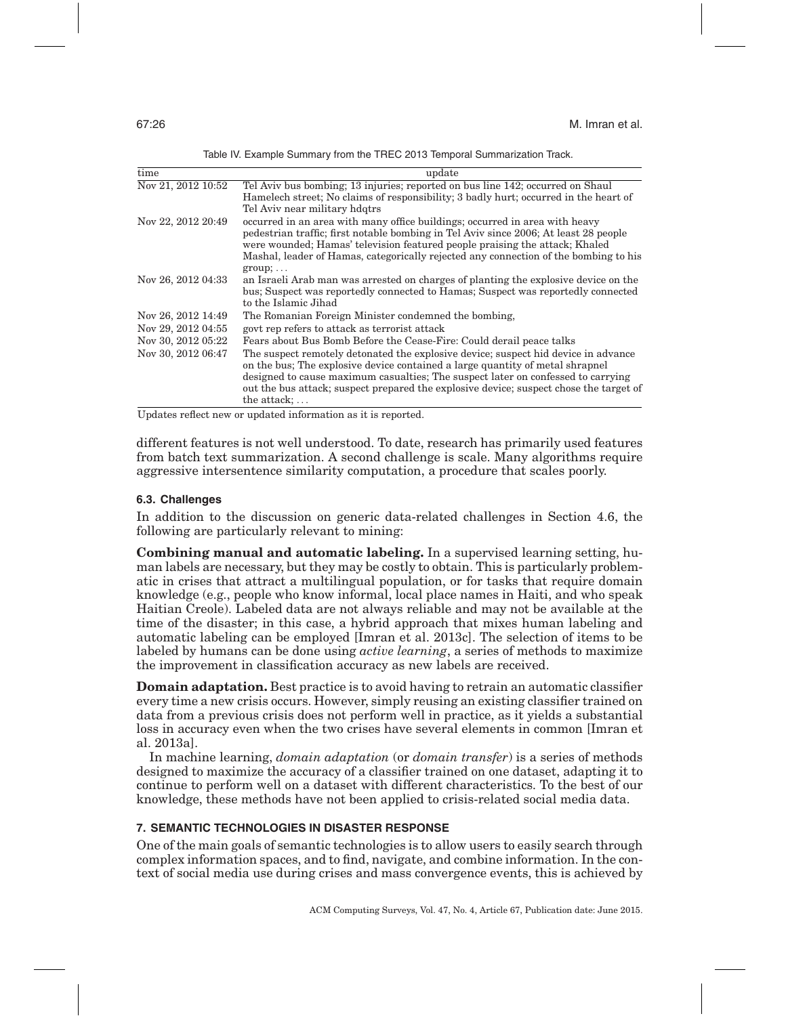<span id="page-25-1"></span>

| time               | update                                                                                                                                                                                          |
|--------------------|-------------------------------------------------------------------------------------------------------------------------------------------------------------------------------------------------|
| Nov 21, 2012 10:52 | Tel Aviv bus bombing; 13 injuries; reported on bus line 142; occurred on Shaul<br>Hamelech street; No claims of responsibility; 3 badly hurt; occurred in the heart of                          |
|                    | Tel Aviv near military hdqtrs                                                                                                                                                                   |
| Nov 22, 2012 20:49 | occurred in an area with many office buildings; occurred in area with heavy                                                                                                                     |
|                    | pedestrian traffic; first notable bombing in Tel Aviv since 2006; At least 28 people<br>were wounded; Hamas' television featured people praising the attack; Khaled                             |
|                    | Mashal, leader of Hamas, categorically rejected any connection of the bombing to his<br>$group; \ldots$                                                                                         |
| Nov 26, 2012 04:33 | an Israeli Arab man was arrested on charges of planting the explosive device on the<br>bus; Suspect was reportedly connected to Hamas; Suspect was reportedly connected<br>to the Islamic Jihad |
| Nov 26, 2012 14:49 | The Romanian Foreign Minister condemned the bombing,                                                                                                                                            |
| Nov 29, 2012 04:55 | govt rep refers to attack as terrorist attack                                                                                                                                                   |
| Nov 30, 2012 05:22 | Fears about Bus Bomb Before the Cease-Fire: Could derail peace talks                                                                                                                            |
| Nov 30, 2012 06:47 | The suspect remotely detonated the explosive device: suspect hid device in advance                                                                                                              |

Table IV. Example Summary from the TREC 2013 Temporal Summarization Track.

the attack; ... Updates reflect new or updated information as it is reported.

different features is not well understood. To date, research has primarily used features from batch text summarization. A second challenge is scale. Many algorithms require aggressive intersentence similarity computation, a procedure that scales poorly.

on the bus; The explosive device contained a large quantity of metal shrapnel designed to cause maximum casualties; The suspect later on confessed to carrying out the bus attack; suspect prepared the explosive device; suspect chose the target of

# **6.3. Challenges**

In addition to the discussion on generic data-related challenges in Section [4.6,](#page-12-1) the following are particularly relevant to mining:

**Combining manual and automatic labeling.** In a supervised learning setting, human labels are necessary, but they may be costly to obtain. This is particularly problematic in crises that attract a multilingual population, or for tasks that require domain knowledge (e.g., people who know informal, local place names in Haiti, and who speak Haitian Creole). Labeled data are not always reliable and may not be available at the time of the disaster; in this case, a hybrid approach that mixes human labeling and automatic labeling can be employed [Imran et al. [2013c\]](#page-33-24). The selection of items to be labeled by humans can be done using *active learning*, a series of methods to maximize the improvement in classification accuracy as new labels are received.

**Domain adaptation.** Best practice is to avoid having to retrain an automatic classifier every time a new crisis occurs. However, simply reusing an existing classifier trained on data from a previous crisis does not perform well in practice, as it yields a substantial loss in accuracy even when the two crises have several elements in common [Imran et al. [2013a\]](#page-33-5).

In machine learning, *domain adaptation* (or *domain transfer*) is a series of methods designed to maximize the accuracy of a classifier trained on one dataset, adapting it to continue to perform well on a dataset with different characteristics. To the best of our knowledge, these methods have not been applied to crisis-related social media data.

# **7. SEMANTIC TECHNOLOGIES IN DISASTER RESPONSE**

<span id="page-25-0"></span>One of the main goals of semantic technologies is to allow users to easily search through complex information spaces, and to find, navigate, and combine information. In the context of social media use during crises and mass convergence events, this is achieved by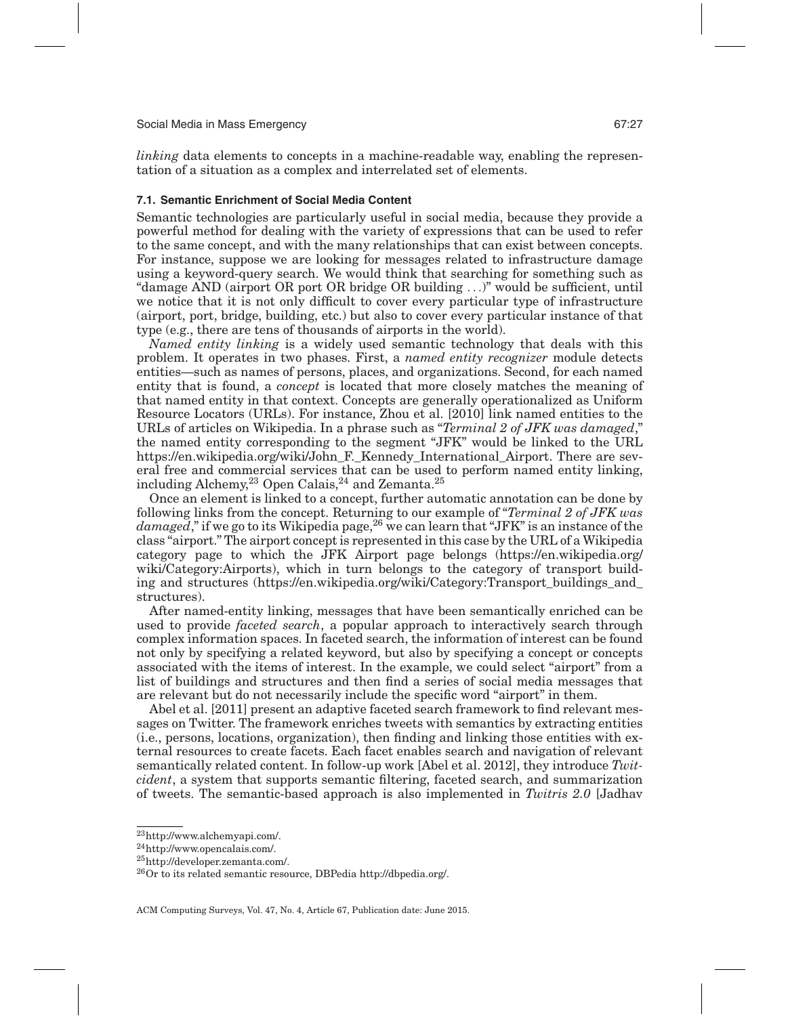*linking* data elements to concepts in a machine-readable way, enabling the representation of a situation as a complex and interrelated set of elements.

#### **7.1. Semantic Enrichment of Social Media Content**

<span id="page-26-0"></span>Semantic technologies are particularly useful in social media, because they provide a powerful method for dealing with the variety of expressions that can be used to refer to the same concept, and with the many relationships that can exist between concepts. For instance, suppose we are looking for messages related to infrastructure damage using a keyword-query search. We would think that searching for something such as "damage AND (airport OR port OR bridge OR building ...)" would be sufficient, until we notice that it is not only difficult to cover every particular type of infrastructure (airport, port, bridge, building, etc.) but also to cover every particular instance of that type (e.g., there are tens of thousands of airports in the world).

*Named entity linking* is a widely used semantic technology that deals with this problem. It operates in two phases. First, a *named entity recognizer* module detects entities—such as names of persons, places, and organizations. Second, for each named entity that is found, a *concept* is located that more closely matches the meaning of that named entity in that context. Concepts are generally operationalized as Uniform Resource Locators (URLs). For instance, Zhou et al. [\[2010\]](#page-37-9) link named entities to the URLs of articles on Wikipedia. In a phrase such as "*Terminal 2 of JFK was damaged*," the named entity corresponding to the segment "JFK" would be linked to the URL https://en.wikipedia.org/wiki/John F. Kennedy International Airport. There are several free and commercial services that can be used to perform named entity linking, including Alchemy,  $23$  Open Calais,  $24$  and Zemanta.  $25$ 

Once an element is linked to a concept, further automatic annotation can be done by following links from the concept. Returning to our example of "*Terminal 2 of JFK was* damaged," if we go to its Wikipedia page, <sup>26</sup> we can learn that "JFK" is an instance of the class "airport." The airport concept is represented in this case by the URL of a Wikipedia category page to which the JFK Airport page belongs (https://en.wikipedia.org/ wiki/Category:Airports), which in turn belongs to the category of transport building and structures (https://en.wikipedia.org/wiki/Category:Transport\_buildings\_and\_ structures).

After named-entity linking, messages that have been semantically enriched can be used to provide *faceted search*, a popular approach to interactively search through complex information spaces. In faceted search, the information of interest can be found not only by specifying a related keyword, but also by specifying a concept or concepts associated with the items of interest. In the example, we could select "airport" from a list of buildings and structures and then find a series of social media messages that are relevant but do not necessarily include the specific word "airport" in them.

Abel et al. [\[2011\]](#page-30-13) present an adaptive faceted search framework to find relevant messages on Twitter. The framework enriches tweets with semantics by extracting entities (i.e., persons, locations, organization), then finding and linking those entities with external resources to create facets. Each facet enables search and navigation of relevant semantically related content. In follow-up work [Abel et al. [2012\]](#page-30-1), they introduce *Twitcident*, a system that supports semantic filtering, faceted search, and summarization of tweets. The semantic-based approach is also implemented in *Twitris 2.0* [Jadhav

<span id="page-26-1"></span><sup>2</sup>[3http://www.alchemyapi.com/.](http://www.alchemyapi.com/.)

<span id="page-26-2"></span><sup>2</sup>[4http://www.opencalais.com/.](http://www.opencalais.com/.)

<span id="page-26-3"></span><sup>2</sup>[5http://developer.zemanta.com/.](http://developer.zemanta.com/.)

<span id="page-26-4"></span><sup>26</sup>Or to its related semantic resource, DBPedia<http://dbpedia.org/.>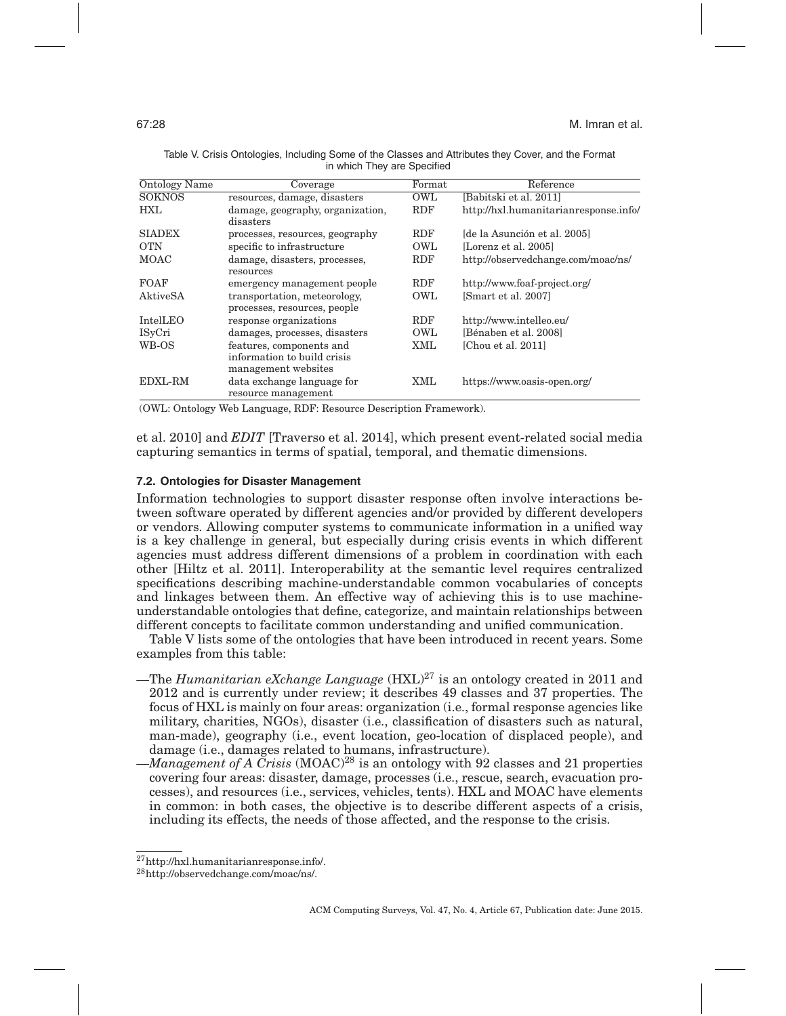<span id="page-27-1"></span>

| <b>Ontology Name</b> | Coverage                                                                       | Format     | Reference                             |
|----------------------|--------------------------------------------------------------------------------|------------|---------------------------------------|
| <b>SOKNOS</b>        | resources, damage, disasters                                                   | OWL        | [Babitski et al. 2011]                |
| HXL                  | damage, geography, organization,<br>disasters                                  | <b>RDF</b> | http://hxl.humanitarianresponse.info/ |
| <b>SIADEX</b>        | processes, resources, geography                                                | RDF        | Ide la Asunción et al. 2005]          |
| <b>OTN</b>           | specific to infrastructure                                                     | OWL        | [Lorenz et al. 2005]                  |
| <b>MOAC</b>          | damage, disasters, processes,<br>resources                                     | RDF        | http://observedchange.com/moac/ns/    |
| <b>FOAF</b>          | emergency management people                                                    | RDF        | http://www.foaf-project.org/          |
| AktiveSA             | transportation, meteorology,<br>processes, resources, people                   | OWL        | [Smart et al. 2007]                   |
| <b>IntelLEO</b>      | response organizations                                                         | RDF        | http://www.intelleo.eu/               |
| ISyCri               | damages, processes, disasters                                                  | OWL        | Bénaben et al. 2008]                  |
| WB-OS                | features, components and<br>information to build crisis<br>management websites | XML        | [Chou et al. 2011]                    |
| EDXL-RM              | data exchange language for<br>resource management                              | XML        | https://www.oasis-open.org/           |

Table V. Crisis Ontologies, Including Some of the Classes and Attributes they Cover, and the Format in which They are Specified

(OWL: Ontology Web Language, RDF: Resource Description Framework).

et al. [2010\]](#page-33-25) and *EDIT* [Traverso et al. [2014\]](#page-36-20), which present event-related social media capturing semantics in terms of spatial, temporal, and thematic dimensions.

## **7.2. Ontologies for Disaster Management**

<span id="page-27-0"></span>Information technologies to support disaster response often involve interactions between software operated by different agencies and/or provided by different developers or vendors. Allowing computer systems to communicate information in a unified way is a key challenge in general, but especially during crisis events in which different agencies must address different dimensions of a problem in coordination with each other [Hiltz et al. [2011\]](#page-32-26). Interoperability at the semantic level requires centralized specifications describing machine-understandable common vocabularies of concepts and linkages between them. An effective way of achieving this is to use machineunderstandable ontologies that define, categorize, and maintain relationships between different concepts to facilitate common understanding and unified communication.

Table [V](#page-27-1) lists some of the ontologies that have been introduced in recent years. Some examples from this table:

- —The *Humanitarian eXchange Language* (HXL)[27](#page-27-2) is an ontology created in 2011 and 2012 and is currently under review; it describes 49 classes and 37 properties. The focus of HXL is mainly on four areas: organization (i.e., formal response agencies like military, charities, NGOs), disaster (i.e., classification of disasters such as natural, man-made), geography (i.e., event location, geo-location of displaced people), and damage (i.e., damages related to humans, infrastructure).
- $-Management$  of A Crisis (MOAC)<sup>28</sup> is an ontology with 92 classes and 21 properties covering four areas: disaster, damage, processes (i.e., rescue, search, evacuation processes), and resources (i.e., services, vehicles, tents). HXL and MOAC have elements in common: in both cases, the objective is to describe different aspects of a crisis, including its effects, the needs of those affected, and the response to the crisis.

<span id="page-27-2"></span><sup>2</sup>[7http://hxl.humanitarianresponse.info/.](http://hxl.humanitarianresponse.info/.)

<span id="page-27-3"></span><sup>2</sup>[8http://observedchange.com/moac/ns/.](http://observedchange.com/moac/ns/.)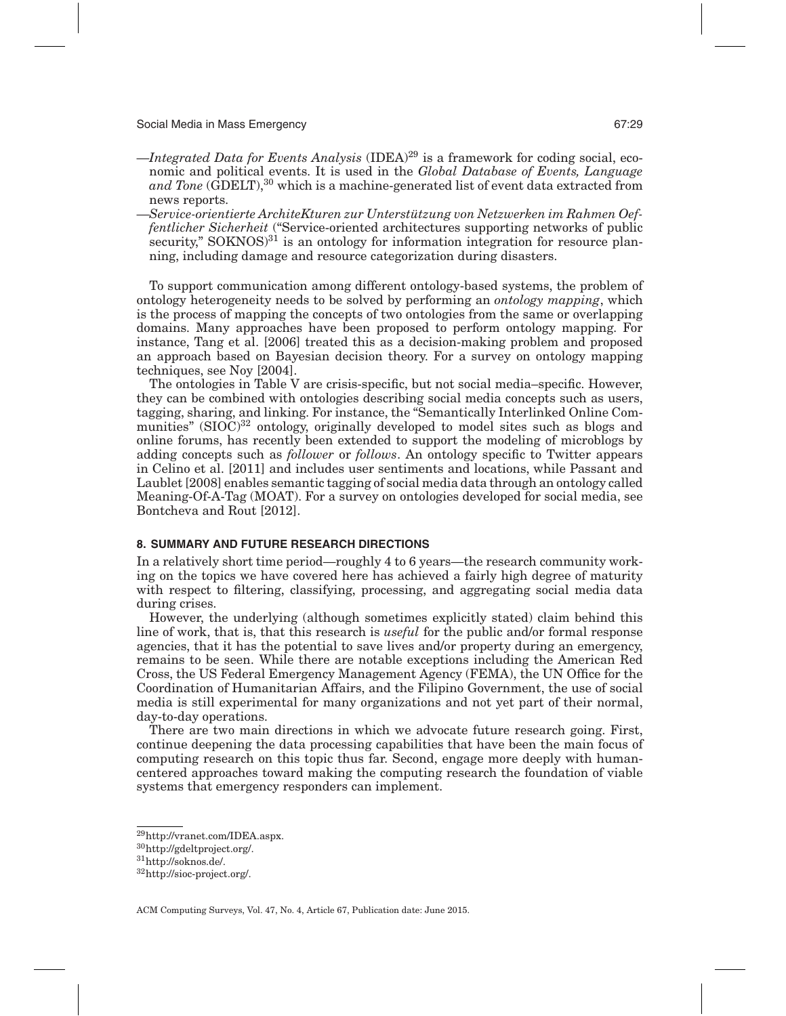Social Media in Mass Emergency 67:29 (1999) 1996 1997:29

- —*Integrated Data for Events Analysis* (IDEA)[29](#page-27-3) is a framework for coding social, economic and political events. It is used in the *Global Database of Events, Language* and Tone (GDELT),<sup>30</sup> which is a machine-generated list of event data extracted from news reports.
- —*Service-orientierte ArchiteKturen zur Unterst ¨utzung von Netzwerken im Rahmen Oeffentlicher Sicherheit* ("Service-oriented architectures supporting networks of public security,"  $SOKNOS$ <sup>31</sup> is an ontology for information integration for resource planning, including damage and resource categorization during disasters.

To support communication among different ontology-based systems, the problem of ontology heterogeneity needs to be solved by performing an *ontology mapping*, which is the process of mapping the concepts of two ontologies from the same or overlapping domains. Many approaches have been proposed to perform ontology mapping. For instance, Tang et al. [\[2006\]](#page-36-21) treated this as a decision-making problem and proposed an approach based on Bayesian decision theory. For a survey on ontology mapping techniques, see Noy [\[2004\]](#page-34-24).

The ontologies in Table [V](#page-27-1) are crisis-specific, but not social media–specific. However, they can be combined with ontologies describing social media concepts such as users, tagging, sharing, and linking. For instance, the "Semantically Interlinked Online Communities" (SIOC) $32$  ontology, originally developed to model sites such as blogs and online forums, has recently been extended to support the modeling of microblogs by adding concepts such as *follower* or *follows*. An ontology specific to Twitter appears in Celino et al. [\[2011\]](#page-31-24) and includes user sentiments and locations, while Passant and Laublet [\[2008\]](#page-35-20) enables semantic tagging of social media data through an ontology called Meaning-Of-A-Tag (MOAT). For a survey on ontologies developed for social media, see Bontcheva and Rout [\[2012\]](#page-31-25).

## **8. SUMMARY AND FUTURE RESEARCH DIRECTIONS**

In a relatively short time period—roughly 4 to 6 years—the research community working on the topics we have covered here has achieved a fairly high degree of maturity with respect to filtering, classifying, processing, and aggregating social media data during crises.

However, the underlying (although sometimes explicitly stated) claim behind this line of work, that is, that this research is *useful* for the public and/or formal response agencies, that it has the potential to save lives and/or property during an emergency, remains to be seen. While there are notable exceptions including the American Red Cross, the US Federal Emergency Management Agency (FEMA), the UN Office for the Coordination of Humanitarian Affairs, and the Filipino Government, the use of social media is still experimental for many organizations and not yet part of their normal, day-to-day operations.

There are two main directions in which we advocate future research going. First, continue deepening the data processing capabilities that have been the main focus of computing research on this topic thus far. Second, engage more deeply with humancentered approaches toward making the computing research the foundation of viable systems that emergency responders can implement.

ACM Computing Surveys, Vol. 47, No. 4, Article 67, Publication date: June 2015.

<sup>2</sup>[9http://vranet.com/IDEA.aspx.](http://vranet.com/IDEA.aspx.)

<span id="page-28-0"></span><sup>3</sup>[0http://gdeltproject.org/.](http://gdeltproject.org/.)

<span id="page-28-1"></span><sup>31</sup>http://soknos.de/.

<span id="page-28-2"></span><sup>32</sup>http://sioc-project.org/.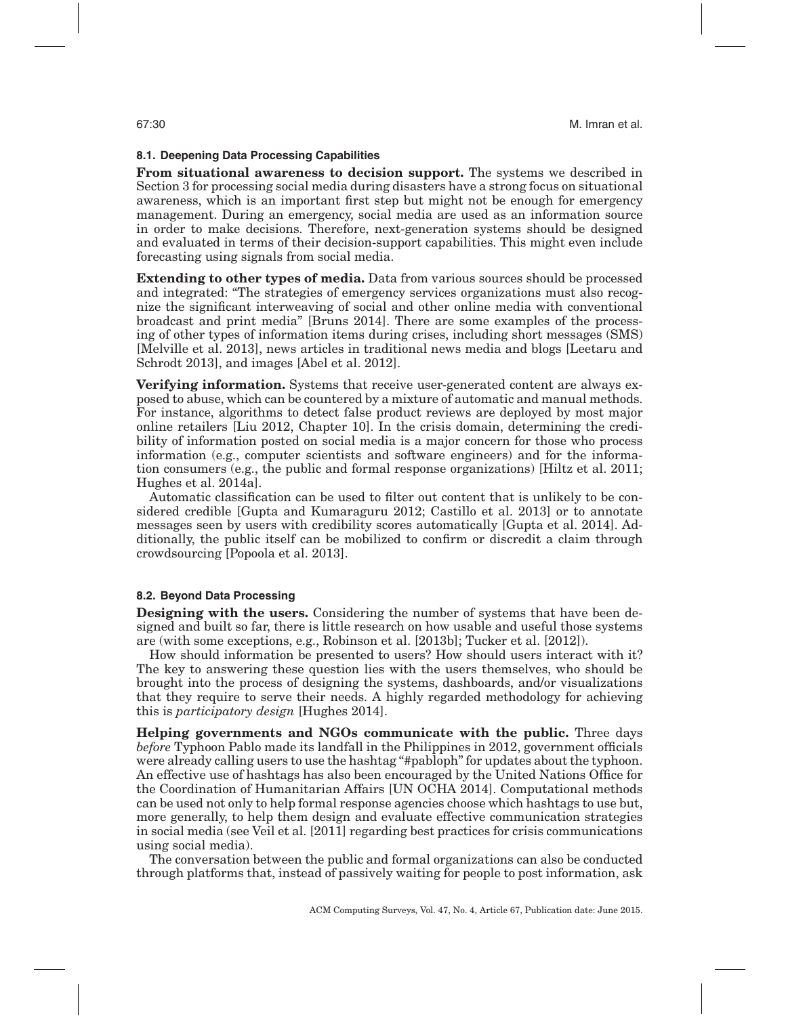# **8.1. Deepening Data Processing Capabilities**

**From situational awareness to decision support.** The systems we described in Section [3](#page-5-0) for processing social media during disasters have a strong focus on situational awareness, which is an important first step but might not be enough for emergency management. During an emergency, social media are used as an information source in order to make decisions. Therefore, next-generation systems should be designed and evaluated in terms of their decision-support capabilities. This might even include forecasting using signals from social media.

**Extending to other types of media.** Data from various sources should be processed and integrated: "The strategies of emergency services organizations must also recognize the significant interweaving of social and other online media with conventional broadcast and print media" [Bruns [2014\]](#page-31-14). There are some examples of the processing of other types of information items during crises, including short messages (SMS) [Melville et al. [2013\]](#page-34-25), news articles in traditional news media and blogs [Leetaru and Schrodt [2013\]](#page-33-26), and images [Abel et al. [2012\]](#page-30-1).

**Verifying information.** Systems that receive user-generated content are always exposed to abuse, which can be countered by a mixture of automatic and manual methods. For instance, algorithms to detect false product reviews are deployed by most major online retailers [Liu [2012,](#page-34-26) Chapter 10]. In the crisis domain, determining the credibility of information posted on social media is a major concern for those who process information (e.g., computer scientists and software engineers) and for the information consumers (e.g., the public and formal response organizations) [Hiltz et al. [2011;](#page-32-26) Hughes et al. [2014a\]](#page-33-2).

Automatic classification can be used to filter out content that is unlikely to be considered credible [Gupta and Kumaraguru [2012;](#page-32-11) Castillo et al. [2013\]](#page-31-16) or to annotate messages seen by users with credibility scores automatically [Gupta et al. [2014\]](#page-32-22). Additionally, the public itself can be mobilized to confirm or discredit a claim through crowdsourcing [Popoola et al. [2013\]](#page-35-21).

# **8.2. Beyond Data Processing**

**Designing with the users.** Considering the number of systems that have been designed and built so far, there is little research on how usable and useful those systems are (with some exceptions, e.g., Robinson et al. [\[2013b\]](#page-35-22); Tucker et al. [\[2012\]](#page-36-22)).

How should information be presented to users? How should users interact with it? The key to answering these question lies with the users themselves, who should be brought into the process of designing the systems, dashboards, and/or visualizations that they require to serve their needs. A highly regarded methodology for achieving this is *participatory design* [Hughes [2014\]](#page-32-5).

**Helping governments and NGOs communicate with the public.** Three days *before* Typhoon Pablo made its landfall in the Philippines in 2012, government officials were already calling users to use the hashtag "#pabloph" for updates about the typhoon. An effective use of hashtags has also been encouraged by the United Nations Office for the Coordination of Humanitarian Affairs [UN OCHA [2014\]](#page-36-23). Computational methods can be used not only to help formal response agencies choose which hashtags to use but, more generally, to help them design and evaluate effective communication strategies in social media (see Veil et al. [\[2011\]](#page-36-24) regarding best practices for crisis communications using social media).

The conversation between the public and formal organizations can also be conducted through platforms that, instead of passively waiting for people to post information, ask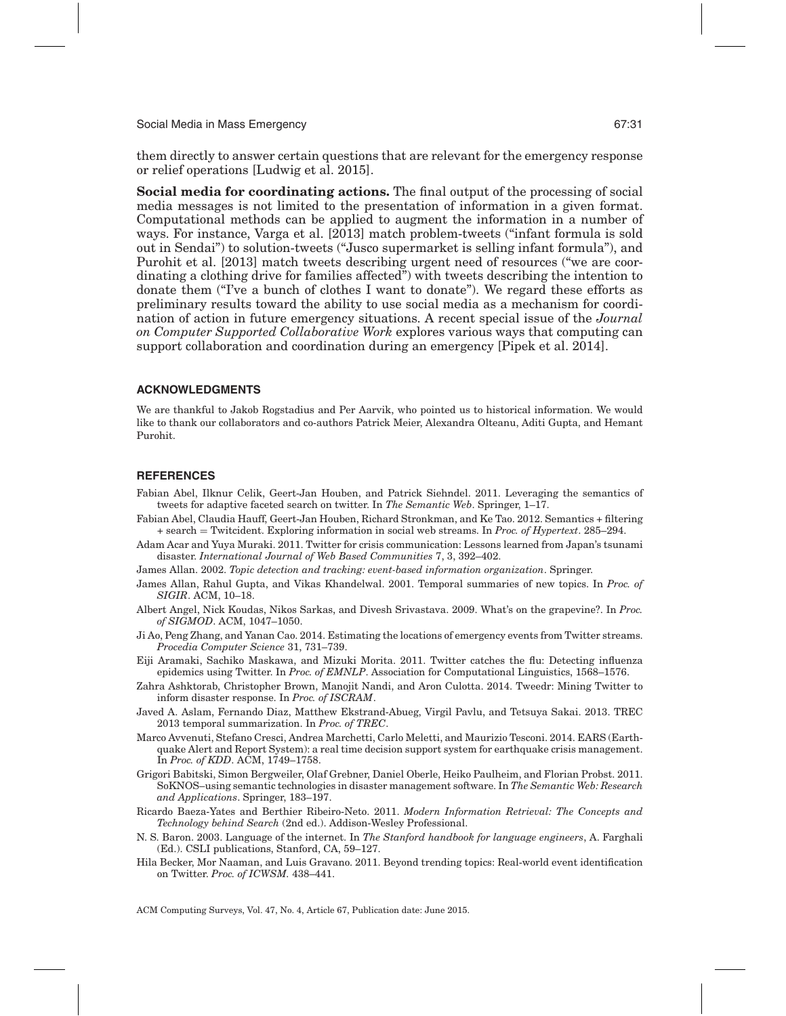Social Media in Mass Emergency 67:31 (1999) 67:31

them directly to answer certain questions that are relevant for the emergency response or relief operations [Ludwig et al. [2015\]](#page-34-27).

**Social media for coordinating actions.** The final output of the processing of social media messages is not limited to the presentation of information in a given format. Computational methods can be applied to augment the information in a number of ways. For instance, Varga et al. [\[2013\]](#page-36-17) match problem-tweets ("infant formula is sold out in Sendai") to solution-tweets ("Jusco supermarket is selling infant formula"), and Purohit et al. [\[2013\]](#page-35-6) match tweets describing urgent need of resources ("we are coordinating a clothing drive for families affected") with tweets describing the intention to donate them ("I've a bunch of clothes I want to donate"). We regard these efforts as preliminary results toward the ability to use social media as a mechanism for coordination of action in future emergency situations. A recent special issue of the *Journal on Computer Supported Collaborative Work* explores various ways that computing can support collaboration and coordination during an emergency [Pipek et al. [2014\]](#page-35-23).

#### **ACKNOWLEDGMENTS**

We are thankful to Jakob Rogstadius and Per Aarvik, who pointed us to historical information. We would like to thank our collaborators and co-authors Patrick Meier, Alexandra Olteanu, Aditi Gupta, and Hemant Purohit.

## **REFERENCES**

- <span id="page-30-13"></span>Fabian Abel, Ilknur Celik, Geert-Jan Houben, and Patrick Siehndel. 2011. Leveraging the semantics of tweets for adaptive faceted search on twitter. In *The Semantic Web*. Springer, 1–17.
- <span id="page-30-1"></span>Fabian Abel, Claudia Hauff, Geert-Jan Houben, Richard Stronkman, and Ke Tao. 2012. Semantics + filtering + search = Twitcident. Exploring information in social web streams. In *Proc. of Hypertext*. 285–294.
- <span id="page-30-4"></span>Adam Acar and Yuya Muraki. 2011. Twitter for crisis communication: Lessons learned from Japan's tsunami disaster. *International Journal of Web Based Communities* 7, 3, 392–402.
- <span id="page-30-8"></span>James Allan. 2002. *Topic detection and tracking: event-based information organization*. Springer.
- <span id="page-30-12"></span>James Allan, Rahul Gupta, and Vikas Khandelwal. 2001. Temporal summaries of new topics. In *Proc. of SIGIR*. ACM, 10–18.
- <span id="page-30-9"></span>Albert Angel, Nick Koudas, Nikos Sarkas, and Divesh Srivastava. 2009. What's on the grapevine?. In *Proc. of SIGMOD*. ACM, 1047–1050.
- <span id="page-30-11"></span>Ji Ao, Peng Zhang, and Yanan Cao. 2014. Estimating the locations of emergency events from Twitter streams. *Procedia Computer Science* 31, 731–739.
- <span id="page-30-0"></span>Eiji Aramaki, Sachiko Maskawa, and Mizuki Morita. 2011. Twitter catches the flu: Detecting influenza epidemics using Twitter. In *Proc. of EMNLP*. Association for Computational Linguistics, 1568–1576.
- <span id="page-30-2"></span>Zahra Ashktorab, Christopher Brown, Manojit Nandi, and Aron Culotta. 2014. Tweedr: Mining Twitter to inform disaster response. In *Proc. of ISCRAM*.
- <span id="page-30-6"></span>Javed A. Aslam, Fernando Diaz, Matthew Ekstrand-Abueg, Virgil Pavlu, and Tetsuya Sakai. 2013. TREC 2013 temporal summarization. In *Proc. of TREC*.
- <span id="page-30-3"></span>Marco Avvenuti, Stefano Cresci, Andrea Marchetti, Carlo Meletti, and Maurizio Tesconi. 2014. EARS (Earthquake Alert and Report System): a real time decision support system for earthquake crisis management. In *Proc. of KDD*. ACM, 1749–1758.
- <span id="page-30-14"></span>Grigori Babitski, Simon Bergweiler, Olaf Grebner, Daniel Oberle, Heiko Paulheim, and Florian Probst. 2011. SoKNOS–using semantic technologies in disaster management software. In *The Semantic Web: Research and Applications*. Springer, 183–197.
- <span id="page-30-5"></span>Ricardo Baeza-Yates and Berthier Ribeiro-Neto. 2011. *Modern Information Retrieval: The Concepts and Technology behind Search* (2nd ed.). Addison-Wesley Professional.
- <span id="page-30-7"></span>N. S. Baron. 2003. Language of the internet. In *The Stanford handbook for language engineers*, A. Farghali (Ed.). CSLI publications, Stanford, CA, 59–127.
- <span id="page-30-10"></span>Hila Becker, Mor Naaman, and Luis Gravano. 2011. Beyond trending topics: Real-world event identification on Twitter. *Proc. of ICWSM.* 438–441.

ACM Computing Surveys, Vol. 47, No. 4, Article 67, Publication date: June 2015.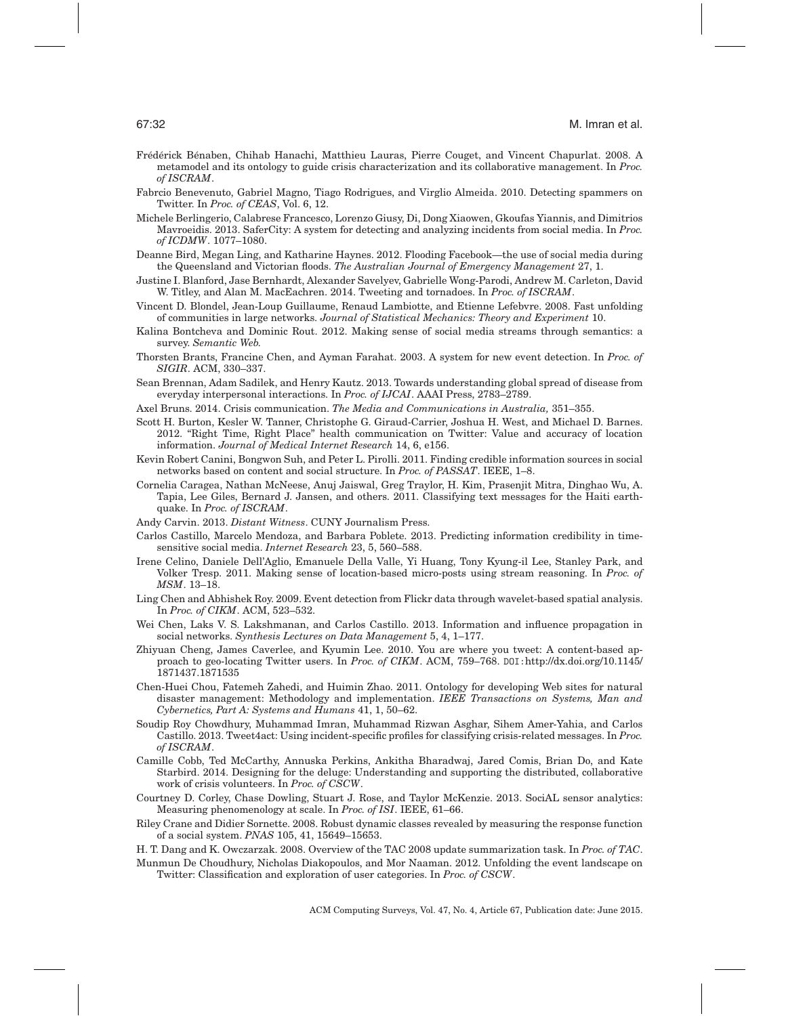- <span id="page-31-22"></span>Frédérick Bénaben, Chihab Hanachi, Matthieu Lauras, Pierre Couget, and Vincent Chapurlat. 2008. A metamodel and its ontology to guide crisis characterization and its collaborative management. In *Proc. of ISCRAM*.
- <span id="page-31-6"></span>Fabrcio Benevenuto, Gabriel Magno, Tiago Rodrigues, and Virglio Almeida. 2010. Detecting spammers on Twitter. In *Proc. of CEAS*, Vol. 6, 12.
- <span id="page-31-19"></span>Michele Berlingerio, Calabrese Francesco, Lorenzo Giusy, Di, Dong Xiaowen, Gkoufas Yiannis, and Dimitrios Mavroeidis. 2013. SaferCity: A system for detecting and analyzing incidents from social media. In *Proc. of ICDMW*. 1077–1080.
- <span id="page-31-5"></span>Deanne Bird, Megan Ling, and Katharine Haynes. 2012. Flooding Facebook—the use of social media during the Queensland and Victorian floods. *The Australian Journal of Emergency Management* 27, 1.
- <span id="page-31-4"></span>Justine I. Blanford, Jase Bernhardt, Alexander Savelyev, Gabrielle Wong-Parodi, Andrew M. Carleton, David W. Titley, and Alan M. MacEachren. 2014. Tweeting and tornadoes. In *Proc. of ISCRAM*.
- <span id="page-31-20"></span>Vincent D. Blondel, Jean-Loup Guillaume, Renaud Lambiotte, and Etienne Lefebvre. 2008. Fast unfolding of communities in large networks. *Journal of Statistical Mechanics: Theory and Experiment* 10.
- <span id="page-31-25"></span>Kalina Bontcheva and Dominic Rout. 2012. Making sense of social media streams through semantics: a survey. *Semantic Web.*
- <span id="page-31-10"></span>Thorsten Brants, Francine Chen, and Ayman Farahat. 2003. A system for new event detection. In *Proc. of SIGIR*. ACM, 330–337.
- <span id="page-31-7"></span>Sean Brennan, Adam Sadilek, and Henry Kautz. 2013. Towards understanding global spread of disease from everyday interpersonal interactions. In *Proc. of IJCAI*. AAAI Press, 2783–2789.
- <span id="page-31-14"></span>Axel Bruns. 2014. Crisis communication. *The Media and Communications in Australia,* 351–355.
- <span id="page-31-8"></span>Scott H. Burton, Kesler W. Tanner, Christophe G. Giraud-Carrier, Joshua H. West, and Michael D. Barnes. 2012. "Right Time, Right Place" health communication on Twitter: Value and accuracy of location information. *Journal of Medical Internet Research* 14, 6, e156.
- <span id="page-31-17"></span>Kevin Robert Canini, Bongwon Suh, and Peter L. Pirolli. 2011. Finding credible information sources in social networks based on content and social structure. In *Proc. of PASSAT*. IEEE, 1–8.
- <span id="page-31-1"></span>Cornelia Caragea, Nathan McNeese, Anuj Jaiswal, Greg Traylor, H. Kim, Prasenjit Mitra, Dinghao Wu, A. Tapia, Lee Giles, Bernard J. Jansen, and others. 2011. Classifying text messages for the Haiti earthquake. In *Proc. of ISCRAM*.
- <span id="page-31-18"></span>Andy Carvin. 2013. *Distant Witness*. CUNY Journalism Press.
- <span id="page-31-16"></span>Carlos Castillo, Marcelo Mendoza, and Barbara Poblete. 2013. Predicting information credibility in timesensitive social media. *Internet Research* 23, 5, 560–588.
- <span id="page-31-24"></span>Irene Celino, Daniele Dell'Aglio, Emanuele Della Valle, Yi Huang, Tony Kyung-il Lee, Stanley Park, and Volker Tresp. 2011. Making sense of location-based micro-posts using stream reasoning. In *Proc. of MSM*. 13–18.
- <span id="page-31-11"></span>Ling Chen and Abhishek Roy. 2009. Event detection from Flickr data through wavelet-based spatial analysis. In *Proc. of CIKM*. ACM, 523–532.
- <span id="page-31-3"></span>Wei Chen, Laks V. S. Lakshmanan, and Carlos Castillo. 2013. Information and influence propagation in social networks. *Synthesis Lectures on Data Management* 5, 4, 1–177.
- <span id="page-31-9"></span>Zhiyuan Cheng, James Caverlee, and Kyumin Lee. 2010. You are where you tweet: A content-based approach to geo-locating Twitter users. In *Proc. of CIKM*. ACM, 759–768. DOI:[http://dx.doi.org/10.1145/](http://dx.doi.org/10.1145/1871437.1871535) [1871437.1871535](http://dx.doi.org/10.1145/1871437.1871535)
- <span id="page-31-23"></span>Chen-Huei Chou, Fatemeh Zahedi, and Huimin Zhao. 2011. Ontology for developing Web sites for natural disaster management: Methodology and implementation. *IEEE Transactions on Systems, Man and Cybernetics, Part A: Systems and Humans* 41, 1, 50–62.
- <span id="page-31-13"></span>Soudip Roy Chowdhury, Muhammad Imran, Muhammad Rizwan Asghar, Sihem Amer-Yahia, and Carlos Castillo. 2013. Tweet4act: Using incident-specific profiles for classifying crisis-related messages. In *Proc. of ISCRAM*.
- <span id="page-31-0"></span>Camille Cobb, Ted McCarthy, Annuska Perkins, Ankitha Bharadwaj, Jared Comis, Brian Do, and Kate Starbird. 2014. Designing for the deluge: Understanding and supporting the distributed, collaborative work of crisis volunteers. In *Proc. of CSCW*.
- <span id="page-31-12"></span>Courtney D. Corley, Chase Dowling, Stuart J. Rose, and Taylor McKenzie. 2013. SociAL sensor analytics: Measuring phenomenology at scale. In *Proc. of ISI*. IEEE, 61–66.
- <span id="page-31-2"></span>Riley Crane and Didier Sornette. 2008. Robust dynamic classes revealed by measuring the response function of a social system. *PNAS* 105, 41, 15649–15653.
- <span id="page-31-21"></span>H. T. Dang and K. Owczarzak. 2008. Overview of the TAC 2008 update summarization task. In *Proc. of TAC*.
- <span id="page-31-15"></span>Munmun De Choudhury, Nicholas Diakopoulos, and Mor Naaman. 2012. Unfolding the event landscape on Twitter: Classification and exploration of user categories. In *Proc. of CSCW*.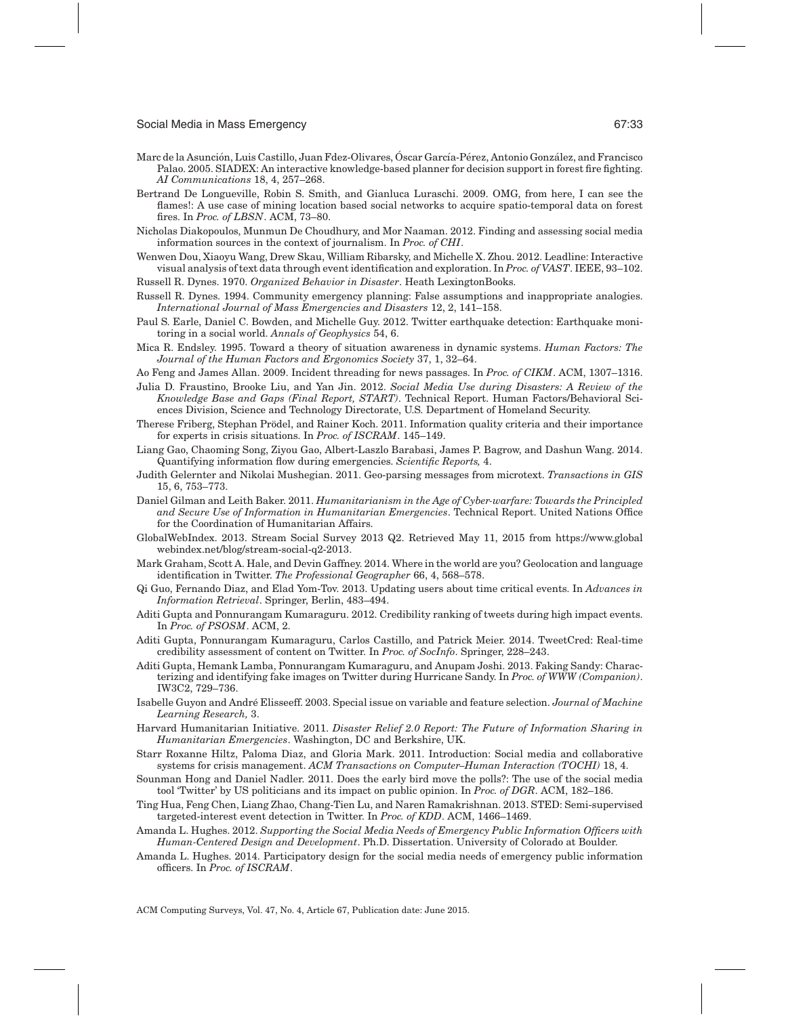#### Social Media in Mass Emergency 67:33

- <span id="page-32-25"></span>Marc de la Asunción, Luis Castillo, Juan Fdez-Olivares, Óscar García-Pérez, Antonio González, and Francisco Palao. 2005. SIADEX: An interactive knowledge-based planner for decision support in forest fire fighting. *AI Communications* 18, 4, 257–268.
- <span id="page-32-10"></span>Bertrand De Longueville, Robin S. Smith, and Gianluca Luraschi. 2009. OMG, from here, I can see the flames!: A use case of mining location based social networks to acquire spatio-temporal data on forest fires. In *Proc. of LBSN*. ACM, 73–80.
- <span id="page-32-21"></span>Nicholas Diakopoulos, Munmun De Choudhury, and Mor Naaman. 2012. Finding and assessing social media information sources in the context of journalism. In *Proc. of CHI*.
- <span id="page-32-17"></span>Wenwen Dou, Xiaoyu Wang, Drew Skau, William Ribarsky, and Michelle X. Zhou. 2012. Leadline: Interactive visual analysis of text data through event identification and exploration. In *Proc. of VAST*. IEEE, 93–102.

<span id="page-32-3"></span>Russell R. Dynes. 1970. *Organized Behavior in Disaster*. Heath LexingtonBooks.

- <span id="page-32-4"></span>Russell R. Dynes. 1994. Community emergency planning: False assumptions and inappropriate analogies. *International Journal of Mass Emergencies and Disasters* 12, 2, 141–158.
- <span id="page-32-18"></span>Paul S. Earle, Daniel C. Bowden, and Michelle Guy. 2012. Twitter earthquake detection: Earthquake monitoring in a social world. *Annals of Geophysics* 54, 6.
- <span id="page-32-6"></span>Mica R. Endsley. 1995. Toward a theory of situation awareness in dynamic systems. *Human Factors: The Journal of the Human Factors and Ergonomics Society* 37, 1, 32–64.
- <span id="page-32-24"></span>Ao Feng and James Allan. 2009. Incident threading for news passages. In *Proc. of CIKM*. ACM, 1307–1316.
- <span id="page-32-9"></span>Julia D. Fraustino, Brooke Liu, and Yan Jin. 2012. *Social Media Use during Disasters: A Review of the Knowledge Base and Gaps (Final Report, START)*. Technical Report. Human Factors/Behavioral Sciences Division, Science and Technology Directorate, U.S. Department of Homeland Security.
- <span id="page-32-15"></span>Therese Friberg, Stephan Prödel, and Rainer Koch. 2011. Information quality criteria and their importance for experts in crisis situations. In *Proc. of ISCRAM*. 145–149.
- <span id="page-32-8"></span>Liang Gao, Chaoming Song, Ziyou Gao, Albert-Laszlo Barabasi, James P. Bagrow, and Dashun Wang. 2014. Quantifying information flow during emergencies. *Scientific Reports,* 4.
- <span id="page-32-13"></span>Judith Gelernter and Nikolai Mushegian. 2011. Geo-parsing messages from microtext. *Transactions in GIS* 15, 6, 753–773.
- <span id="page-32-16"></span>Daniel Gilman and Leith Baker. 2011. *Humanitarianism in the Age of Cyber-warfare: Towards the Principled and Secure Use of Information in Humanitarian Emergencies*. Technical Report. United Nations Office for the Coordination of Humanitarian Affairs.
- <span id="page-32-7"></span>GlobalWebIndex. 2013. Stream Social Survey 2013 Q2. Retrieved May 11, 2015 from [https://www.global](https://www.globalwebindex.net/blog/stream-social-q2-2013) [webindex.net/blog/stream-social-q2-2013.](https://www.globalwebindex.net/blog/stream-social-q2-2013)
- <span id="page-32-12"></span>Mark Graham, Scott A. Hale, and Devin Gaffney. 2014. Where in the world are you? Geolocation and language identification in Twitter. *The Professional Geographer* 66, 4, 568–578.
- <span id="page-32-14"></span>Qi Guo, Fernando Diaz, and Elad Yom-Tov. 2013. Updating users about time critical events. In *Advances in Information Retrieval*. Springer, Berlin, 483–494.
- <span id="page-32-11"></span>Aditi Gupta and Ponnurangam Kumaraguru. 2012. Credibility ranking of tweets during high impact events. In *Proc. of PSOSM*. ACM, 2.
- <span id="page-32-22"></span>Aditi Gupta, Ponnurangam Kumaraguru, Carlos Castillo, and Patrick Meier. 2014. TweetCred: Real-time credibility assessment of content on Twitter. In *Proc. of SocInfo*. Springer, 228–243.
- <span id="page-32-23"></span>Aditi Gupta, Hemank Lamba, Ponnurangam Kumaraguru, and Anupam Joshi. 2013. Faking Sandy: Characterizing and identifying fake images on Twitter during Hurricane Sandy. In *Proc. of WWW (Companion)*. IW3C2, 729–736.
- <span id="page-32-20"></span>Isabelle Guyon and Andre Elisseeff. 2003. Special issue on variable and feature selection. ´ *Journal of Machine Learning Research,* 3.
- <span id="page-32-1"></span>Harvard Humanitarian Initiative. 2011. *Disaster Relief 2.0 Report: The Future of Information Sharing in Humanitarian Emergencies*. Washington, DC and Berkshire, UK.
- <span id="page-32-26"></span>Starr Roxanne Hiltz, Paloma Diaz, and Gloria Mark. 2011. Introduction: Social media and collaborative systems for crisis management. *ACM Transactions on Computer–Human Interaction (TOCHI)* 18, 4.
- <span id="page-32-2"></span>Sounman Hong and Daniel Nadler. 2011. Does the early bird move the polls?: The use of the social media tool 'Twitter' by US politicians and its impact on public opinion. In *Proc. of DGR*. ACM, 182–186.
- <span id="page-32-19"></span>Ting Hua, Feng Chen, Liang Zhao, Chang-Tien Lu, and Naren Ramakrishnan. 2013. STED: Semi-supervised targeted-interest event detection in Twitter. In *Proc. of KDD*. ACM, 1466–1469.
- <span id="page-32-0"></span>Amanda L. Hughes. 2012. *Supporting the Social Media Needs of Emergency Public Information Officers with Human-Centered Design and Development*. Ph.D. Dissertation. University of Colorado at Boulder.
- <span id="page-32-5"></span>Amanda L. Hughes. 2014. Participatory design for the social media needs of emergency public information officers. In *Proc. of ISCRAM*.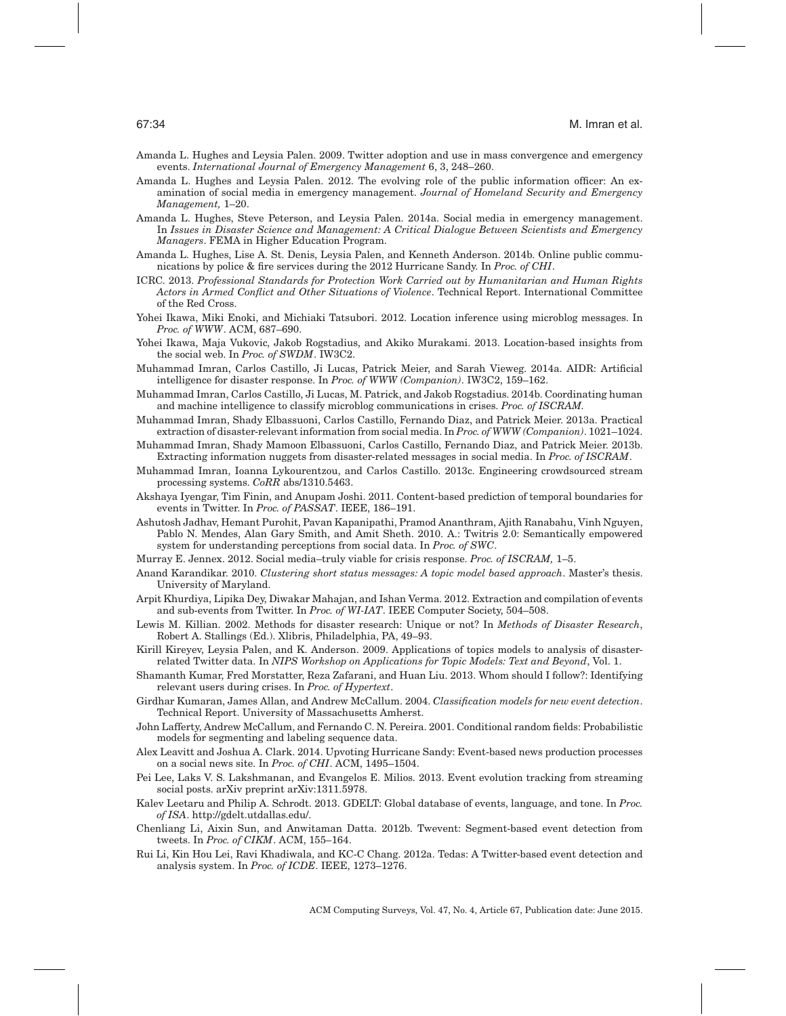- <span id="page-33-1"></span>Amanda L. Hughes and Leysia Palen. 2009. Twitter adoption and use in mass convergence and emergency events. *International Journal of Emergency Management* 6, 3, 248–260.
- <span id="page-33-3"></span>Amanda L. Hughes and Leysia Palen. 2012. The evolving role of the public information officer: An examination of social media in emergency management. *Journal of Homeland Security and Emergency Management,* 1–20.
- <span id="page-33-2"></span>Amanda L. Hughes, Steve Peterson, and Leysia Palen. 2014a. Social media in emergency management. In *Issues in Disaster Science and Management: A Critical Dialogue Between Scientists and Emergency Managers*. FEMA in Higher Education Program.
- <span id="page-33-19"></span>Amanda L. Hughes, Lise A. St. Denis, Leysia Palen, and Kenneth Anderson. 2014b. Online public communications by police & fire services during the 2012 Hurricane Sandy. In *Proc. of CHI*.
- <span id="page-33-8"></span>ICRC. 2013. *Professional Standards for Protection Work Carried out by Humanitarian and Human Rights Actors in Armed Conflict and Other Situations of Violence*. Technical Report. International Committee of the Red Cross.
- <span id="page-33-21"></span>Yohei Ikawa, Miki Enoki, and Michiaki Tatsubori. 2012. Location inference using microblog messages. In *Proc. of WWW*. ACM, 687–690.
- <span id="page-33-7"></span>Yohei Ikawa, Maja Vukovic, Jakob Rogstadius, and Akiko Murakami. 2013. Location-based insights from the social web. In *Proc. of SWDM*. IW3C2.
- <span id="page-33-0"></span>Muhammad Imran, Carlos Castillo, Ji Lucas, Patrick Meier, and Sarah Vieweg. 2014a. AIDR: Artificial intelligence for disaster response. In *Proc. of WWW (Companion)*. IW3C2, 159–162.
- <span id="page-33-17"></span>Muhammad Imran, Carlos Castillo, Ji Lucas, M. Patrick, and Jakob Rogstadius. 2014b. Coordinating human and machine intelligence to classify microblog communications in crises. *Proc. of ISCRAM.*
- <span id="page-33-5"></span>Muhammad Imran, Shady Elbassuoni, Carlos Castillo, Fernando Diaz, and Patrick Meier. 2013a. Practical extraction of disaster-relevant information from social media. In *Proc. of WWW (Companion)*. 1021–1024.
- <span id="page-33-20"></span>Muhammad Imran, Shady Mamoon Elbassuoni, Carlos Castillo, Fernando Diaz, and Patrick Meier. 2013b. Extracting information nuggets from disaster-related messages in social media. In *Proc. of ISCRAM*.
- <span id="page-33-24"></span>Muhammad Imran, Ioanna Lykourentzou, and Carlos Castillo. 2013c. Engineering crowdsourced stream processing systems. *CoRR* abs/1310.5463.
- <span id="page-33-14"></span>Akshaya Iyengar, Tim Finin, and Anupam Joshi. 2011. Content-based prediction of temporal boundaries for events in Twitter. In *Proc. of PASSAT*. IEEE, 186–191.
- <span id="page-33-25"></span>Ashutosh Jadhav, Hemant Purohit, Pavan Kapanipathi, Pramod Ananthram, Ajith Ranabahu, Vinh Nguyen, Pablo N. Mendes, Alan Gary Smith, and Amit Sheth. 2010. A.: Twitris 2.0: Semantically empowered system for understanding perceptions from social data. In *Proc. of SWC*.
- <span id="page-33-6"></span>Murray E. Jennex. 2012. Social media–truly viable for crisis response. *Proc. of ISCRAM,* 1–5.
- <span id="page-33-23"></span>Anand Karandikar. 2010. *Clustering short status messages: A topic model based approach*. Master's thesis. University of Maryland.
- <span id="page-33-15"></span>Arpit Khurdiya, Lipika Dey, Diwakar Mahajan, and Ishan Verma. 2012. Extraction and compilation of events and sub-events from Twitter. In *Proc. of WI-IAT*. IEEE Computer Society, 504–508.
- <span id="page-33-13"></span>Lewis M. Killian. 2002. Methods for disaster research: Unique or not? In *Methods of Disaster Research*, Robert A. Stallings (Ed.). Xlibris, Philadelphia, PA, 49–93.
- <span id="page-33-22"></span>Kirill Kireyev, Leysia Palen, and K. Anderson. 2009. Applications of topics models to analysis of disasterrelated Twitter data. In *NIPS Workshop on Applications for Topic Models: Text and Beyond*, Vol. 1.
- <span id="page-33-18"></span>Shamanth Kumar, Fred Morstatter, Reza Zafarani, and Huan Liu. 2013. Whom should I follow?: Identifying relevant users during crises. In *Proc. of Hypertext*.
- <span id="page-33-9"></span>Girdhar Kumaran, James Allan, and Andrew McCallum. 2004. *Classification models for new event detection*. Technical Report. University of Massachusetts Amherst.
- <span id="page-33-16"></span>John Lafferty, Andrew McCallum, and Fernando C. N. Pereira. 2001. Conditional random fields: Probabilistic models for segmenting and labeling sequence data.
- <span id="page-33-4"></span>Alex Leavitt and Joshua A. Clark. 2014. Upvoting Hurricane Sandy: Event-based news production processes on a social news site. In *Proc. of CHI*. ACM, 1495–1504.
- <span id="page-33-12"></span>Pei Lee, Laks V. S. Lakshmanan, and Evangelos E. Milios. 2013. Event evolution tracking from streaming social posts. arXiv preprint arXiv:1311.5978.
- <span id="page-33-26"></span>Kalev Leetaru and Philip A. Schrodt. 2013. GDELT: Global database of events, language, and tone. In *Proc. of ISA*.<http://gdelt.utdallas.edu/.>
- <span id="page-33-10"></span>Chenliang Li, Aixin Sun, and Anwitaman Datta. 2012b. Twevent: Segment-based event detection from tweets. In *Proc. of CIKM*. ACM, 155–164.
- <span id="page-33-11"></span>Rui Li, Kin Hou Lei, Ravi Khadiwala, and KC-C Chang. 2012a. Tedas: A Twitter-based event detection and analysis system. In *Proc. of ICDE*. IEEE, 1273–1276.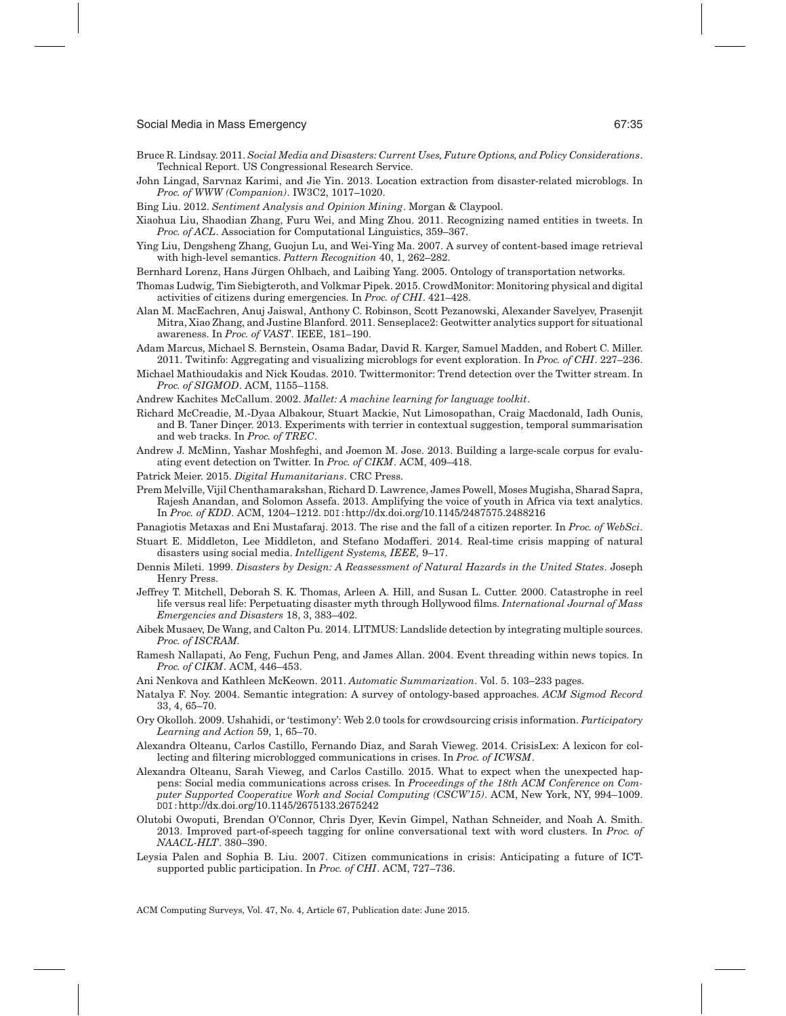- <span id="page-34-1"></span>Bruce R. Lindsay. 2011. *Social Media and Disasters: Current Uses, Future Options, and Policy Considerations*. Technical Report. US Congressional Research Service.
- <span id="page-34-11"></span>John Lingad, Sarvnaz Karimi, and Jie Yin. 2013. Location extraction from disaster-related microblogs. In *Proc. of WWW (Companion)*. IW3C2, 1017–1020.
- <span id="page-34-26"></span>Bing Liu. 2012. *Sentiment Analysis and Opinion Mining*. Morgan & Claypool.
- <span id="page-34-19"></span>Xiaohua Liu, Shaodian Zhang, Furu Wei, and Ming Zhou. 2011. Recognizing named entities in tweets. In *Proc. of ACL*. Association for Computational Linguistics, 359–367.
- <span id="page-34-10"></span>Ying Liu, Dengsheng Zhang, Guojun Lu, and Wei-Ying Ma. 2007. A survey of content-based image retrieval with high-level semantics. *Pattern Recognition* 40, 1, 262–282.
- <span id="page-34-23"></span>Bernhard Lorenz, Hans Jürgen Ohlbach, and Laibing Yang. 2005. Ontology of transportation networks.
- <span id="page-34-27"></span>Thomas Ludwig, Tim Siebigteroth, and Volkmar Pipek. 2015. CrowdMonitor: Monitoring physical and digital activities of citizens during emergencies. In *Proc. of CHI*. 421–428.
- <span id="page-34-4"></span>Alan M. MacEachren, Anuj Jaiswal, Anthony C. Robinson, Scott Pezanowski, Alexander Savelyev, Prasenjit Mitra, Xiao Zhang, and Justine Blanford. 2011. Senseplace2: Geotwitter analytics support for situational awareness. In *Proc. of VAST*. IEEE, 181–190.
- <span id="page-34-13"></span>Adam Marcus, Michael S. Bernstein, Osama Badar, David R. Karger, Samuel Madden, and Robert C. Miller. 2011. Twitinfo: Aggregating and visualizing microblogs for event exploration. In *Proc. of CHI*. 227–236.
- <span id="page-34-14"></span>Michael Mathioudakis and Nick Koudas. 2010. Twittermonitor: Trend detection over the Twitter stream. In *Proc. of SIGMOD*. ACM, 1155–1158.
- <span id="page-34-18"></span>Andrew Kachites McCallum. 2002. *Mallet: A machine learning for language toolkit*.
- <span id="page-34-22"></span>Richard McCreadie, M.-Dyaa Albakour, Stuart Mackie, Nut Limosopathan, Craig Macdonald, Iadh Ounis, and B. Taner Dincer. 2013. Experiments with terrier in contextual suggestion, temporal summarisation and web tracks. In *Proc. of TREC*.
- <span id="page-34-15"></span>Andrew J. McMinn, Yashar Moshfeghi, and Joemon M. Jose. 2013. Building a large-scale corpus for evaluating event detection on Twitter. In *Proc. of CIKM*. ACM, 409–418.
- <span id="page-34-7"></span>Patrick Meier. 2015. *Digital Humanitarians*. CRC Press.
- <span id="page-34-25"></span>Prem Melville, Vijil Chenthamarakshan, Richard D. Lawrence, James Powell, Moses Mugisha, Sharad Sapra, Rajesh Anandan, and Solomon Assefa. 2013. Amplifying the voice of youth in Africa via text analytics. In *Proc. of KDD*. ACM, 1204–1212. DOI:<http://dx.doi.org/10.1145/2487575.2488216>
- <span id="page-34-17"></span>Panagiotis Metaxas and Eni Mustafaraj. 2013. The rise and the fall of a citizen reporter. In *Proc. of WebSci*.
- <span id="page-34-12"></span>Stuart E. Middleton, Lee Middleton, and Stefano Modafferi. 2014. Real-time crisis mapping of natural disasters using social media. *Intelligent Systems, IEEE,* 9–17.
- <span id="page-34-2"></span>Dennis Mileti. 1999. *Disasters by Design: A Reassessment of Natural Hazards in the United States*. Joseph Henry Press.
- <span id="page-34-3"></span>Jeffrey T. Mitchell, Deborah S. K. Thomas, Arleen A. Hill, and Susan L. Cutter. 2000. Catastrophe in reel life versus real life: Perpetuating disaster myth through Hollywood films. *International Journal of Mass Emergencies and Disasters* 18, 3, 383–402.
- <span id="page-34-5"></span>Aibek Musaev, De Wang, and Calton Pu. 2014. LITMUS: Landslide detection by integrating multiple sources. *Proc. of ISCRAM.*
- <span id="page-34-21"></span>Ramesh Nallapati, Ao Feng, Fuchun Peng, and James Allan. 2004. Event threading within news topics. In *Proc. of CIKM*. ACM, 446–453.
- <span id="page-34-20"></span>Ani Nenkova and Kathleen McKeown. 2011. *Automatic Summarization*. Vol. 5. 103–233 pages.
- <span id="page-34-24"></span>Natalya F. Noy. 2004. Semantic integration: A survey of ontology-based approaches. *ACM Sigmod Record* 33, 4, 65–70.
- <span id="page-34-6"></span>Ory Okolloh. 2009. Ushahidi, or 'testimony': Web 2.0 tools for crowdsourcing crisis information. *Participatory Learning and Action* 59, 1, 65–70.
- <span id="page-34-8"></span>Alexandra Olteanu, Carlos Castillo, Fernando Diaz, and Sarah Vieweg. 2014. CrisisLex: A lexicon for collecting and filtering microblogged communications in crises. In *Proc. of ICWSM*.
- <span id="page-34-16"></span>Alexandra Olteanu, Sarah Vieweg, and Carlos Castillo. 2015. What to expect when the unexpected happens: Social media communications across crises. In *Proceedings of the 18th ACM Conference on Computer Supported Cooperative Work and Social Computing (CSCW'15)*. ACM, New York, NY, 994–1009. DOI:<http://dx.doi.org/10.1145/2675133.2675242>
- <span id="page-34-9"></span>Olutobi Owoputi, Brendan O'Connor, Chris Dyer, Kevin Gimpel, Nathan Schneider, and Noah A. Smith. 2013. Improved part-of-speech tagging for online conversational text with word clusters. In *Proc. of NAACL-HLT*. 380–390.
- <span id="page-34-0"></span>Leysia Palen and Sophia B. Liu. 2007. Citizen communications in crisis: Anticipating a future of ICTsupported public participation. In *Proc. of CHI*. ACM, 727–736.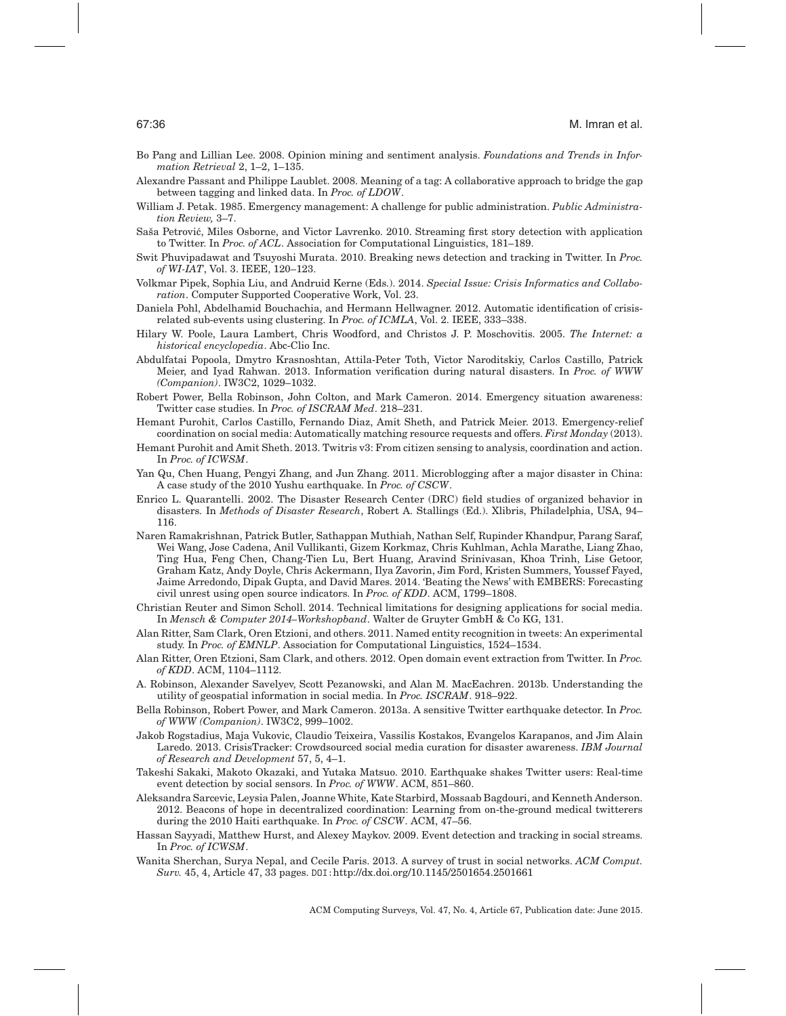- <span id="page-35-8"></span>Bo Pang and Lillian Lee. 2008. Opinion mining and sentiment analysis. *Foundations and Trends in Information Retrieval* 2, 1–2, 1–135.
- <span id="page-35-20"></span>Alexandre Passant and Philippe Laublet. 2008. Meaning of a tag: A collaborative approach to bridge the gap between tagging and linked data. In *Proc. of LDOW*.
- <span id="page-35-19"></span>William J. Petak. 1985. Emergency management: A challenge for public administration. *Public Administration Review,* 3–7.
- <span id="page-35-16"></span>Saša Petrović, Miles Osborne, and Victor Lavrenko. 2010. Streaming first story detection with application to Twitter. In *Proc. of ACL*. Association for Computational Linguistics, 181–189.
- <span id="page-35-17"></span>Swit Phuvipadawat and Tsuyoshi Murata. 2010. Breaking news detection and tracking in Twitter. In *Proc. of WI-IAT*, Vol. 3. IEEE, 120–123.
- <span id="page-35-23"></span>Volkmar Pipek, Sophia Liu, and Andruid Kerne (Eds.). 2014. *Special Issue: Crisis Informatics and Collaboration*. Computer Supported Cooperative Work, Vol. 23.
- <span id="page-35-12"></span>Daniela Pohl, Abdelhamid Bouchachia, and Hermann Hellwagner. 2012. Automatic identification of crisisrelated sub-events using clustering. In *Proc. of ICMLA*, Vol. 2. IEEE, 333–338.
- <span id="page-35-0"></span>Hilary W. Poole, Laura Lambert, Chris Woodford, and Christos J. P. Moschovitis. 2005. *The Internet: a historical encyclopedia*. Abc-Clio Inc.
- <span id="page-35-21"></span>Abdulfatai Popoola, Dmytro Krasnoshtan, Attila-Peter Toth, Victor Naroditskiy, Carlos Castillo, Patrick Meier, and Iyad Rahwan. 2013. Information verification during natural disasters. In *Proc. of WWW (Companion)*. IW3C2, 1029–1032.
- <span id="page-35-4"></span>Robert Power, Bella Robinson, John Colton, and Mark Cameron. 2014. Emergency situation awareness: Twitter case studies. In *Proc. of ISCRAM Med*. 218–231.
- <span id="page-35-6"></span>Hemant Purohit, Carlos Castillo, Fernando Diaz, Amit Sheth, and Patrick Meier. 2013. Emergency-relief coordination on social media: Automatically matching resource requests and offers. *First Monday* (2013).
- <span id="page-35-3"></span>Hemant Purohit and Amit Sheth. 2013. Twitris v3: From citizen sensing to analysis, coordination and action. In *Proc. of ICWSM*.
- <span id="page-35-9"></span>Yan Qu, Chen Huang, Pengyi Zhang, and Jun Zhang. 2011. Microblogging after a major disaster in China: A case study of the 2010 Yushu earthquake. In *Proc. of CSCW*.
- Enrico L. Quarantelli. 2002. The Disaster Research Center (DRC) field studies of organized behavior in disasters. In *Methods of Disaster Research*, Robert A. Stallings (Ed.). Xlibris, Philadelphia, USA, 94– 116.
- <span id="page-35-10"></span>Naren Ramakrishnan, Patrick Butler, Sathappan Muthiah, Nathan Self, Rupinder Khandpur, Parang Saraf, Wei Wang, Jose Cadena, Anil Vullikanti, Gizem Korkmaz, Chris Kuhlman, Achla Marathe, Liang Zhao, Ting Hua, Feng Chen, Chang-Tien Lu, Bert Huang, Aravind Srinivasan, Khoa Trinh, Lise Getoor, Graham Katz, Andy Doyle, Chris Ackermann, Ilya Zavorin, Jim Ford, Kristen Summers, Youssef Fayed, Jaime Arredondo, Dipak Gupta, and David Mares. 2014. 'Beating the News' with EMBERS: Forecasting civil unrest using open source indicators. In *Proc. of KDD*. ACM, 1799–1808.
- <span id="page-35-7"></span>Christian Reuter and Simon Scholl. 2014. Technical limitations for designing applications for social media. In *Mensch & Computer 2014–Workshopband*. Walter de Gruyter GmbH & Co KG, 131.
- <span id="page-35-14"></span>Alan Ritter, Sam Clark, Oren Etzioni, and others. 2011. Named entity recognition in tweets: An experimental study. In *Proc. of EMNLP*. Association for Computational Linguistics, 1524–1534.
- <span id="page-35-13"></span>Alan Ritter, Oren Etzioni, Sam Clark, and others. 2012. Open domain event extraction from Twitter. In *Proc. of KDD*. ACM, 1104–1112.
- <span id="page-35-22"></span>A. Robinson, Alexander Savelyev, Scott Pezanowski, and Alan M. MacEachren. 2013b. Understanding the utility of geospatial information in social media. In *Proc. ISCRAM*. 918–922.
- <span id="page-35-15"></span>Bella Robinson, Robert Power, and Mark Cameron. 2013a. A sensitive Twitter earthquake detector. In *Proc. of WWW (Companion)*. IW3C2, 999–1002.
- <span id="page-35-5"></span>Jakob Rogstadius, Maja Vukovic, Claudio Teixeira, Vassilis Kostakos, Evangelos Karapanos, and Jim Alain Laredo. 2013. CrisisTracker: Crowdsourced social media curation for disaster awareness. *IBM Journal of Research and Development* 57, 5, 4–1.
- <span id="page-35-18"></span>Takeshi Sakaki, Makoto Okazaki, and Yutaka Matsuo. 2010. Earthquake shakes Twitter users: Real-time event detection by social sensors. In *Proc. of WWW*. ACM, 851–860.
- <span id="page-35-1"></span>Aleksandra Sarcevic, Leysia Palen, Joanne White, Kate Starbird, Mossaab Bagdouri, and Kenneth Anderson. 2012. Beacons of hope in decentralized coordination: Learning from on-the-ground medical twitterers during the 2010 Haiti earthquake. In *Proc. of CSCW*. ACM, 47–56.
- <span id="page-35-11"></span>Hassan Sayyadi, Matthew Hurst, and Alexey Maykov. 2009. Event detection and tracking in social streams. In *Proc. of ICWSM*.
- <span id="page-35-2"></span>Wanita Sherchan, Surya Nepal, and Cecile Paris. 2013. A survey of trust in social networks. *ACM Comput. Surv.* 45, 4, Article 47, 33 pages. DOI:<http://dx.doi.org/10.1145/2501654.2501661>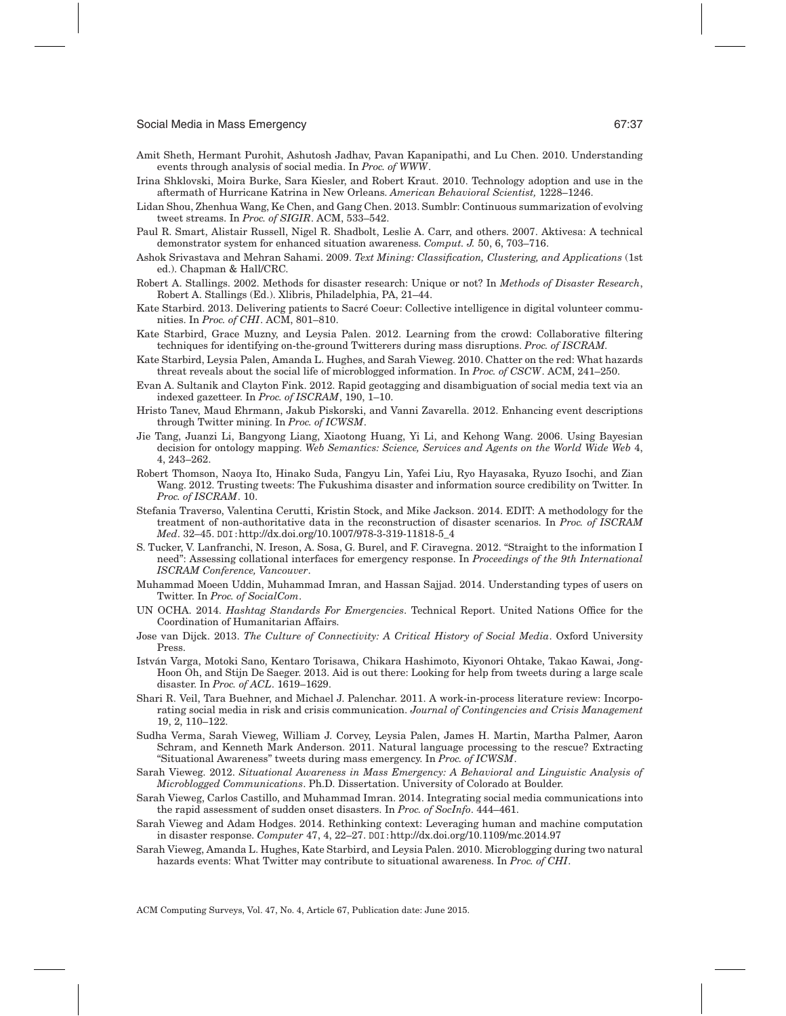#### Social Media in Mass Emergency 67:37

- <span id="page-36-7"></span>Amit Sheth, Hermant Purohit, Ashutosh Jadhav, Pavan Kapanipathi, and Lu Chen. 2010. Understanding events through analysis of social media. In *Proc. of WWW*.
- <span id="page-36-2"></span>Irina Shklovski, Moira Burke, Sara Kiesler, and Robert Kraut. 2010. Technology adoption and use in the aftermath of Hurricane Katrina in New Orleans. *American Behavioral Scientist,* 1228–1246.
- <span id="page-36-18"></span>Lidan Shou, Zhenhua Wang, Ke Chen, and Gang Chen. 2013. Sumblr: Continuous summarization of evolving tweet streams. In *Proc. of SIGIR*. ACM, 533–542.
- <span id="page-36-19"></span>Paul R. Smart, Alistair Russell, Nigel R. Shadbolt, Leslie A. Carr, and others. 2007. Aktivesa: A technical demonstrator system for enhanced situation awareness. *Comput. J.* 50, 6, 703–716.
- <span id="page-36-13"></span>Ashok Srivastava and Mehran Sahami. 2009. *Text Mining: Classification, Clustering, and Applications* (1st ed.). Chapman & Hall/CRC.
- <span id="page-36-0"></span>Robert A. Stallings. 2002. Methods for disaster research: Unique or not? In *Methods of Disaster Research*, Robert A. Stallings (Ed.). Xlibris, Philadelphia, PA, 21–44.
- <span id="page-36-5"></span>Kate Starbird. 2013. Delivering patients to Sacré Coeur: Collective intelligence in digital volunteer communities. In *Proc. of CHI*. ACM, 801–810.
- <span id="page-36-15"></span>Kate Starbird, Grace Muzny, and Leysia Palen. 2012. Learning from the crowd: Collaborative filtering techniques for identifying on-the-ground Twitterers during mass disruptions. *Proc. of ISCRAM.*
- <span id="page-36-3"></span>Kate Starbird, Leysia Palen, Amanda L. Hughes, and Sarah Vieweg. 2010. Chatter on the red: What hazards threat reveals about the social life of microblogged information. In *Proc. of CSCW*. ACM, 241–250.
- <span id="page-36-10"></span>Evan A. Sultanik and Clayton Fink. 2012. Rapid geotagging and disambiguation of social media text via an indexed gazetteer. In *Proc. of ISCRAM*, 190, 1–10.
- <span id="page-36-12"></span>Hristo Tanev, Maud Ehrmann, Jakub Piskorski, and Vanni Zavarella. 2012. Enhancing event descriptions through Twitter mining. In *Proc. of ICWSM*.
- <span id="page-36-21"></span>Jie Tang, Juanzi Li, Bangyong Liang, Xiaotong Huang, Yi Li, and Kehong Wang. 2006. Using Bayesian decision for ontology mapping. *Web Semantics: Science, Services and Agents on the World Wide Web* 4, 4, 243–262.
- <span id="page-36-14"></span>Robert Thomson, Naoya Ito, Hinako Suda, Fangyu Lin, Yafei Liu, Ryo Hayasaka, Ryuzo Isochi, and Zian Wang. 2012. Trusting tweets: The Fukushima disaster and information source credibility on Twitter. In *Proc. of ISCRAM*. 10.
- <span id="page-36-20"></span>Stefania Traverso, Valentina Cerutti, Kristin Stock, and Mike Jackson. 2014. EDIT: A methodology for the treatment of non-authoritative data in the reconstruction of disaster scenarios. In *Proc. of ISCRAM Med*. 32–45. DOI:[http://dx.doi.org/10.1007/978-3-319-11818-5\\_4](http://dx.doi.org/10.1007/978-3-319-11818-5_4)
- <span id="page-36-22"></span>S. Tucker, V. Lanfranchi, N. Ireson, A. Sosa, G. Burel, and F. Ciravegna. 2012. "Straight to the information I need": Assessing collational interfaces for emergency response. In *Proceedings of the 9th International ISCRAM Conference, Vancouver*.
- <span id="page-36-9"></span>Muhammad Moeen Uddin, Muhammad Imran, and Hassan Sajjad. 2014. Understanding types of users on Twitter. In *Proc. of SocialCom*.
- <span id="page-36-23"></span>UN OCHA. 2014. *Hashtag Standards For Emergencies*. Technical Report. United Nations Office for the Coordination of Humanitarian Affairs.
- <span id="page-36-8"></span>Jose van Dijck. 2013. *The Culture of Connectivity: A Critical History of Social Media*. Oxford University Press.
- <span id="page-36-17"></span>Istvan Varga, Motoki Sano, Kentaro Torisawa, Chikara Hashimoto, Kiyonori Ohtake, Takao Kawai, Jong- ´ Hoon Oh, and Stijn De Saeger. 2013. Aid is out there: Looking for help from tweets during a large scale disaster. In *Proc. of ACL*. 1619–1629.
- <span id="page-36-24"></span>Shari R. Veil, Tara Buehner, and Michael J. Palenchar. 2011. A work-in-process literature review: Incorporating social media in risk and crisis communication. *Journal of Contingencies and Crisis Management* 19, 2, 110–122.
- <span id="page-36-16"></span>Sudha Verma, Sarah Vieweg, William J. Corvey, Leysia Palen, James H. Martin, Martha Palmer, Aaron Schram, and Kenneth Mark Anderson. 2011. Natural language processing to the rescue? Extracting "Situational Awareness" tweets during mass emergency. In *Proc. of ICWSM*.
- <span id="page-36-1"></span>Sarah Vieweg. 2012. *Situational Awareness in Mass Emergency: A Behavioral and Linguistic Analysis of Microblogged Communications*. Ph.D. Dissertation. University of Colorado at Boulder.
- <span id="page-36-6"></span>Sarah Vieweg, Carlos Castillo, and Muhammad Imran. 2014. Integrating social media communications into the rapid assessment of sudden onset disasters. In *Proc. of SocInfo*. 444–461.
- <span id="page-36-11"></span>Sarah Vieweg and Adam Hodges. 2014. Rethinking context: Leveraging human and machine computation in disaster response. *Computer* 47, 4, 22–27. DOI:<http://dx.doi.org/10.1109/mc.2014.97>
- <span id="page-36-4"></span>Sarah Vieweg, Amanda L. Hughes, Kate Starbird, and Leysia Palen. 2010. Microblogging during two natural hazards events: What Twitter may contribute to situational awareness. In *Proc. of CHI*.